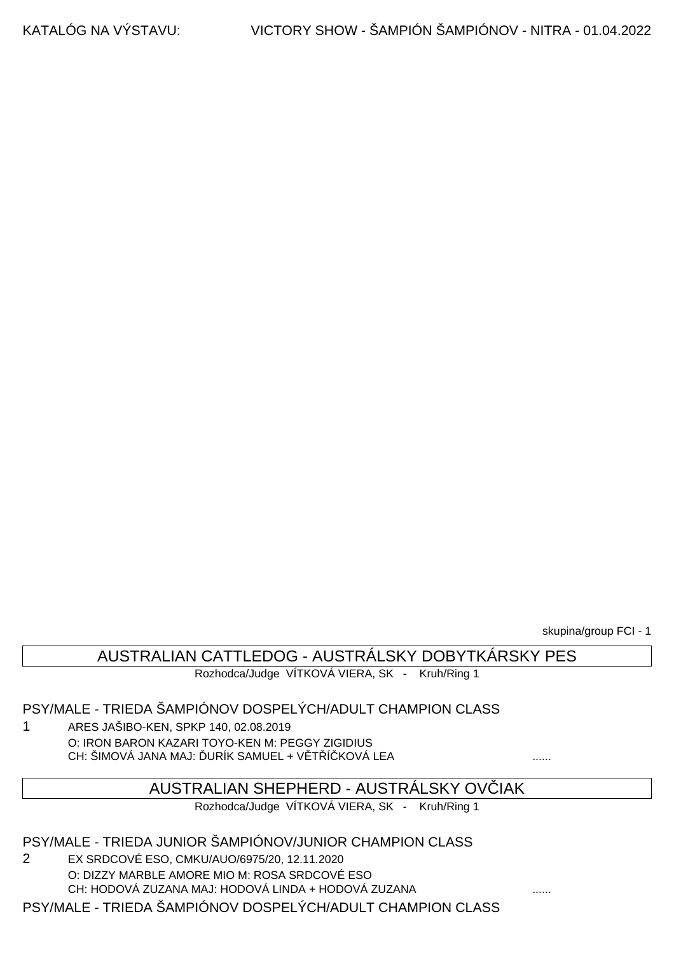skupina/group FCI - 1

## AUSTRALIAN CATTLEDOG - AUSTRÁLSKY DOBYTKÁRSKY PES

Rozhodca/Judge VÍTKOVÁ VIERA, SK - Kruh/Ring 1

#### PSY/MALE - TRIEDA ŠAMPIÓNOV DOSPELÝCH/ADULT CHAMPION CLASS

1 ARES JAŠIBO-KEN, SPKP 140, 02.08.2019 O: IRON BARON KAZARI TOYO-KEN M: PEGGY ZIGIDIUS CH: ŠIMOVÁ JANA MAJ: URÍK SAMUEL + V T Í KOVÁ LEA .......

#### AUSTRALIAN SHEPHERD - AUSTRÁLSKY OVČIAK

Rozhodca/Judge VÍTKOVÁ VIERA, SK - Kruh/Ring 1

#### PSY/MALE - TRIEDA JUNIOR ŠAMPIÓNOV/JUNIOR CHAMPION CLASS

2 EX SRDCOVÉ ESO, CMKU/AUO/6975/20, 12.11.2020 O: DIZZY MARBLE AMORE MIO M: ROSA SRDCOVÉ ESO CH: HODOVÁ ZUZANA MAJ: HODOVÁ LINDA + HODOVÁ ZUZANA ......

PSY/MALE - TRIEDA ŠAMPIÓNOV DOSPELÝCH/ADULT CHAMPION CLASS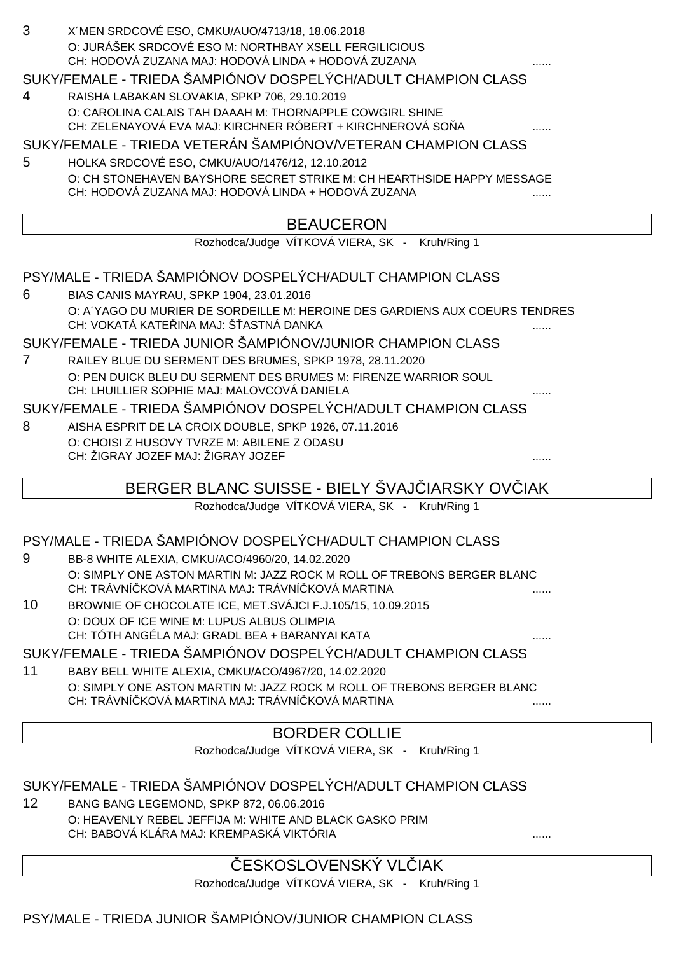| 3 | X'MEN SRDCOVÉ ESO, CMKU/AUO/4713/18, 18.06.2018       |  |
|---|-------------------------------------------------------|--|
|   | O: JURÁŠEK SRDCOVÉ ESO M: NORTHBAY XSELL FERGILICIOUS |  |
|   | CH: HODOVÁ ZUZANA MAJ: HODOVÁ LINDA + HODOVÁ ZUZANA   |  |
|   |                                                       |  |

#### SUKY/FEMALE - TRIEDA ŠAMPIÓNOV DOSPELÝCH/ADULT CHAMPION CLASS

4 RAISHA LABAKAN SLOVAKIA, SPKP 706, 29.10.2019 O: CAROLINA CALAIS TAH DAAAH M: THORNAPPLE COWGIRL SHINE CH: ZELENAYOVÁ EVA MAJ: KIRCHNER RÓBERT + KIRCHNEROVÁ SO ...

#### SUKY/FEMALE - TRIEDA VETERÁN ŠAMPIÓNOV/VETERAN CHAMPION CLASS

5 HOLKA SRDCOVÉ ESO, CMKU/AUO/1476/12, 12.10.2012 O: CH STONEHAVEN BAYSHORE SECRET STRIKE M: CH HEARTHSIDE HAPPY MESSAGE CH: HODOVÁ ZUZANA MAJ: HODOVÁ LINDA + HODOVÁ ZUZANA

## BEAUCERON

Rozhodca/Judge VÍTKOVÁ VIERA, SK - Kruh/Ring 1

PSY/MALE - TRIEDA ŠAMPIÓNOV DOSPELÝCH/ADULT CHAMPION CLASS

6 BIAS CANIS MAYRAU, SPKP 1904, 23.01.2016 O: A´YAGO DU MURIER DE SORDEILLE M: HEROINE DES GARDIENS AUX COEURS TENDRES CH: VOKATÁ KATE INA MAJ: Š ASTNÁ DANKA

SUKY/FEMALE - TRIEDA JUNIOR ŠAMPIÓNOV/JUNIOR CHAMPION CLASS

7 RAILEY BLUE DU SERMENT DES BRUMES, SPKP 1978, 28.11.2020 O: PEN DUICK BLEU DU SERMENT DES BRUMES M: FIRENZE WARRIOR SOUL CH: LHUILLIER SOPHIE MAJ: MALOVCOVÁ DANIELA

SUKY/FEMALE - TRIEDA ŠAMPIÓNOV DOSPELÝCH/ADULT CHAMPION CLASS

8 AISHA ESPRIT DE LA CROIX DOUBLE, SPKP 1926, 07.11.2016 O: CHOISI Z HUSOVY TVRZE M: ABILENE Z ODASU CH: ŽIGRAY JOZEF MAJ: ŽIGRAY JOZEF ......

## BERGER BLANC SUISSE - BIELY ŠVAJ IARSKY OVČIAK

Rozhodca/Judge VÍTKOVÁ VIERA, SK - Kruh/Ring 1

#### PSY/MALE - TRIEDA ŠAMPIÓNOV DOSPELÝCH/ADULT CHAMPION CLASS

- 9 BB-8 WHITE ALEXIA, CMKU/ACO/4960/20, 14.02.2020 O: SIMPLY ONE ASTON MARTIN M: JAZZ ROCK M ROLL OF TREBONS BERGER BLANC CH: TRÁVNÍ KOVÁ MARTINA MAJ: TRÁVNÍ KOVÁ MARTINA
- 10 BROWNIE OF CHOCOLATE ICE, MET.SVÁJCI F.J.105/15, 10.09.2015 O: DOUX OF ICE WINE M: LUPUS ALBUS OLIMPIA CH: TÓTH ANGÉLA MAJ: GRADL BEA + BARANYAI KATA

SUKY/FEMALE - TRIEDA ŠAMPIÓNOV DOSPELÝCH/ADULT CHAMPION CLASS

11 BABY BELL WHITE ALEXIA, CMKU/ACO/4967/20, 14.02.2020 O: SIMPLY ONE ASTON MARTIN M: JAZZ ROCK M ROLL OF TREBONS BERGER BLANC CH: TRÁVNÍ KOVÁ MARTINA MAJ: TRÁVNÍ KOVÁ MARTINA

## BORDER COLLIE

Rozhodca/Judge VÍTKOVÁ VIERA, SK - Kruh/Ring 1

#### SUKY/FEMALE - TRIEDA ŠAMPIÓNOV DOSPELÝCH/ADULT CHAMPION CLASS

12 BANG BANG LEGEMOND, SPKP 872, 06.06.2016 O: HEAVENLY REBEL JEFFIJA M: WHITE AND BLACK GASKO PRIM CH: BABOVÁ KLÁRA MAJ: KREMPASKÁ VIKTÓRIA

## ESKOSLOVENSKÝ VL JAK

Rozhodca/Judge VÍTKOVÁ VIERA, SK - Kruh/Ring 1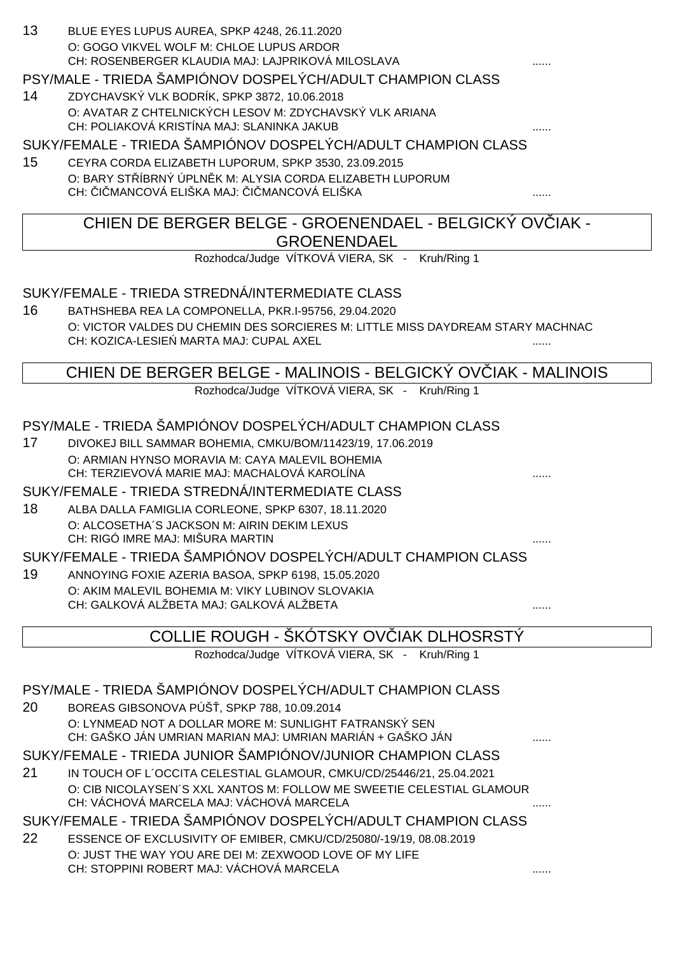13 BLUE EYES LUPUS AUREA, SPKP 4248, 26.11.2020 O: GOGO VIKVEL WOLF M: CHLOE LUPUS ARDOR CH: ROSENBERGER KLAUDIA MAJ: LAJPRIKOVÁ MILOSLAVA

### PSY/MALE - TRIEDA ŠAMPIÓNOV DOSPELÝCH/ADULT CHAMPION CLASS

14 ZDYCHAVSKÝ VLK BODRÍK, SPKP 3872, 10.06.2018 O: AVATAR Z CHTELNICKÝCH LESOV M: ZDYCHAVSKÝ VLK ARIANA CH: POLIAKOVÁ KRISTÍNA MAJ: SLANINKA JAKUB

SUKY/FEMALE - TRIEDA ŠAMPIÓNOV DOSPELÝCH/ADULT CHAMPION CLASS

15 CEYRA CORDA ELIZABETH LUPORUM, SPKP 3530, 23.09.2015 O: BARY ST ÍBRNÝ ÚPLN K M: ALYSIA CORDA ELIZABETH LUPORUM CH: I MANCOVÁ ELIŠKA MAJ: I MANCOVÁ ELIŠKA .......

## CHIEN DE BERGER BELGE - GROENENDAEL - BELGICKÝ OV IAK -**GROENENDAEL**

Rozhodca/Judge VÍTKOVÁ VIERA, SK - Kruh/Ring 1

### SUKY/FEMALE - TRIEDA STREDNÁ/INTERMEDIATE CLASS

16 BATHSHEBA REA LA COMPONELLA, PKR.I-95756, 29.04.2020 O: VICTOR VALDES DU CHEMIN DES SORCIERES M: LITTLE MISS DAYDREAM STARY MACHNAC CH: KOZICA-LESIE MARTA MAJ: CUPAL AXEL

CHIEN DE BERGER BELGE - MALINOIS - BELGICKÝ OVČIAK - MALINOIS

Rozhodca/Judge VÍTKOVÁ VIERA, SK - Kruh/Ring 1

### PSY/MALE - TRIEDA ŠAMPIÓNOV DOSPELÝCH/ADULT CHAMPION CLASS

17 DIVOKEJ BILL SAMMAR BOHEMIA, CMKU/BOM/11423/19, 17.06.2019 O: ARMIAN HYNSO MORAVIA M: CAYA MALEVIL BOHEMIA CH: TERZIEVOVÁ MARIE MAJ: MACHALOVÁ KAROLÍNA ......

SUKY/FEMALE - TRIEDA STREDNÁ/INTERMEDIATE CLASS 18 ALBA DALLA FAMIGLIA CORLEONE, SPKP 6307, 18.11.2020

O: ALCOSETHA´S JACKSON M: AIRIN DEKIM LEXUS CH: RIGÓ IMRE MAJ: MIŠURA MARTIN ......

### SUKY/FEMALE - TRIEDA ŠAMPIÓNOV DOSPELÝCH/ADULT CHAMPION CLASS

19 ANNOYING FOXIE AZERIA BASOA, SPKP 6198, 15.05.2020 O: AKIM MALEVIL BOHEMIA M: VIKY LUBINOV SLOVAKIA CH: GALKOVÁ ALŽBETA MAJ: GALKOVÁ ALŽBETA

## COLLIE ROUGH - ŠKÓTSKY OVČIAK DLHOSRSTÝ

Rozhodca/Judge VÍTKOVÁ VIERA, SK - Kruh/Ring 1

### PSY/MALE - TRIEDA ŠAMPIÓNOV DOSPELÝCH/ADULT CHAMPION CLASS

20 BOREAS GIBSONOVA PÚŠ, SPKP 788, 10.09.2014 O: LYNMEAD NOT A DOLLAR MORE M: SUNLIGHT FATRANSKÝ SEN CH: GAŠKO JÁN UMRIAN MARIAN MAJ: UMRIAN MARIÁN + GAŠKO JÁN

## SUKY/FEMALE - TRIEDA JUNIOR ŠAMPIÓNOV/JUNIOR CHAMPION CLASS

21 IN TOUCH OF L´OCCITA CELESTIAL GLAMOUR, CMKU/CD/25446/21, 25.04.2021 O: CIB NICOLAYSEN´S XXL XANTOS M: FOLLOW ME SWEETIE CELESTIAL GLAMOUR CH: VÁCHOVÁ MARCELA MAJ: VÁCHOVÁ MARCELA

## SUKY/FEMALE - TRIEDA ŠAMPIÓNOV DOSPELÝCH/ADULT CHAMPION CLASS

22 ESSENCE OF EXCLUSIVITY OF EMIBER, CMKU/CD/25080/-19/19, 08.08.2019 O: JUST THE WAY YOU ARE DEI M: ZEXWOOD LOVE OF MY LIFE CH: STOPPINI ROBERT MAJ: VÁCHOVÁ MARCELA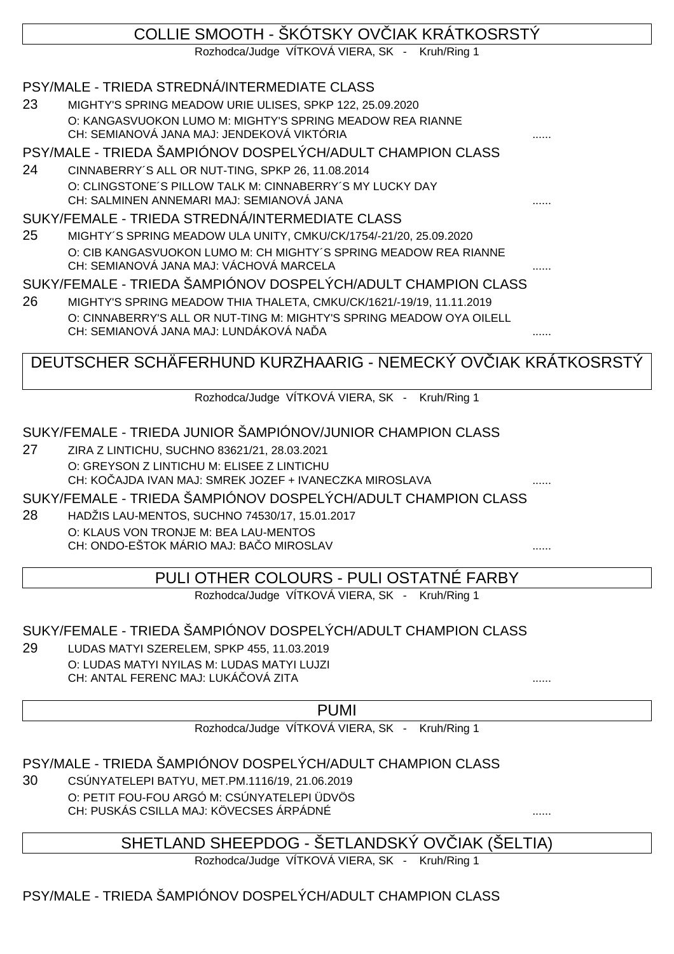# COLLIE SMOOTH - ŠKÓTSKY OV JAK KRÁTKOSRSTÝ

Rozhodca/Judge VÍTKOVÁ VIERA, SK - Kruh/Ring 1

## PSY/MALE - TRIEDA STREDNÁ/INTERMEDIATE CLASS

23 MIGHTY'S SPRING MEADOW URIE ULISES, SPKP 122, 25.09.2020 O: KANGASVUOKON LUMO M: MIGHTY'S SPRING MEADOW REA RIANNE CH: SEMIANOVÁ JANA MAJ: JENDEKOVÁ VIKTÓRIA

### PSY/MALE - TRIEDA ŠAMPIÓNOV DOSPELÝCH/ADULT CHAMPION CLASS

24 CINNABERRY´S ALL OR NUT-TING, SPKP 26, 11.08.2014 O: CLINGSTONE´S PILLOW TALK M: CINNABERRY´S MY LUCKY DAY CH: SALMINEN ANNEMARI MAJ: SEMIANOVÁ JANA

### SUKY/FEMALE - TRIEDA STREDNÁ/INTERMEDIATE CLASS

25 MIGHTY´S SPRING MEADOW ULA UNITY, CMKU/CK/1754/-21/20, 25.09.2020 O: CIB KANGASVUOKON LUMO M: CH MIGHTY´S SPRING MEADOW REA RIANNE CH: SEMIANOVÁ JANA MAJ: VÁCHOVÁ MARCELA ......

## SUKY/FEMALE - TRIEDA ŠAMPIÓNOV DOSPELÝCH/ADULT CHAMPION CLASS

26 MIGHTY'S SPRING MEADOW THIA THALETA, CMKU/CK/1621/-19/19, 11.11.2019 O: CINNABERRY'S ALL OR NUT-TING M: MIGHTY'S SPRING MEADOW OYA OILELL CH: SEMIANOVÁ JANA MAJ: LUNDÁKOVÁ NA ...A

# DEUTSCHER SCHÄFERHUND KURZHAARIG - NEMECKÝ OVČIAK KRÁTKOSRSTÝ

Rozhodca/Judge VÍTKOVÁ VIERA, SK - Kruh/Ring 1

## SUKY/FEMALE - TRIEDA JUNIOR ŠAMPIÓNOV/JUNIOR CHAMPION CLASS

27 ZIRA Z LINTICHU, SUCHNO 83621/21, 28.03.2021 O: GREYSON Z LINTICHU M: ELISEE Z LINTICHU CH: KOČAJDA IVAN MAJ: SMREK JOZEF + IVANECZKA MIROSLAVA

#### SUKY/FEMALE - TRIEDA ŠAMPIÓNOV DOSPELÝCH/ADULT CHAMPION CLASS

28 HADŽIS LAU-MENTOS, SUCHNO 74530/17, 15.01.2017 O: KLAUS VON TRONJE M: BEA LAU-MENTOS CH: ONDO-EŠTOK MÁRIO MAJ: BAČO MIROSLAV ......

## PULI OTHER COLOURS - PULI OSTATNÉ FARBY

Rozhodca/Judge VÍTKOVÁ VIERA, SK - Kruh/Ring 1

## SUKY/FEMALE - TRIEDA ŠAMPIÓNOV DOSPELÝCH/ADULT CHAMPION CLASS

29 LUDAS MATYI SZERELEM, SPKP 455, 11.03.2019 O: LUDAS MATYI NYILAS M: LUDAS MATYI LUJZI CH: ANTAL FERENC MAJ: LUKÁ OVÁ ZITA

PUMI

Rozhodca/Judge VÍTKOVÁ VIERA, SK - Kruh/Ring 1

PSY/MALE - TRIEDA ŠAMPIÓNOV DOSPELÝCH/ADULT CHAMPION CLASS

30 CSÚNYATELEPI BATYU, MET.PM.1116/19, 21.06.2019 O: PETIT FOU-FOU ARGÓ M: CSÚNYATELEPI ÜDVÖS CH: PUSKÁS CSILLA MAJ: KÖVECSES ÁRPÁDNÉ ......

## SHETLAND SHEEPDOG - ŠETLANDSKÝ OVIJAK (ŠELTIA)

Rozhodca/Judge VÍTKOVÁ VIERA, SK - Kruh/Ring 1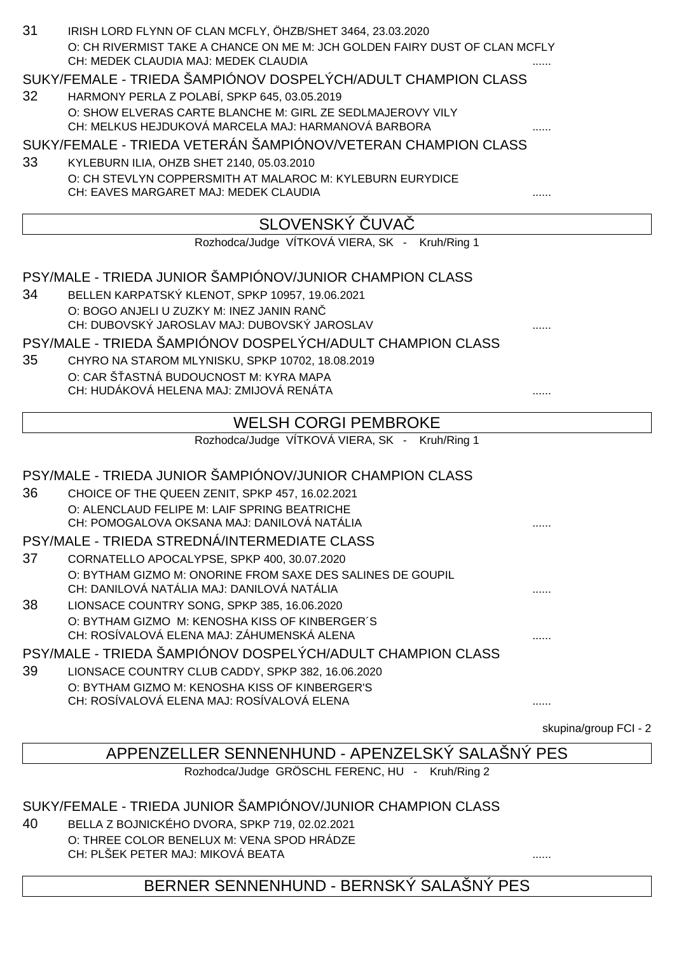| 31 | IRISH LORD FLYNN OF CLAN MCFLY, ÖHZB/SHET 3464, 23.03.2020                                                         |   |
|----|--------------------------------------------------------------------------------------------------------------------|---|
|    | O: CH RIVERMIST TAKE A CHANCE ON ME M: JCH GOLDEN FAIRY DUST OF CLAN MCFLY<br>CH: MEDEK CLAUDIA MAJ: MEDEK CLAUDIA |   |
|    | SUKY/FEMALE - TRIEDA ŠAMPIÓNOV DOSPELÝCH/ADULT CHAMPION CLASS                                                      |   |
| 32 | HARMONY PERLA Z POLABÍ, SPKP 645, 03.05.2019                                                                       |   |
|    | O: SHOW ELVERAS CARTE BLANCHE M: GIRL ZE SEDLMAJEROVY VILY<br>CH: MELKUS HEJDUKOVÁ MARCELA MAJ: HARMANOVÁ BARBORA  |   |
|    | SUKY/FEMALE - TRIEDA VETERÁN ŠAMPIÓNOV/VETERAN CHAMPION CLASS                                                      |   |
| 33 | KYLEBURN ILIA, OHZB SHET 2140, 05.03.2010                                                                          |   |
|    | O: CH STEVLYN COPPERSMITH AT MALAROC M: KYLEBURN EURYDICE                                                          |   |
|    | CH: EAVES MARGARET MAJ: MEDEK CLAUDIA                                                                              |   |
|    | SLOVENSKY UVA                                                                                                      |   |
|    | Rozhodca/Judge VÍTKOVÁ VIERA, SK - Kruh/Ring 1                                                                     |   |
|    | PSY/MALE - TRIEDA JUNIOR ŠAMPIÓNOV/JUNIOR CHAMPION CLASS                                                           |   |
| 34 | BELLEN KARPATSKÝ KLENOT, SPKP 10957, 19.06.2021                                                                    |   |
|    | O: BOGO ANJELI U ZUZKY M: INEZ JANIN RAN                                                                           |   |
|    | CH: DUBOVSKÝ JAROSLAV MAJ: DUBOVSKÝ JAROSLAV                                                                       |   |
|    | PSY/MALE - TRIEDA ŠAMPIÓNOV DOSPELÝCH/ADULT CHAMPION CLASS                                                         |   |
| 35 | CHYRO NA STAROM MLYNISKU, SPKP 10702, 18.08.2019                                                                   |   |
|    | O: CAR Š ASTNÁ BUDOUCNOST M: KYRA MAPA                                                                             |   |
|    | CH: HUDÁKOVÁ HELENA MAJ: ZMIJOVÁ RENÁTA                                                                            | . |
|    | <b>WELSH CORGI PEMBROKE</b>                                                                                        |   |
|    | Rozhodca/Judge VÍTKOVÁ VIERA, SK - Kruh/Ring 1                                                                     |   |
|    | PSY/MALE - TRIEDA JUNIOR ŠAMPIÓNOV/JUNIOR CHAMPION CLASS                                                           |   |
| 36 | CHOICE OF THE QUEEN ZENIT, SPKP 457, 16.02.2021                                                                    |   |
|    | O: ALENCLAUD FELIPE M: LAIF SPRING BEATRICHE                                                                       |   |
|    | CH: POMOGALOVA OKSANA MAJ: DANILOVÁ NATÁLIA                                                                        | . |
|    | PSY/MALE - TRIEDA STREDNA/INTERMEDIATE CLASS                                                                       |   |
| 37 | CORNATELLO APOCALYPSE, SPKP 400, 30.07.2020                                                                        |   |
|    | O: BYTHAM GIZMO M: ONORINE FROM SAXE DES SALINES DE GOUPIL<br>CH: DANILOVÁ NATÁLIA MAJ: DANILOVÁ NATÁLIA           |   |
| 38 | LIONSACE COUNTRY SONG, SPKP 385, 16.06.2020                                                                        |   |
|    | O: BYTHAM GIZMO M: KENOSHA KISS OF KINBERGER'S                                                                     |   |
|    | CH: ROSÍVALOVÁ ELENA MAJ: ZÁHUMENSKÁ ALENA                                                                         | . |
|    | PSY/MALE - TRIEDA ŠAMPIÓNOV DOSPELÝCH/ADULT CHAMPION CLASS                                                         |   |
| 39 | LIONSACE COUNTRY CLUB CADDY, SPKP 382, 16.06.2020                                                                  |   |
|    | O: BYTHAM GIZMO M: KENOSHA KISS OF KINBERGER'S                                                                     |   |
|    | CH: ROSÍVALOVÁ ELENA MAJ: ROSÍVALOVÁ ELENA                                                                         | . |
|    |                                                                                                                    |   |

skupina/group FCI - 2

# APPENZELLER SENNENHUND - APENZELSKÝ SALAŠNÝ PES

Rozhodca/Judge GRÖSCHL FERENC, HU - Kruh/Ring 2

#### SUKY/FEMALE - TRIEDA JUNIOR ŠAMPIÓNOV/JUNIOR CHAMPION CLASS

40 BELLA Z BOJNICKÉHO DVORA, SPKP 719, 02.02.2021 O: THREE COLOR BENELUX M: VENA SPOD HRÁDZE CH: PLŠEK PETER MAJ: MIKOVÁ BEATA ......

# BERNER SENNENHUND - BERNSKÝ SALAŠNÝ PES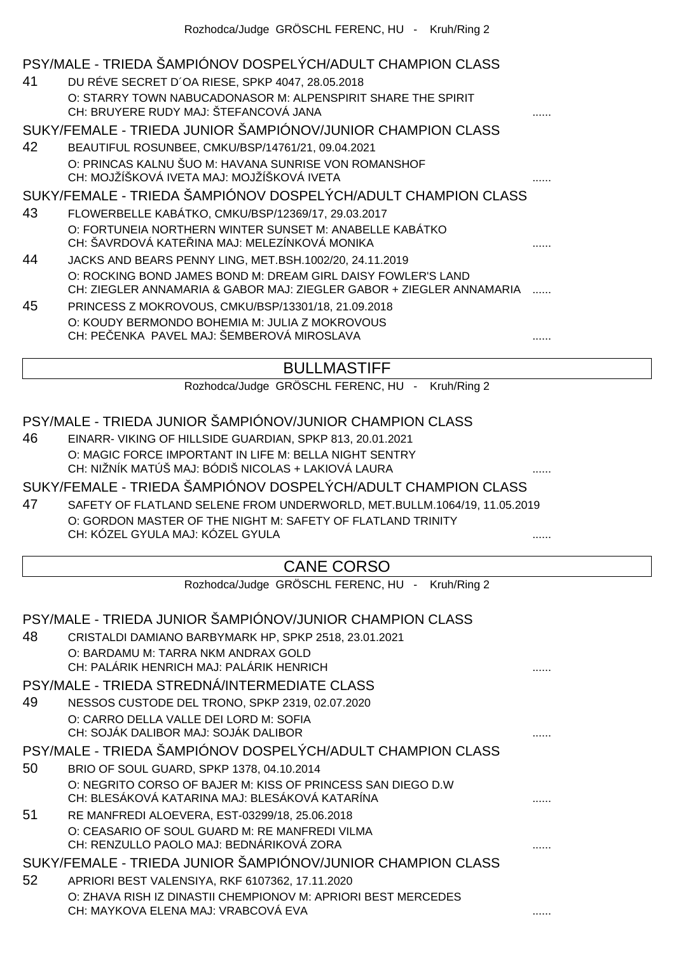|    | PSY/MALE - TRIEDA ŠAMPIÓNOV DOSPELÝCH/ADULT CHAMPION CLASS                                                                           |   |
|----|--------------------------------------------------------------------------------------------------------------------------------------|---|
| 41 | DU RÉVE SECRET D'OA RIESE, SPKP 4047, 28.05.2018                                                                                     |   |
|    | O: STARRY TOWN NABUCADONASOR M: ALPENSPIRIT SHARE THE SPIRIT                                                                         |   |
|    | CH: BRUYERE RUDY MAJ: ŠTEFANCOVÁ JANA                                                                                                |   |
|    | SUKY/FEMALE - TRIEDA JUNIOR ŠAMPIÓNOV/JUNIOR CHAMPION CLASS                                                                          |   |
| 42 | BEAUTIFUL ROSUNBEE, CMKU/BSP/14761/21, 09.04.2021                                                                                    |   |
|    | O: PRINCAS KALNU ŠUO M: HAVANA SUNRISE VON ROMANSHOF<br>CH: MOJŽÍŠKOVÁ IVETA MAJ: MOJŽÍŠKOVÁ IVETA                                   |   |
|    | SUKY/FEMALE - TRIEDA ŠAMPIÓNOV DOSPELÝCH/ADULT CHAMPION CLASS                                                                        |   |
| 43 | FLOWERBELLE KABÁTKO, CMKU/BSP/12369/17, 29.03.2017                                                                                   |   |
|    | O: FORTUNEIA NORTHERN WINTER SUNSET M: ANABELLE KABÁTKO<br>CH: ŠAVRDOVÁ KATE INA MAJ: MELEZÍNKOVÁ MONIKA                             |   |
| 44 | JACKS AND BEARS PENNY LING, MET.BSH.1002/20, 24.11.2019                                                                              |   |
|    | O: ROCKING BOND JAMES BOND M: DREAM GIRL DAISY FOWLER'S LAND<br>CH: ZIEGLER ANNAMARIA & GABOR MAJ: ZIEGLER GABOR + ZIEGLER ANNAMARIA |   |
| 45 | PRINCESS Z MOKROVOUS, CMKU/BSP/13301/18, 21.09.2018                                                                                  |   |
|    | O: KOUDY BERMONDO BOHEMIA M: JULIA Z MOKROVOUS<br>CH: PE ENKA PAVEL MAJ: ŠEMBEROVÁ MIROSLAVA                                         |   |
|    | <b>BULLMASTIFF</b>                                                                                                                   |   |
|    | Rozhodca/Judge GRÖSCHL FERENC, HU - Kruh/Ring 2                                                                                      |   |
|    |                                                                                                                                      |   |
|    | PSY/MALE - TRIEDA JUNIOR ŠAMPIÓNOV/JUNIOR CHAMPION CLASS                                                                             |   |
| 46 | EINARR- VIKING OF HILLSIDE GUARDIAN, SPKP 813, 20.01.2021                                                                            |   |
|    | O: MAGIC FORCE IMPORTANT IN LIFE M: BELLA NIGHT SENTRY<br>CH: NIŽNÍK MATÚŠ MAJ: BÓDIŠ NICOLAS + LAKIOVÁ LAURA                        |   |
|    | SUKY/FEMALE - TRIEDA ŠAMPIÓNOV DOSPELÝCH/ADULT CHAMPION CLASS                                                                        |   |
| 47 | SAFETY OF FLATLAND SELENE FROM UNDERWORLD, MET.BULLM.1064/19, 11.05.2019                                                             |   |
|    | O: GORDON MASTER OF THE NIGHT M: SAFETY OF FLATLAND TRINITY<br>CH: KÓZEL GYULA MAJ: KÓZEL GYULA                                      |   |
|    |                                                                                                                                      |   |
|    | <b>CANE CORSO</b>                                                                                                                    |   |
|    | Rozhodca/Judge GRÖSCHL FERENC, HU - Kruh/Ring 2                                                                                      |   |
|    |                                                                                                                                      |   |
|    | PSY/MALE - TRIEDA JUNIOR ŠAMPIÓNOV/JUNIOR CHAMPION CLASS                                                                             |   |
| 48 | CRISTALDI DAMIANO BARBYMARK HP, SPKP 2518, 23.01.2021                                                                                |   |
|    | O: BARDAMU M: TARRA NKM ANDRAX GOLD                                                                                                  |   |
|    | CH: PALÁRIK HENRICH MAJ: PALÁRIK HENRICH                                                                                             |   |
|    | PSY/MALE - TRIEDA STREDNÁ/INTERMEDIATE CLASS                                                                                         |   |
| 49 | NESSOS CUSTODE DEL TRONO, SPKP 2319, 02.07.2020                                                                                      |   |
|    | O: CARRO DELLA VALLE DEI LORD M: SOFIA<br>CH: SOJÁK DALIBOR MAJ: SOJÁK DALIBOR                                                       |   |
|    | PSY/MALE - TRIEDA ŠAMPIÓNOV DOSPELÝCH/ADULT CHAMPION CLASS                                                                           |   |
| 50 | BRIO OF SOUL GUARD, SPKP 1378, 04.10.2014                                                                                            |   |
|    | O: NEGRITO CORSO OF BAJER M: KISS OF PRINCESS SAN DIEGO D.W                                                                          |   |
|    | CH: BLESÁKOVÁ KATARINA MAJ: BLESÁKOVÁ KATARÍNA                                                                                       |   |
| 51 | RE MANFREDI ALOEVERA, EST-03299/18, 25.06.2018                                                                                       |   |
|    | O: CEASARIO OF SOUL GUARD M: RE MANFREDI VILMA<br>CH: RENZULLO PAOLO MAJ: BEDNÁRIKOVÁ ZORA                                           |   |
|    | SUKY/FEMALE - TRIEDA JUNIOR ŠAMPIÓNOV/JUNIOR CHAMPION CLASS                                                                          |   |
| 52 | APRIORI BEST VALENSIYA, RKF 6107362, 17.11.2020                                                                                      |   |
|    | O: ZHAVA RISH IZ DINASTII CHEMPIONOV M: APRIORI BEST MERCEDES                                                                        |   |
|    | CH: MAYKOVA ELENA MAJ: VRABCOVÁ EVA                                                                                                  | . |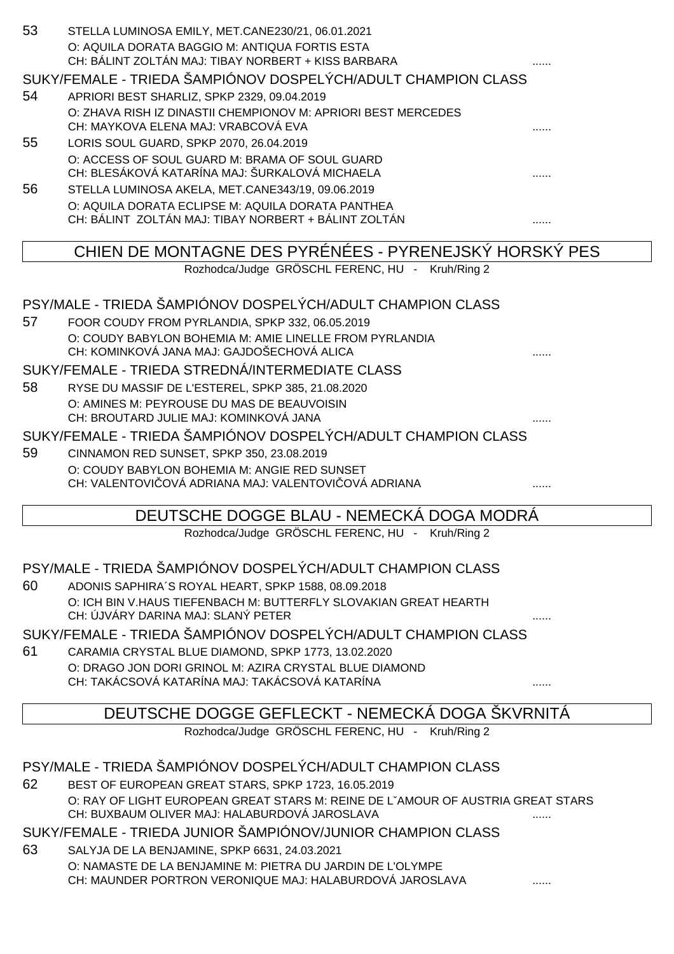| 53 | STELLA LUMINOSA EMILY, MET.CANE230/21, 06.01.2021<br>O: AQUILA DORATA BAGGIO M: ANTIQUA FORTIS ESTA<br>CH: BÁLINT ZOLTÁN MAJ: TIBAY NORBERT + KISS BARBARA |   |
|----|------------------------------------------------------------------------------------------------------------------------------------------------------------|---|
|    | SUKY/FEMALE - TRIEDA ŠAMPIÓNOV DOSPELÝCH/ADULT CHAMPION CLASS                                                                                              |   |
| 54 | APRIORI BEST SHARLIZ, SPKP 2329, 09.04.2019                                                                                                                |   |
|    | O: ZHAVA RISH IZ DINASTII CHEMPIONOV M: APRIORI BEST MERCEDES                                                                                              |   |
|    | CH: MAYKOVA ELENA MAJ: VRABCOVÁ EVA                                                                                                                        |   |
| 55 | LORIS SOUL GUARD, SPKP 2070, 26.04.2019                                                                                                                    |   |
|    | O: ACCESS OF SOUL GUARD M: BRAMA OF SOUL GUARD<br>CH: BLESÁKOVÁ KATARÍNA MAJ: ŠURKALOVÁ MICHAELA                                                           |   |
| 56 | STELLA LUMINOSA AKELA, MET.CANE343/19, 09.06.2019                                                                                                          |   |
|    | O: AQUILA DORATA ECLIPSE M: AQUILA DORATA PANTHEA                                                                                                          |   |
|    | CH: BÁLINT ZOLTÁN MAJ: TIBAY NORBERT + BÁLINT ZOLTÁN                                                                                                       | . |
|    | CHIEN DE MONTAGNE DES PYRÉNÉES - PYRENEJSKÝ HORSKÝ PES                                                                                                     |   |
|    | Rozhodca/Judge GRÖSCHL FERENC, HU - Kruh/Ring 2                                                                                                            |   |
|    |                                                                                                                                                            |   |
| 57 | PSY/MALE - TRIEDA ŠAMPIÓNOV DOSPELÝCH/ADULT CHAMPION CLASS                                                                                                 |   |
|    | FOOR COUDY FROM PYRLANDIA, SPKP 332, 06.05.2019<br>O: COUDY BABYLON BOHEMIA M: AMIE LINELLE FROM PYRLANDIA                                                 |   |
|    | CH: KOMINKOVÁ JANA MAJ: GAJDOŠECHOVÁ ALICA                                                                                                                 |   |
|    | SUKY/FEMALE - TRIEDA STREDNÁ/INTERMEDIATE CLASS                                                                                                            |   |
| 58 | RYSE DU MASSIF DE L'ESTEREL, SPKP 385, 21.08.2020                                                                                                          |   |
|    | O: AMINES M: PEYROUSE DU MAS DE BEAUVOISIN                                                                                                                 |   |
|    | CH: BROUTARD JULIE MAJ: KOMINKOVÁ JANA                                                                                                                     |   |
| 59 | SUKY/FEMALE - TRIEDA ŠAMPIÓNOV DOSPELÝCH/ADULT CHAMPION CLASS                                                                                              |   |
|    | CINNAMON RED SUNSET, SPKP 350, 23.08.2019<br>O: COUDY BABYLON BOHEMIA M: ANGIE RED SUNSET                                                                  |   |
|    | CH: VALENTOVI OVÁ ADRIANA MAJ: VALENTOVI OVÁ ADRIANA                                                                                                       |   |
|    |                                                                                                                                                            |   |
|    | DEUTSCHE DOGGE BLAU - NEMECKA DOGA MODRA<br>Rozhodca/Judge GRÖSCHL FERENC, HU - Kruh/Ring 2                                                                |   |
|    |                                                                                                                                                            |   |
|    | PSY/MALE - TRIEDA ŠAMPIÓNOV DOSPELÝCH/ADULT CHAMPION CLASS                                                                                                 |   |
| 60 | ADONIS SAPHIRA'S ROYAL HEART, SPKP 1588, 08.09.2018                                                                                                        |   |
|    | O: ICH BIN V. HAUS TIEFENBACH M: BUTTERFLY SLOVAKIAN GREAT HEARTH                                                                                          |   |
|    | CH: ÚJVÁRY DARINA MAJ: SLANÝ PETER                                                                                                                         |   |
|    | SUKY/FEMALE - TRIEDA ŠAMPIÓNOV DOSPELÝCH/ADULT CHAMPION CLASS                                                                                              |   |
| 61 | CARAMIA CRYSTAL BLUE DIAMOND, SPKP 1773, 13.02.2020<br>O: DRAGO JON DORI GRINOL M: AZIRA CRYSTAL BLUE DIAMOND                                              |   |
|    | CH: TAKÁCSOVÁ KATARÍNA MAJ: TAKÁCSOVÁ KATARÍNA                                                                                                             |   |
|    |                                                                                                                                                            |   |
|    | DEUTSCHE DOGGE GEFLECKT - NEMECKA DOGA SKVRNITA                                                                                                            |   |
|    | Rozhodca/Judge GRÖSCHL FERENC, HU - Kruh/Ring 2                                                                                                            |   |
|    | PSY/MALE - TRIEDA ŠAMPIÓNOV DOSPELÝCH/ADULT CHAMPION CLASS                                                                                                 |   |
| 62 | BEST OF EUROPEAN GREAT STARS, SPKP 1723, 16.05.2019                                                                                                        |   |
|    | O: RAY OF LIGHT EUROPEAN GREAT STARS M: REINE DE L'AMOUR OF AUSTRIA GREAT STARS                                                                            |   |
|    | CH: BUXBAUM OLIVER MAJ: HALABURDOVÁ JAROSLAVA                                                                                                              |   |
|    | SUKY/FEMALE - TRIEDA JUNIOR ŠAMPIÓNOV/JUNIOR CHAMPION CLASS                                                                                                |   |
| 63 | SALYJA DE LA BENJAMINE, SPKP 6631, 24.03.2021                                                                                                              |   |
|    | O: NAMASTE DE LA BENJAMINE M: PIETRA DU JARDIN DE L'OLYMPE                                                                                                 |   |

CH: MAUNDER PORTRON VERONIQUE MAJ: HALABURDOVÁ JAROSLAVA .......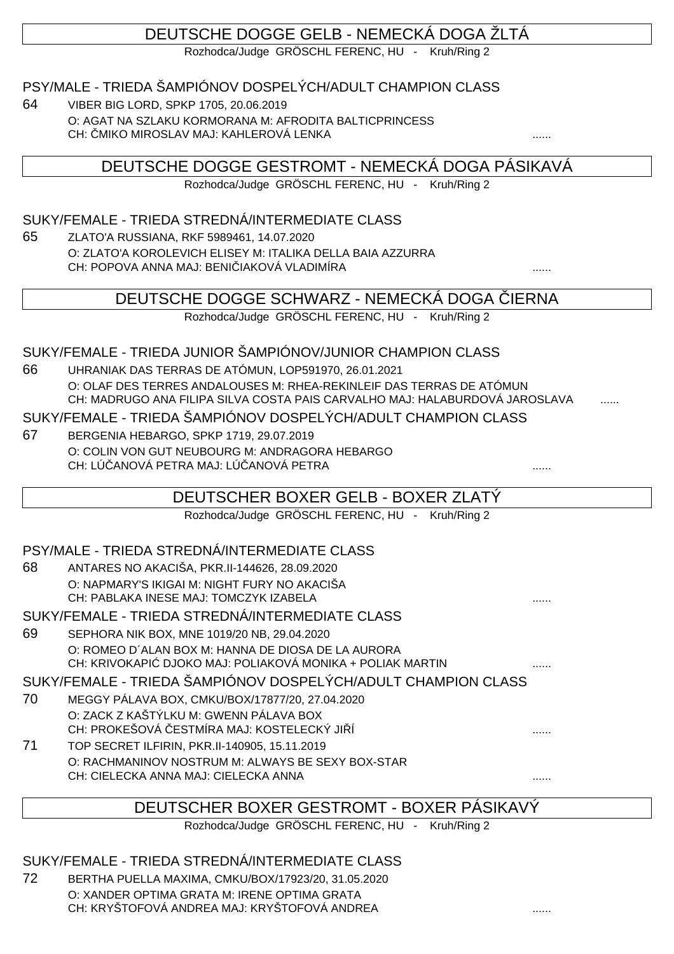# DEUTSCHE DOGGE GELB - NEMECKÁ DOGA ŽLTÁ

Rozhodca/Judge GRÖSCHL FERENC, HU - Kruh/Ring 2

### PSY/MALE - TRIEDA ŠAMPIÓNOV DOSPELÝCH/ADULT CHAMPION CLASS

64 VIBER BIG LORD, SPKP 1705, 20.06.2019 O: AGAT NA SZLAKU KORMORANA M: AFRODITA BALTICPRINCESS CH: MIKO MIROSLAV MAJ: KAHLEROVÁ LENKA

DEUTSCHE DOGGE GESTROMT - NEMECKÁ DOGA PÁSIKAVÁ

Rozhodca/Judge GRÖSCHL FERENC, HU - Kruh/Ring 2

### SUKY/FEMALE - TRIEDA STREDNÁ/INTERMEDIATE CLASS

65 ZLATO'A RUSSIANA, RKF 5989461, 14.07.2020 O: ZLATO'A KOROLEVICH ELISEY M: ITALIKA DELLA BAIA AZZURRA CH: POPOVA ANNA MAJ: BENIČIAKOVÁ VLADIMÍRA ......

## DEUTSCHE DOGGE SCHWARZ - NEMECKÁ DOGA LERNA

Rozhodca/Judge GRÖSCHL FERENC, HU - Kruh/Ring 2

#### SUKY/FEMALE - TRIEDA JUNIOR ŠAMPIÓNOV/JUNIOR CHAMPION CLASS

66 UHRANIAK DAS TERRAS DE ATÓMUN, LOP591970, 26.01.2021 O: OLAF DES TERRES ANDALOUSES M: RHEA-REKINLEIF DAS TERRAS DE ATÓMUN CH: MADRUGO ANA FILIPA SILVA COSTA PAIS CARVALHO MAJ: HALABURDOVÁ JAROSLAVA

#### SUKY/FEMALE - TRIEDA ŠAMPIÓNOV DOSPELÝCH/ADULT CHAMPION CLASS

67 BERGENIA HEBARGO, SPKP 1719, 29.07.2019 O: COLIN VON GUT NEUBOURG M: ANDRAGORA HEBARGO CH: LÚ ANOVÁ PETRA MAJ: LÚ ANOVÁ PETRA

## DEUTSCHER BOXER GELB - BOXER ZLATÝ

Rozhodca/Judge GRÖSCHL FERENC, HU - Kruh/Ring 2

#### PSY/MALE - TRIEDA STREDNÁ/INTERMEDIATE CLASS

68 ANTARES NO AKACIŠA, PKR.II-144626, 28.09.2020 O: NAPMARY'S IKIGAI M: NIGHT FURY NO AKACIŠA CH: PABLAKA INESE MAJ: TOMCZYK IZABELA ......

#### SUKY/FEMALE - TRIEDA STREDNÁ/INTERMEDIATE CLASS

69 SEPHORA NIK BOX, MNE 1019/20 NB, 29.04.2020 O: ROMEO D´ALAN BOX M: HANNA DE DIOSA DE LA AURORA CH: KRIVOKAPI DJOKO MAJ: POLIAKOVÁ MONIKA + POLIAK MARTIN .......

SUKY/FEMALE - TRIEDA ŠAMPIÓNOV DOSPELÝCH/ADULT CHAMPION CLASS

- 70 MEGGY PÁLAVA BOX, CMKU/BOX/17877/20, 27.04.2020 O: ZACK Z KAŠTÝLKU M: GWENN PÁLAVA BOX CH: PROKEŠOVÁ ESTMÍRA MAJ: KOSTELECKÝ JI Í
- 71 TOP SECRET ILFIRIN, PKR.II-140905, 15.11.2019 O: RACHMANINOV NOSTRUM M: ALWAYS BE SEXY BOX-STAR CH: CIELECKA ANNA MAJ: CIELECKA ANNA ......

# DEUTSCHER BOXER GESTROMT - BOXER PÁSIKAVÝ

Rozhodca/Judge GRÖSCHL FERENC, HU - Kruh/Ring 2

## SUKY/FEMALE - TRIEDA STREDNÁ/INTERMEDIATE CLASS

72 BERTHA PUELLA MAXIMA, CMKU/BOX/17923/20, 31.05.2020 O: XANDER OPTIMA GRATA M: IRENE OPTIMA GRATA CH: KRYŠTOFOVÁ ANDREA MAJ: KRYŠTOFOVÁ ANDREA ......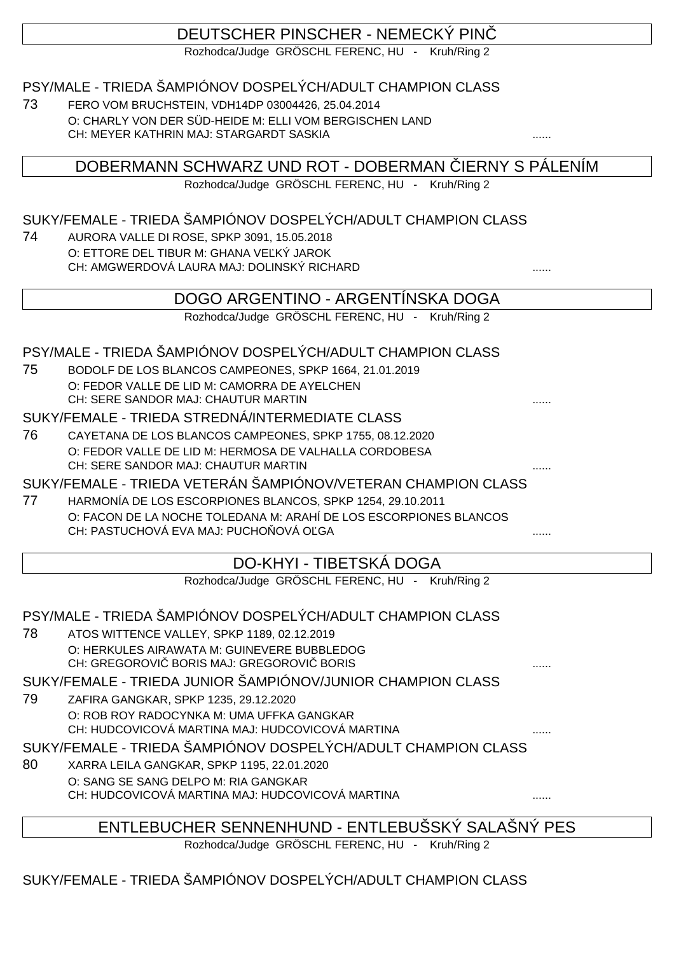# DEUTSCHER PINSCHER - NEMECKÝ PINČ

Rozhodca/Judge GRÖSCHL FERENC, HU - Kruh/Ring 2

## PSY/MALE - TRIEDA ŠAMPIÓNOV DOSPELÝCH/ADULT CHAMPION CLASS

73 FERO VOM BRUCHSTEIN, VDH14DP 03004426, 25.04.2014 O: CHARLY VON DER SÜD-HEIDE M: ELLI VOM BERGISCHEN LAND CH: MEYER KATHRIN MAJ: STARGARDT SASKIA

DOBERMANN SCHWARZ UND ROT - DOBERMAN IERNY S PÁLENÍM

Rozhodca/Judge GRÖSCHL FERENC, HU - Kruh/Ring 2

## SUKY/FEMALE - TRIEDA ŠAMPIÓNOV DOSPELÝCH/ADULT CHAMPION CLASS

74 AURORA VALLE DI ROSE, SPKP 3091, 15.05.2018 O: ETTORE DEL TIBUR M: GHANA VE KÝ JAROK CH: AMGWERDOVÁ LAURA MAJ: DOLINSKÝ RICHARD ......

## DOGO ARGENTINO - ARGENTÍNSKA DOGA

Rozhodca/Judge GRÖSCHL FERENC, HU - Kruh/Ring 2

### PSY/MALE - TRIEDA ŠAMPIÓNOV DOSPELÝCH/ADULT CHAMPION CLASS

75 BODOLF DE LOS BLANCOS CAMPEONES, SPKP 1664, 21.01.2019 O: FEDOR VALLE DE LID M: CAMORRA DE AYELCHEN CH: SERE SANDOR MAJ: CHAUTUR MARTIN ......

#### SUKY/FEMALE - TRIEDA STREDNÁ/INTERMEDIATE CLASS

76 CAYETANA DE LOS BLANCOS CAMPEONES, SPKP 1755, 08.12.2020 O: FEDOR VALLE DE LID M: HERMOSA DE VALHALLA CORDOBESA CH: SERE SANDOR MAJ: CHAUTUR MARTIN

### SUKY/FEMALE - TRIEDA VETERÁN ŠAMPIÓNOV/VETERAN CHAMPION CLASS

77 HARMONÍA DE LOS ESCORPIONES BLANCOS, SPKP 1254, 29.10.2011 O: FACON DE LA NOCHE TOLEDANA M: ARAHÍ DE LOS ESCORPIONES BLANCOS CH: PASTUCHOVÁ EVA MAJ: PUCHO OVÁ O GA

## DO-KHYI - TIBETSKÁ DOGA

Rozhodca/Judge GRÖSCHL FERENC, HU - Kruh/Ring 2

# PSY/MALE - TRIEDA ŠAMPIÓNOV DOSPELÝCH/ADULT CHAMPION CLASS

78 ATOS WITTENCE VALLEY, SPKP 1189, 02.12.2019 O: HERKULES AIRAWATA M: GUINEVERE BUBBLEDOG CH: GREGOROVI BORIS MAJ: GREGOROVI BORIS .......

## SUKY/FEMALE - TRIEDA JUNIOR ŠAMPIÓNOV/JUNIOR CHAMPION CLASS

79 ZAFIRA GANGKAR, SPKP 1235, 29.12.2020 O: ROB ROY RADOCYNKA M: UMA UFFKA GANGKAR CH: HUDCOVICOVÁ MARTINA MAJ: HUDCOVICOVÁ MARTINA

### SUKY/FEMALE - TRIEDA ŠAMPIÓNOV DOSPELÝCH/ADULT CHAMPION CLASS

80 XARRA LEILA GANGKAR, SPKP 1195, 22.01.2020 O: SANG SE SANG DELPO M: RIA GANGKAR CH: HUDCOVICOVÁ MARTINA MAJ: HUDCOVICOVÁ MARTINA

ENTLEBUCHER SENNENHUND - ENTLEBUŠSKÝ SALAŠNÝ PES

Rozhodca/Judge GRÖSCHL FERENC, HU - Kruh/Ring 2

SUKY/FEMALE - TRIEDA ŠAMPIÓNOV DOSPELÝCH/ADULT CHAMPION CLASS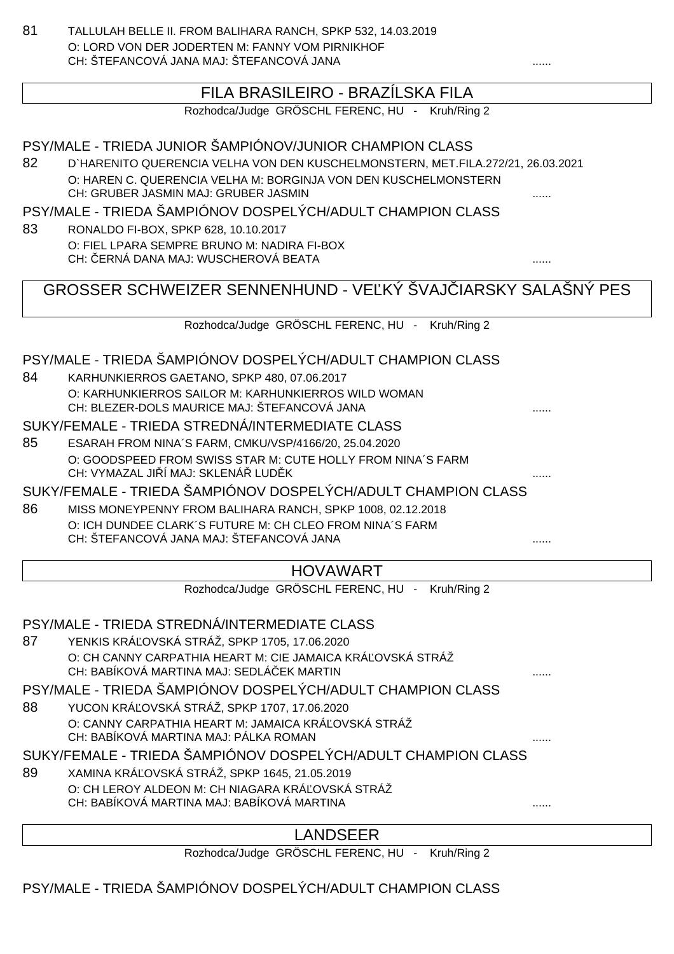81 TALLULAH BELLE II. FROM BALIHARA RANCH, SPKP 532, 14.03.2019 O: LORD VON DER JODERTEN M: FANNY VOM PIRNIKHOF CH: ŠTEFANCOVÁ JANA MAJ: ŠTEFANCOVÁ JANA

## FILA BRASILEIRO - BRAZÍLSKA FILA

Rozhodca/Judge GRÖSCHL FERENC, HU - Kruh/Ring 2

PSY/MALE - TRIEDA JUNIOR ŠAMPIÓNOV/JUNIOR CHAMPION CLASS 82 D`HARENITO QUERENCIA VELHA VON DEN KUSCHELMONSTERN, MET.FILA.272/21, 26.03.2021 O: HAREN C. QUERENCIA VELHA M: BORGINJA VON DEN KUSCHELMONSTERN CH: GRUBER JASMIN MAJ: GRUBER JASMIN ...... PSY/MALE - TRIEDA ŠAMPIÓNOV DOSPELÝCH/ADULT CHAMPION CLASS 83 RONALDO FI-BOX, SPKP 628, 10.10.2017 O: FIEL LPARA SEMPRE BRUNO M: NADIRA FI-BOX CH: ČERNÁ DANA MAJ: WUSCHEROVÁ BEATA ...... GROSSER SCHWEIZER SENNENHUND - VE KÝ ŠVAJ IARSKY SALAŠNÝ PES Rozhodca/Judge GRÖSCHL FERENC, HU - Kruh/Ring 2 PSY/MALE - TRIEDA ŠAMPIÓNOV DOSPELÝCH/ADULT CHAMPION CLASS 84 KARHUNKIERROS GAETANO, SPKP 480, 07.06.2017 O: KARHUNKIERROS SAILOR M: KARHUNKIERROS WILD WOMAN CH: BLEZER-DOLS MAURICE MAJ: ŠTEFANCOVÁ JANA SUKY/FEMALE - TRIEDA STREDNÁ/INTERMEDIATE CLASS 85 ESARAH FROM NINA´S FARM, CMKU/VSP/4166/20, 25.04.2020 O: GOODSPEED FROM SWISS STAR M: CUTE HOLLY FROM NINA´S FARM CH: VYMAZAL JI Í MAJ: SKLENÁ LUD K SUKY/FEMALE - TRIEDA ŠAMPIÓNOV DOSPELÝCH/ADULT CHAMPION CLASS 86 MISS MONEYPENNY FROM BALIHARA RANCH, SPKP 1008, 02.12.2018 O: ICH DUNDEE CLARK´S FUTURE M: CH CLEO FROM NINA´S FARM CH: ŠTEFANCOVÁ JANA MAJ: ŠTEFANCOVÁ JANA ...... HOVAWART Rozhodca/Judge GRÖSCHL FERENC, HU - Kruh/Ring 2 PSY/MALE - TRIEDA STREDNÁ/INTERMEDIATE CLASS 87 YENKIS KRÁ OVSKÁ STRÁŽ, SPKP 1705, 17.06.2020 O: CH CANNY CARPATHIA HEART M: CIE JAMAICA KRÁ OVSKÁ STRÁŽ CH: BABÍKOVÁ MARTINA MAJ: SEDLÁ EK MARTIN PSY/MALE - TRIEDA ŠAMPIÓNOV DOSPELÝCH/ADULT CHAMPION CLASS 88 YUCON KRÁ OVSKÁ STRÁŽ, SPKP 1707, 17.06.2020 O: CANNY CARPATHIA HEART M: JAMAICA KRÁ OVSKÁ STRÁŽ CH: BABÍKOVÁ MARTINA MAJ: PÁLKA ROMAN SUKY/FEMALE - TRIEDA ŠAMPIÓNOV DOSPELÝCH/ADULT CHAMPION CLASS 89 XAMINA KRÁ OVSKÁ STRÁŽ, SPKP 1645, 21.05.2019 O: CH LEROY ALDEON M: CH NIAGARA KRÁ OVSKÁ STRÁŽ CH: BABÍKOVÁ MARTINA MAJ: BABÍKOVÁ MARTINA

#### LANDSEER

Rozhodca/Judge GRÖSCHL FERENC, HU - Kruh/Ring 2

PSY/MALE - TRIEDA ŠAMPIÓNOV DOSPELÝCH/ADULT CHAMPION CLASS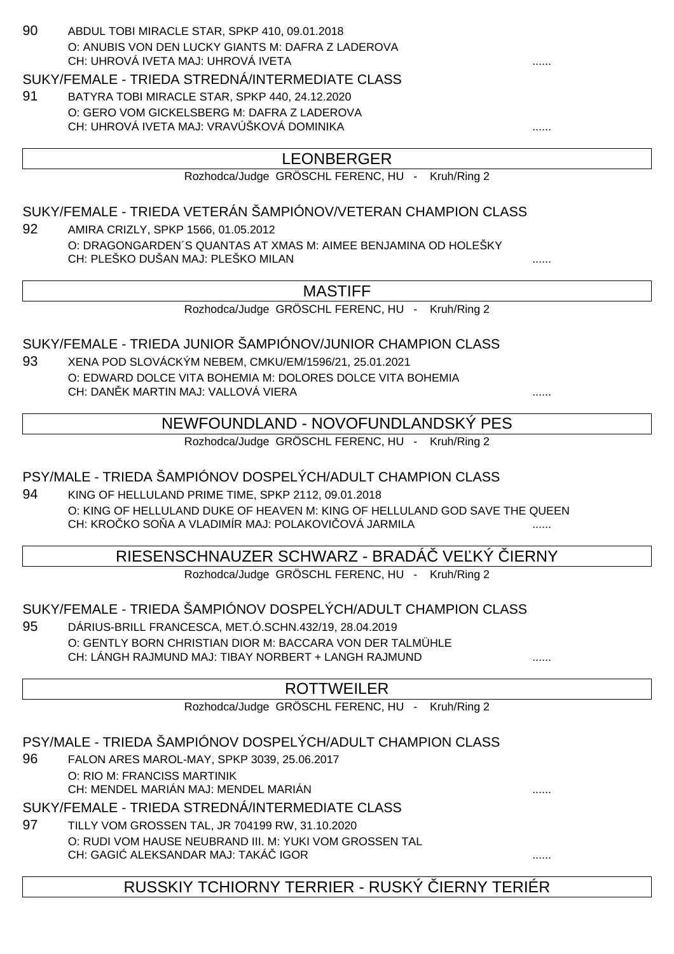| 90 | ABDUL TOBI MIRACLE STAR, SPKP 410, 09.01.2018                                                                                       |              |
|----|-------------------------------------------------------------------------------------------------------------------------------------|--------------|
|    | O: ANUBIS VON DEN LUCKY GIANTS M: DAFRA Z LADEROVA                                                                                  |              |
|    | CH: UHROVÁ IVETA MAJ: UHROVÁ IVETA                                                                                                  |              |
|    | SUKY/FEMALE - TRIEDA STREDNÁ/INTERMEDIATE CLASS                                                                                     |              |
| 91 | BATYRA TOBI MIRACLE STAR, SPKP 440, 24.12.2020                                                                                      |              |
|    | O: GERO VOM GICKELSBERG M: DAFRA Z LADEROVA                                                                                         |              |
|    | CH: UHROVÁ IVETA MAJ: VRAVÚŠKOVÁ DOMINIKA                                                                                           |              |
|    | <b>LEONBERGER</b>                                                                                                                   |              |
|    | Rozhodca/Judge GRÖSCHL FERENC, HU - Kruh/Ring 2                                                                                     |              |
|    |                                                                                                                                     |              |
|    | SUKY/FEMALE - TRIEDA VETERÁN ŠAMPIÓNOV/VETERAN CHAMPION CLASS                                                                       |              |
| 92 | AMIRA CRIZLY, SPKP 1566, 01.05.2012                                                                                                 |              |
|    | O: DRAGONGARDEN'S QUANTAS AT XMAS M: AIMEE BENJAMINA OD HOLEŠKY                                                                     |              |
|    | CH: PLEŠKO DUŠAN MAJ: PLEŠKO MILAN                                                                                                  |              |
|    | <b>MASTIFF</b>                                                                                                                      |              |
|    | Rozhodca/Judge GRÖSCHL FERENC, HU - Kruh/Ring 2                                                                                     |              |
|    |                                                                                                                                     |              |
|    | SUKY/FEMALE - TRIEDA JUNIOR ŠAMPIÓNOV/JUNIOR CHAMPION CLASS                                                                         |              |
| 93 | XENA POD SLOVÁCKÝM NEBEM, CMKU/EM/1596/21, 25.01.2021                                                                               |              |
|    | O: EDWARD DOLCE VITA BOHEMIA M: DOLORES DOLCE VITA BOHEMIA                                                                          |              |
|    | CH: DAN K MARTIN MAJ: VALLOVÁ VIERA                                                                                                 |              |
|    |                                                                                                                                     |              |
|    | NEWFOUNDLAND - NOVOFUNDLANDSKÝ PES                                                                                                  |              |
|    | Rozhodca/Judge GRÖSCHL FERENC, HU - Kruh/Ring 2                                                                                     |              |
|    | PSY/MALE - TRIEDA ŠAMPIÓNOV DOSPELÝCH/ADULT CHAMPION CLASS                                                                          |              |
|    |                                                                                                                                     |              |
| 94 | KING OF HELLULAND PRIME TIME, SPKP 2112, 09.01.2018                                                                                 |              |
|    | O: KING OF HELLULAND DUKE OF HEAVEN M: KING OF HELLULAND GOD SAVE THE QUEEN<br>CH: KRO KO SO A A VLADIMÍR MAJ: POLAKOVI OVÁ JARMILA |              |
|    |                                                                                                                                     |              |
|    | RIESENSCHNAUZER SCHWARZ - BRADA VE KY                                                                                               | <b>IERNY</b> |
|    | Rozhodca/Judge GRÖSCHL FERENC, HU - Kruh/Ring 2                                                                                     |              |
|    |                                                                                                                                     |              |
|    | SUKY/FEMALE - TRIEDA ŠAMPIÓNOV DOSPELÝCH/ADULT CHAMPION CLASS                                                                       |              |
| 95 | DÁRIUS-BRILL FRANCESCA, MET.Ó.SCHN.432/19, 28.04.2019                                                                               |              |
|    | O: GENTLY BORN CHRISTIAN DIOR M: BACCARA VON DER TALMÜHLE                                                                           |              |
|    | CH: LÁNGH RAJMUND MAJ: TIBAY NORBERT + LANGH RAJMUND                                                                                |              |
|    | <b>ROTTWEILER</b>                                                                                                                   |              |
|    | Rozhodca/Judge GRÖSCHL FERENC, HU - Kruh/Ring 2                                                                                     |              |
|    |                                                                                                                                     |              |
|    | PSY/MALE - TRIEDA ŠAMPIÓNOV DOSPELÝCH/ADULT CHAMPION CLASS                                                                          |              |
| 96 | FALON ARES MAROL-MAY, SPKP 3039, 25.06.2017                                                                                         |              |
|    | O: RIO M: FRANCISS MARTINIK<br>CH: MENDEL MARIÁN MAJ: MENDEL MARIÁN                                                                 |              |
|    |                                                                                                                                     |              |
|    | SUKY/FEMALE - TRIEDA STREDNÁ/INTERMEDIATE CLASS                                                                                     |              |
| 97 | TILLY VOM GROSSEN TAL, JR 704199 RW, 31.10.2020                                                                                     |              |
|    | O: RUDI VOM HAUSE NEUBRAND III. M: YUKI VOM GROSSEN TAL                                                                             |              |
|    | CH: GAGI ALEKSANDAR MAJ: TAKÁ IGOR                                                                                                  |              |
|    | RUSSKIY TCHIORNY TERRIER - RUSKÝ IERNY TERIÉR                                                                                       |              |
|    |                                                                                                                                     |              |
|    |                                                                                                                                     |              |
|    |                                                                                                                                     |              |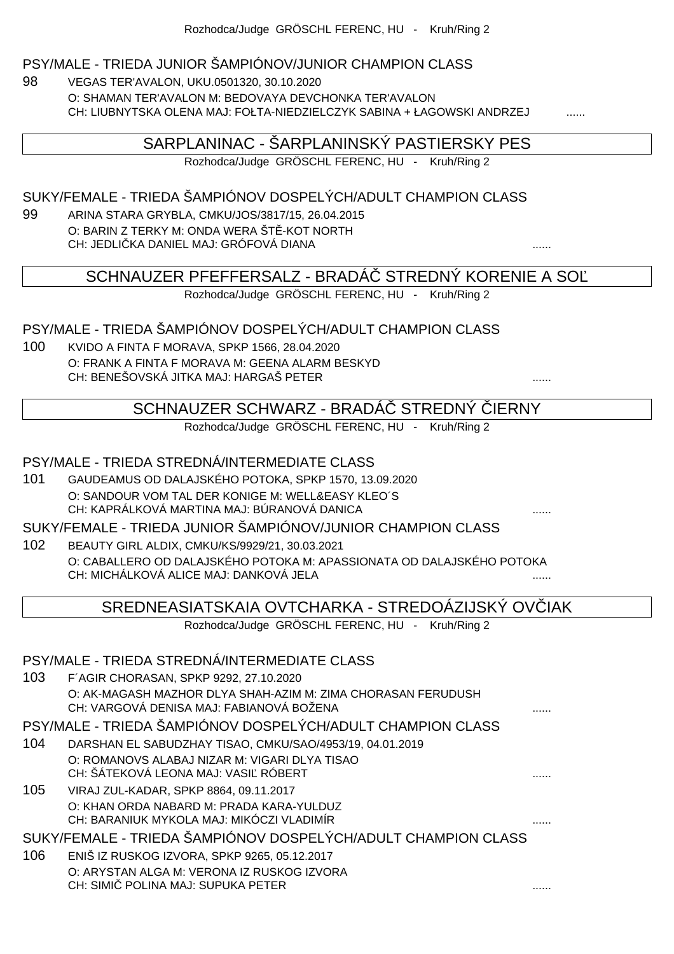#### PSY/MALE - TRIEDA JUNIOR ŠAMPIÓNOV/JUNIOR CHAMPION CLASS

98 VEGAS TER'AVALON, UKU.0501320, 30.10.2020 O: SHAMAN TER'AVALON M: BEDOVAYA DEVCHONKA TER'AVALON CH: LIUBNYTSKA OLENA MAJ: FOŁTA-NIEDZIELCZYK SABINA + ŁAGOWSKI ANDRZEJ

## SARPLANINAC - ŠARPLANINSKÝ PASTIERSKY PES

Rozhodca/Judge GRÖSCHL FERENC, HU - Kruh/Ring 2

## SUKY/FEMALE - TRIEDA ŠAMPIÓNOV DOSPELÝCH/ADULT CHAMPION CLASS

99 ARINA STARA GRYBLA, CMKU/JOS/3817/15, 26.04.2015 O: BARIN Z TERKY M: ONDA WERA ŠT - KOT NORTH CH: JEDLIČKA DANIEL MAJ: GRÓFOVÁ DIANA ......

SCHNAUZER PFEFFERSALZ - BRADÁ STREDNÝ KORENIE A SO

Rozhodca/Judge GRÖSCHL FERENC, HU - Kruh/Ring 2

### PSY/MALE - TRIEDA ŠAMPIÓNOV DOSPELÝCH/ADULT CHAMPION CLASS

100 KVIDO A FINTA F MORAVA, SPKP 1566, 28.04.2020 O: FRANK A FINTA F MORAVA M: GEENA ALARM BESKYD CH: BENEŠOVSKÁ JITKA MAJ: HARGAŠ PETER ......

## SCHNAUZER SCHWARZ - BRADÁ STREDNÝ JERNY

Rozhodca/Judge GRÖSCHL FERENC, HU - Kruh/Ring 2

#### PSY/MALE - TRIEDA STREDNÁ/INTERMEDIATE CLASS

101 GAUDEAMUS OD DALAJSKÉHO POTOKA, SPKP 1570, 13.09.2020 O: SANDOUR VOM TAL DER KONIGE M: WELL&EASY KLEO´S CH: KAPRÁLKOVÁ MARTINA MAJ: BÚRANOVÁ DANICA

SUKY/FEMALE - TRIEDA JUNIOR ŠAMPIÓNOV/JUNIOR CHAMPION CLASS

102 BEAUTY GIRL ALDIX, CMKU/KS/9929/21, 30.03.2021 O: CABALLERO OD DALAJSKÉHO POTOKA M: APASSIONATA OD DALAJSKÉHO POTOKA CH: MICHÁLKOVÁ ALICE MAJ: DANKOVÁ JELA

## SREDNEASIATSKAIA OVTCHARKA - STREDOÁZIJSKÝ OV IAK

Rozhodca/Judge GRÖSCHL FERENC, HU - Kruh/Ring 2

#### PSY/MALE - TRIEDA STREDNÁ/INTERMEDIATE CLASS

103 F´AGIR CHORASAN, SPKP 9292, 27.10.2020 O: AK-MAGASH MAZHOR DLYA SHAH-AZIM M: ZIMA CHORASAN FERUDUSH CH: VARGOVÁ DENISA MAJ: FABIANOVÁ BOŽENA

PSY/MALE - TRIEDA ŠAMPIÓNOV DOSPELÝCH/ADULT CHAMPION CLASS

- 104 DARSHAN EL SABUDZHAY TISAO, CMKU/SAO/4953/19, 04.01.2019 O: ROMANOVS ALABAJ NIZAR M: VIGARI DLYA TISAO CH: ŠÁTEKOVÁ LEONA MAJ: VASI RÓBERT
- 105 VIRAJ ZUL-KADAR, SPKP 8864, 09.11.2017 O: KHAN ORDA NABARD M: PRADA KARA-YULDUZ CH: BARANIUK MYKOLA MAJ: MIKÓCZI VLADIMÍR ......

SUKY/FEMALE - TRIEDA ŠAMPIÓNOV DOSPELÝCH/ADULT CHAMPION CLASS

106 ENIŠ IZ RUSKOG IZVORA, SPKP 9265, 05.12.2017 O: ARYSTAN ALGA M: VERONA IZ RUSKOG IZVORA CH: SIMIČ POLINA MAJ: SUPUKA PETER ......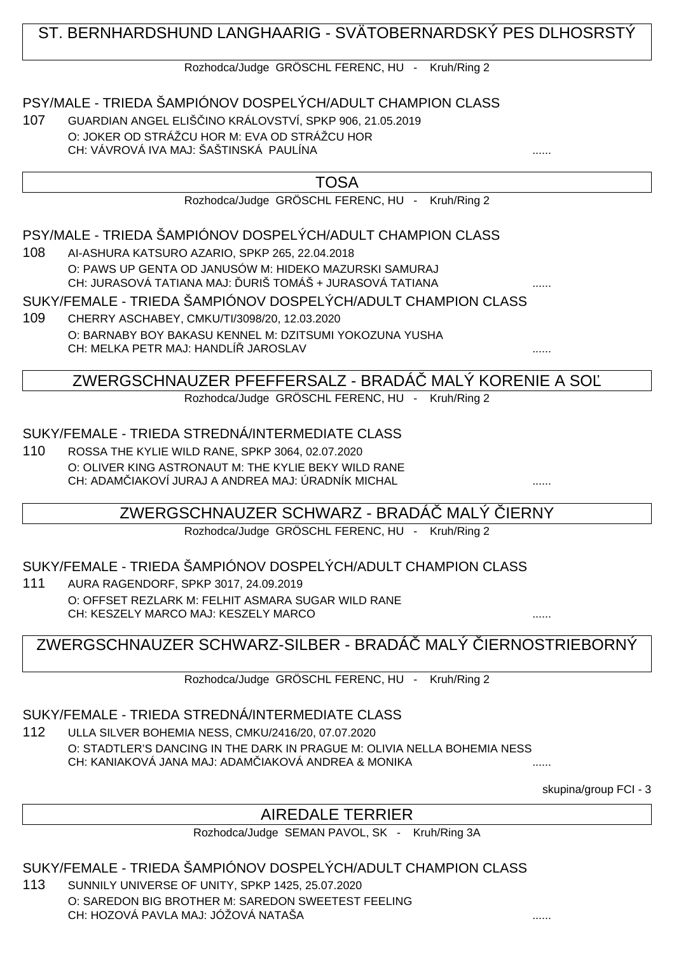# ST. BERNHARDSHUND LANGHAARIG - SVÄTOBERNARDSKÝ PES DLHOSRSTÝ

#### Rozhodca/Judge GRÖSCHL FERENC, HU - Kruh/Ring 2

PSY/MALE - TRIEDA ŠAMPIÓNOV DOSPELÝCH/ADULT CHAMPION CLASS

107 GUARDIAN ANGEL ELIŠČINO KRÁLOVSTVÍ, SPKP 906, 21.05.2019 O: JOKER OD STRÁŽCU HOR M: EVA OD STRÁŽCU HOR CH: VÁVROVÁ IVA MAJ: ŠAŠTINSKÁ PAULÍNA

| TOSA                                                                                                              |                   |
|-------------------------------------------------------------------------------------------------------------------|-------------------|
| Rozhodca/Judge GRÖSCHL FERENC, HU - Kruh/Ring 2                                                                   |                   |
| PSY/MALE - TRIEDA ŠAMPIÓNOV DOSPELÝCH/ADULT CHAMPION CLASS                                                        |                   |
| 108<br>AI-ASHURA KATSURO AZARIO, SPKP 265, 22.04.2018                                                             |                   |
| O: PAWS UP GENTA OD JANUSÓW M: HIDEKO MAZURSKI SAMURAJ<br>CH: JURASOVÁ TATIANA MAJ: URIŠ TOMÁŠ + JURASOVÁ TATIANA | .                 |
| SUKY/FEMALE - TRIEDA ŠAMPIÓNOV DOSPELÝCH/ADULT CHAMPION CLASS                                                     |                   |
| 109<br>CHERRY ASCHABEY, CMKU/TI/3098/20, 12.03.2020                                                               |                   |
| O: BARNABY BOY BAKASU KENNEL M: DZITSUMI YOKOZUNA YUSHA                                                           |                   |
| CH: MELKA PETR MAJ: HANDLÍ JAROSLAV                                                                               |                   |
| ZWERGSCHNAUZER PFEFFERSALZ - BRADA                                                                                | MALÝ KORENIE A SO |
| Rozhodca/Judge GRÖSCHL FERENC, HU -                                                                               | Kruh/Ring 2       |
|                                                                                                                   |                   |
| SUKY/FEMALE - TRIEDA STREDNÁ/INTERMEDIATE CLASS                                                                   |                   |
| 110<br>ROSSA THE KYLIE WILD RANE, SPKP 3064, 02.07.2020                                                           |                   |
| O: OLIVER KING ASTRONAUT M: THE KYLIE BEKY WILD RANE                                                              |                   |
| CH: ADAM -IAKOVÍ JURAJ A ANDREA MAJ: ÚRADNÍK MICHAL                                                               |                   |

ZWERGSCHNAUZER SCHWARZ - BRADÁ MALÝ JERNY

Rozhodca/Judge GRÖSCHL FERENC, HU - Kruh/Ring 2

SUKY/FEMALE - TRIEDA ŠAMPIÓNOV DOSPELÝCH/ADULT CHAMPION CLASS

111 AURA RAGENDORF, SPKP 3017, 24.09.2019 O: OFFSET REZLARK M: FELHIT ASMARA SUGAR WILD RANE CH: KESZELY MARCO MAJ: KESZELY MARCO ......

ZWERGSCHNAUZER SCHWARZ-SILBER - BRADÁ MALÝ JERNOSTRIEBORNÝ

Rozhodca/Judge GRÖSCHL FERENC, HU - Kruh/Ring 2

SUKY/FEMALE - TRIEDA STREDNÁ/INTERMEDIATE CLASS

112 ULLA SILVER BOHEMIA NESS, CMKU/2416/20, 07.07.2020 O: STADTLER'S DANCING IN THE DARK IN PRAGUE M: OLIVIA NELLA BOHEMIA NESS CH: KANIAKOVÁ JANA MAJ: ADAM IAKOVÁ ANDREA & MONIKA .......

skupina/group FCI - 3

## AIREDALE TERRIER

Rozhodca/Judge SEMAN PAVOL, SK - Kruh/Ring 3A

SUKY/FEMALE - TRIEDA ŠAMPIÓNOV DOSPELÝCH/ADULT CHAMPION CLASS

113 SUNNILY UNIVERSE OF UNITY, SPKP 1425, 25.07.2020 O: SAREDON BIG BROTHER M: SAREDON SWEETEST FEELING CH: HOZOVÁ PAVLA MAJ: JÓŽOVÁ NATAŠA ......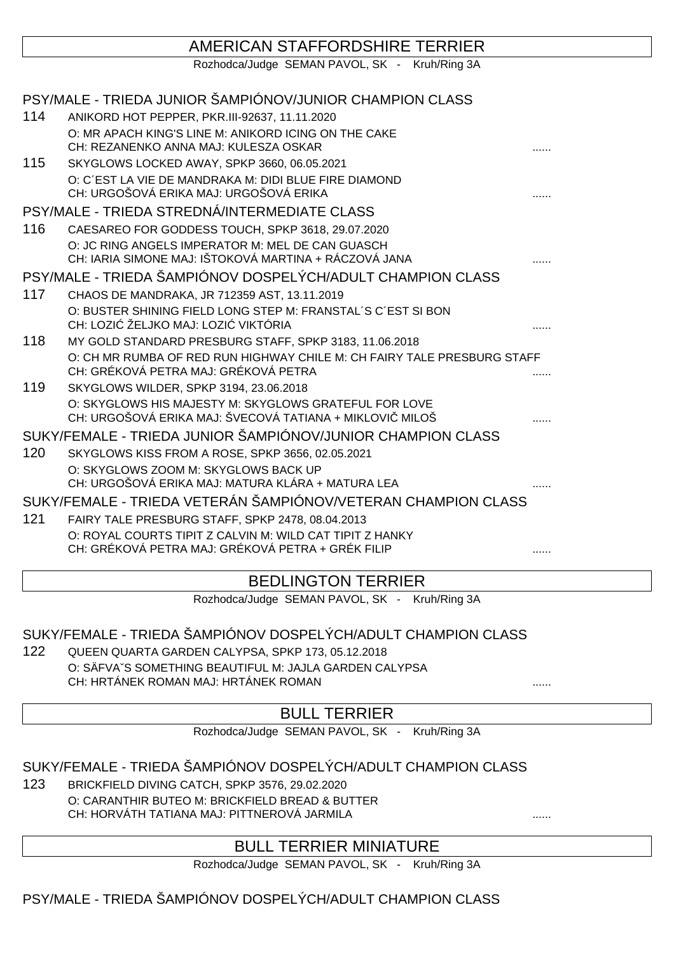## AMERICAN STAFFORDSHIRE TERRIER

Rozhodca/Judge SEMAN PAVOL, SK - Kruh/Ring 3A

|     | PSY/MALE - TRIEDA JUNIOR ŠAMPIÓNOV/JUNIOR CHAMPION CLASS                                                        |   |
|-----|-----------------------------------------------------------------------------------------------------------------|---|
| 114 | ANIKORD HOT PEPPER, PKR.III-92637, 11.11.2020                                                                   |   |
|     | O: MR APACH KING'S LINE M: ANIKORD ICING ON THE CAKE                                                            |   |
|     | CH: REZANENKO ANNA MAJ: KULESZA OSKAR                                                                           |   |
| 115 | SKYGLOWS LOCKED AWAY, SPKP 3660, 06.05.2021                                                                     |   |
|     | O: C'EST LA VIE DE MANDRAKA M: DIDI BLUE FIRE DIAMOND                                                           |   |
|     | CH: URGOŠOVÁ ERIKA MAJ: URGOŠOVÁ ERIKA                                                                          |   |
|     | PSY/MALE - TRIEDA STREDNÁ/INTERMEDIATE CLASS                                                                    |   |
| 116 | CAESAREO FOR GODDESS TOUCH, SPKP 3618, 29.07.2020                                                               |   |
|     | O: JC RING ANGELS IMPERATOR M: MEL DE CAN GUASCH                                                                |   |
|     | CH: IARIA SIMONE MAJ: IŠTOKOVÁ MARTINA + RÁCZOVÁ JANA                                                           |   |
|     | PSY/MALE - TRIEDA ŠAMPIÓNOV DOSPELÝCH/ADULT CHAMPION CLASS                                                      |   |
| 117 | CHAOS DE MANDRAKA, JR 712359 AST, 13.11.2019                                                                    |   |
|     | O: BUSTER SHINING FIELD LONG STEP M: FRANSTAL'S C'EST SI BON                                                    |   |
|     | CH: LOZI ŽELJKO MAJ: LOZI VIKTÓRIA                                                                              |   |
| 118 | MY GOLD STANDARD PRESBURG STAFF, SPKP 3183, 11.06.2018                                                          |   |
|     | O: CH MR RUMBA OF RED RUN HIGHWAY CHILE M: CH FAIRY TALE PRESBURG STAFF<br>CH: GRÉKOVÁ PETRA MAJ: GRÉKOVÁ PETRA |   |
| 119 | SKYGLOWS WILDER, SPKP 3194, 23.06.2018                                                                          |   |
|     | O: SKYGLOWS HIS MAJESTY M: SKYGLOWS GRATEFUL FOR LOVE                                                           |   |
|     | CH: URGOŠOVÁ ERIKA MAJ: ŠVECOVÁ TATIANA + MIKLOVI MILOŠ                                                         |   |
|     | SUKY/FEMALE - TRIEDA JUNIOR ŠAMPIÓNOV/JUNIOR CHAMPION CLASS                                                     |   |
| 120 | SKYGLOWS KISS FROM A ROSE, SPKP 3656, 02.05.2021                                                                |   |
|     | O: SKYGLOWS ZOOM M: SKYGLOWS BACK UP                                                                            |   |
|     | CH: URGOŠOVÁ ERIKA MAJ: MATURA KLÁRA + MATURA LEA                                                               |   |
|     | SUKY/FEMALE - TRIEDA VETERÁN ŠAMPIÓNOV/VETERAN CHAMPION CLASS                                                   |   |
| 121 | FAIRY TALE PRESBURG STAFF, SPKP 2478, 08.04.2013                                                                |   |
|     | O: ROYAL COURTS TIPIT Z CALVIN M: WILD CAT TIPIT Z HANKY                                                        |   |
|     | CH: GRÉKOVÁ PETRA MAJ: GRÉKOVÁ PETRA + GRÉK FILIP                                                               | . |

## BEDLINGTON TERRIER

Rozhodca/Judge SEMAN PAVOL, SK - Kruh/Ring 3A

SUKY/FEMALE - TRIEDA ŠAMPIÓNOV DOSPELÝCH/ADULT CHAMPION CLASS

122 QUEEN QUARTA GARDEN CALYPSA, SPKP 173, 05.12.2018 O: SÄFVAˇS SOMETHING BEAUTIFUL M: JAJLA GARDEN CALYPSA

CH: HRTÁNEK ROMAN MAJ: HRTÁNEK ROMAN

## BULL TERRIER

Rozhodca/Judge SEMAN PAVOL, SK - Kruh/Ring 3A

SUKY/FEMALE - TRIEDA ŠAMPIÓNOV DOSPELÝCH/ADULT CHAMPION CLASS

123 BRICKFIELD DIVING CATCH, SPKP 3576, 29.02.2020 O: CARANTHIR BUTEO M: BRICKFIELD BREAD & BUTTER CH: HORVÁTH TATIANA MAJ: PITTNEROVÁ JARMILA ......

## BULL TERRIER MINIATURE

Rozhodca/Judge SEMAN PAVOL, SK - Kruh/Ring 3A

PSY/MALE - TRIEDA ŠAMPIÓNOV DOSPELÝCH/ADULT CHAMPION CLASS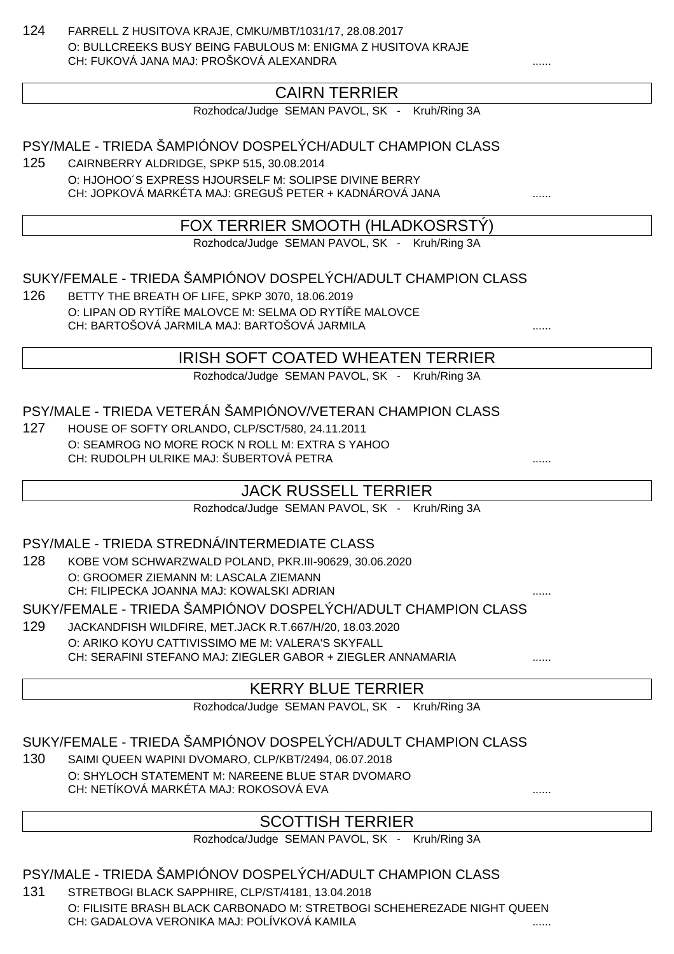124 FARRELL Z HUSITOVA KRAJE, CMKU/MBT/1031/17, 28.08.2017 O: BULLCREEKS BUSY BEING FABULOUS M: ENIGMA Z HUSITOVA KRAJE CH: FUKOVÁ JANA MAJ: PROŠKOVÁ ALEXANDRA

## CAIRN TERRIER

Rozhodca/Judge SEMAN PAVOL, SK - Kruh/Ring 3A

PSY/MALE - TRIEDA ŠAMPIÓNOV DOSPELÝCH/ADULT CHAMPION CLASS

125 CAIRNBERRY ALDRIDGE, SPKP 515, 30.08.2014 O: HJOHOO´S EXPRESS HJOURSELF M: SOLIPSE DIVINE BERRY CH: JOPKOVÁ MARKÉTA MAJ: GREGUŠ PETER + KADNÁROVÁ JANA ......

## FOX TERRIER SMOOTH (HLADKOSRSTÝ)

Rozhodca/Judge SEMAN PAVOL, SK - Kruh/Ring 3A

SUKY/FEMALE - TRIEDA ŠAMPIÓNOV DOSPELÝCH/ADULT CHAMPION CLASS

126 BETTY THE BREATH OF LIFE, SPKP 3070, 18.06.2019 O: LIPAN OD RYTÍ E MALOVCE M: SELMA OD RYTÍ E MALOVCE CH: BARTOŠOVÁ JARMILA MAJ: BARTOŠOVÁ JARMILA

### IRISH SOFT COATED WHEATEN TERRIER

Rozhodca/Judge SEMAN PAVOL, SK - Kruh/Ring 3A

#### PSY/MALE - TRIEDA VETERÁN ŠAMPIÓNOV/VETERAN CHAMPION CLASS

127 HOUSE OF SOFTY ORLANDO, CLP/SCT/580, 24.11.2011 O: SEAMROG NO MORE ROCK N ROLL M: EXTRA S YAHOO CH: RUDOLPH ULRIKE MAJ: ŠUBERTOVÁ PETRA ......

## JACK RUSSELL TERRIER

Rozhodca/Judge SEMAN PAVOL, SK - Kruh/Ring 3A

#### PSY/MALE - TRIEDA STREDNÁ/INTERMEDIATE CLASS

128 KOBE VOM SCHWARZWALD POLAND, PKR.III-90629, 30.06.2020 O: GROOMER ZIEMANN M: LASCALA ZIEMANN CH: FILIPECKA JOANNA MAJ: KOWALSKI ADRIAN

SUKY/FEMALE - TRIEDA ŠAMPIÓNOV DOSPELÝCH/ADULT CHAMPION CLASS

129 JACKANDFISH WILDFIRE, MET.JACK R.T.667/H/20, 18.03.2020 O: ARIKO KOYU CATTIVISSIMO ME M: VALERA'S SKYFALL CH: SERAFINI STEFANO MAJ: ZIEGLER GABOR + ZIEGLER ANNAMARIA

## KERRY BLUE TERRIER

Rozhodca/Judge SEMAN PAVOL, SK - Kruh/Ring 3A

SUKY/FEMALE - TRIEDA ŠAMPIÓNOV DOSPELÝCH/ADULT CHAMPION CLASS

130 SAIMI QUEEN WAPINI DVOMARO, CLP/KBT/2494, 06.07.2018 O: SHYLOCH STATEMENT M: NAREENE BLUE STAR DVOMARO CH: NETÍKOVÁ MARKÉTA MAJ: ROKOSOVÁ EVA

## SCOTTISH TERRIER

Rozhodca/Judge SEMAN PAVOL, SK - Kruh/Ring 3A

#### PSY/MALE - TRIEDA ŠAMPIÓNOV DOSPELÝCH/ADULT CHAMPION CLASS

131 STRETBOGI BLACK SAPPHIRE, CLP/ST/4181, 13.04.2018 O: FILISITE BRASH BLACK CARBONADO M: STRETBOGI SCHEHEREZADE NIGHT QUEEN CH: GADALOVA VERONIKA MAJ: POLÍVKOVÁ KAMILA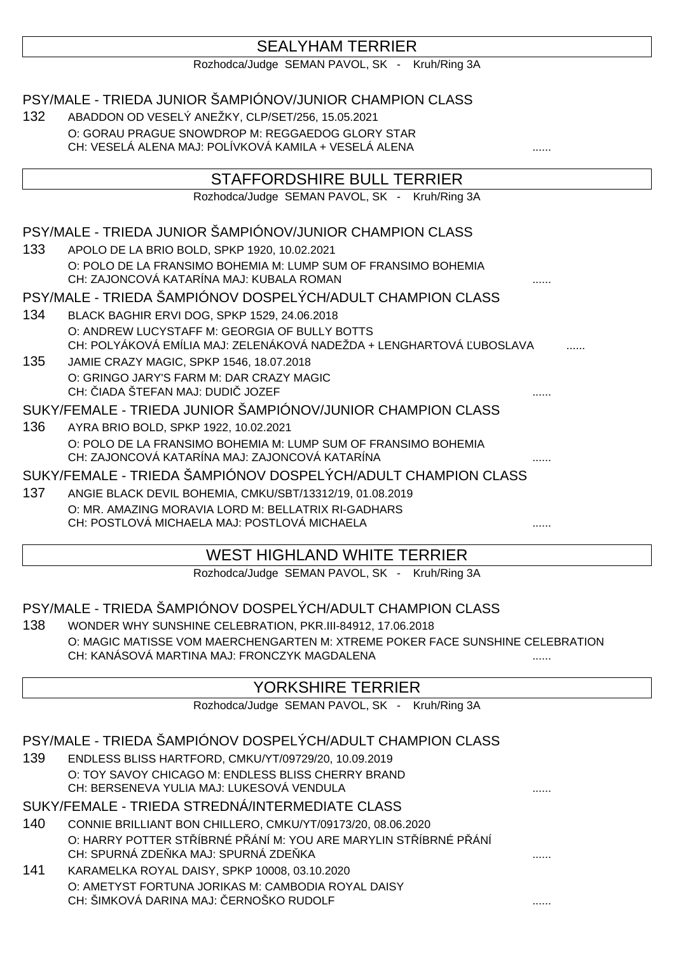## SEALYHAM TERRIER

Rozhodca/Judge SEMAN PAVOL, SK - Kruh/Ring 3A

PSY/MALE - TRIEDA JUNIOR ŠAMPIÓNOV/JUNIOR CHAMPION CLASS

132 ABADDON OD VESELÝ ANEŽKY, CLP/SET/256, 15.05.2021 O: GORAU PRAGUE SNOWDROP M: REGGAEDOG GLORY STAR CH: VESELÁ ALENA MAJ: POLÍVKOVÁ KAMILA + VESELÁ ALENA

## STAFFORDSHIRE BULL TERRIER

Rozhodca/Judge SEMAN PAVOL, SK - Kruh/Ring 3A

### PSY/MALE - TRIEDA JUNIOR ŠAMPIÓNOV/JUNIOR CHAMPION CLASS

133 APOLO DE LA BRIO BOLD, SPKP 1920, 10.02.2021 O: POLO DE LA FRANSIMO BOHEMIA M: LUMP SUM OF FRANSIMO BOHEMIA CH: ZAJONCOVÁ KATARÍNA MAJ: KUBALA ROMAN

PSY/MALE - TRIEDA ŠAMPIÓNOV DOSPELÝCH/ADULT CHAMPION CLASS

- 134 BLACK BAGHIR ERVI DOG, SPKP 1529, 24.06.2018 O: ANDREW LUCYSTAFF M: GEORGIA OF BULLY BOTTS CH: POLYÁKOVÁ EMÍLIA MAJ: ZELENÁKOVÁ NADEŽDA + LENGHARTOVÁ UBOSLAVA
- 135 JAMIE CRAZY MAGIC, SPKP 1546, 18.07.2018 O: GRINGO JARY'S FARM M: DAR CRAZY MAGIC CH: JADA ŠTEFAN MAJ: DUDI JOZEF

SUKY/FEMALE - TRIEDA JUNIOR ŠAMPIÓNOV/JUNIOR CHAMPION CLASS

136 AYRA BRIO BOLD, SPKP 1922, 10.02.2021 O: POLO DE LA FRANSIMO BOHEMIA M: LUMP SUM OF FRANSIMO BOHEMIA CH: ZAJONCOVÁ KATARÍNA MAJ: ZAJONCOVÁ KATARÍNA

SUKY/FEMALE - TRIEDA ŠAMPIÓNOV DOSPELÝCH/ADULT CHAMPION CLASS

137 ANGIE BLACK DEVIL BOHEMIA, CMKU/SBT/13312/19, 01.08.2019 O: MR. AMAZING MORAVIA LORD M: BELLATRIX RI-GADHARS CH: POSTLOVÁ MICHAELA MAJ: POSTLOVÁ MICHAELA

## WEST HIGHLAND WHITE TERRIER

Rozhodca/Judge SEMAN PAVOL, SK - Kruh/Ring 3A

## PSY/MALE - TRIEDA ŠAMPIÓNOV DOSPELÝCH/ADULT CHAMPION CLASS

138 WONDER WHY SUNSHINE CELEBRATION, PKR.III-84912, 17.06.2018 O: MAGIC MATISSE VOM MAERCHENGARTEN M: XTREME POKER FACE SUNSHINE CELEBRATION CH: KANÁSOVÁ MARTINA MAJ: FRONCZYK MAGDALENA

## YORKSHIRE TERRIER

Rozhodca/Judge SEMAN PAVOL, SK - Kruh/Ring 3A

|     | PSY/MALE - TRIEDA ŠAMPIÓNOV DOSPELÝCH/ADULT CHAMPION CLASS                                            |  |
|-----|-------------------------------------------------------------------------------------------------------|--|
| 139 | ENDLESS BLISS HARTFORD, CMKU/YT/09729/20, 10.09.2019                                                  |  |
|     | O: TOY SAVOY CHICAGO M: ENDLESS BLISS CHERRY BRAND<br>CH: BERSENEVA YULIA MAJ: LUKESOVÁ VENDULA       |  |
|     | SUKY/FEMALE - TRIEDA STREDNÁ/INTERMEDIATE CLASS                                                       |  |
| 140 | CONNIE BRILLIANT BON CHILLERO, CMKU/YT/09173/20, 08.06.2020                                           |  |
|     | O: HARRY POTTER ST ÍBRNÉ PÁNÍM: YOU ARE MARYLIN ST ÍBRNÉ PÁNÍ<br>CH: SPURNÁ ZDE KA MAJ: SPURNÁ ZDE KA |  |
| 141 | KARAMELKA ROYAL DAISY, SPKP 10008, 03.10.2020                                                         |  |
|     | O: AMETYST FORTUNA JORIKAS M: CAMBODIA ROYAL DAISY<br>CH: ŠIMKOVÁ DARINA MAJ: ERNOŠKO RUDOLF          |  |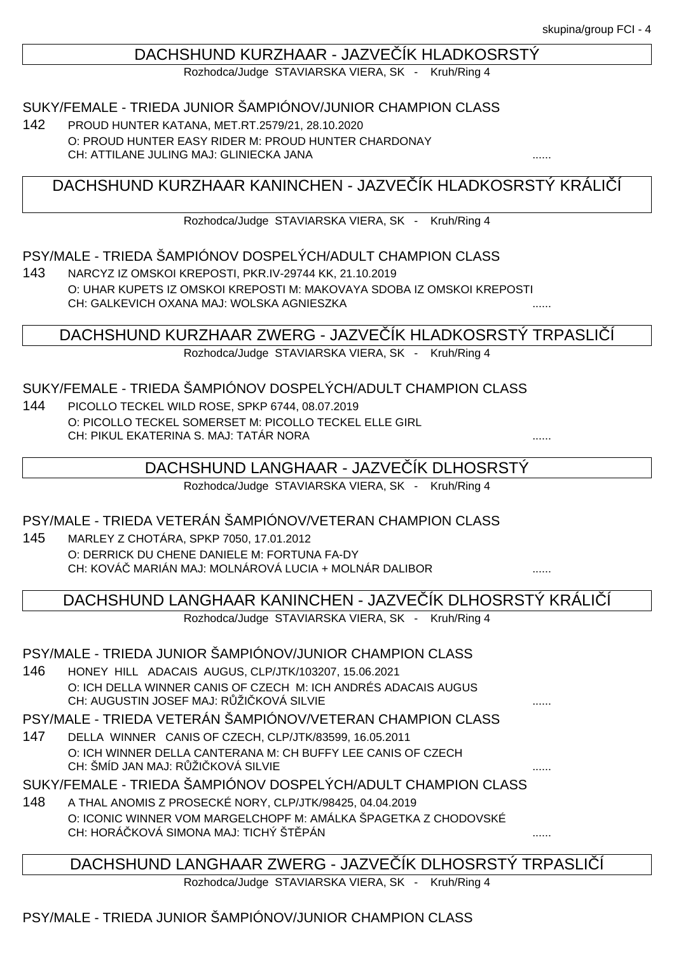#### DACHSHUND KURZHAAR - JAZVE ÍK HLADKOSRSTÝ

Rozhodca/Judge STAVIARSKA VIERA, SK - Kruh/Ring 4

#### SUKY/FEMALE - TRIEDA JUNIOR ŠAMPIÓNOV/JUNIOR CHAMPION CLASS

142 PROUD HUNTER KATANA, MET.RT.2579/21, 28.10.2020 O: PROUD HUNTER EASY RIDER M: PROUD HUNTER CHARDONAY CH: ATTILANE JULING MAJ: GLINIECKA JANA ......

DACHSHUND KURZHAAR KANINCHEN - JAZVE ÍK HLADKOSRSTÝ KRÁLICÍ

Rozhodca/Judge STAVIARSKA VIERA, SK - Kruh/Ring 4

#### PSY/MALE - TRIEDA ŠAMPIÓNOV DOSPELÝCH/ADULT CHAMPION CLASS

143 NARCYZ IZ OMSKOI KREPOSTI, PKR.IV-29744 KK, 21.10.2019 O: UHAR KUPETS IZ OMSKOI KREPOSTI M: MAKOVAYA SDOBA IZ OMSKOI KREPOSTI CH: GALKEVICH OXANA MAJ: WOLSKA AGNIESZKA ......

#### DACHSHUND KURZHAAR ZWERG - JAZVE ÍK HLADKOSRSTÝ TRPASLIÍ

Rozhodca/Judge STAVIARSKA VIERA, SK - Kruh/Ring 4

#### SUKY/FEMALE - TRIEDA ŠAMPIÓNOV DOSPELÝCH/ADULT CHAMPION CLASS

144 PICOLLO TECKEL WILD ROSE, SPKP 6744, 08.07.2019 O: PICOLLO TECKEL SOMERSET M: PICOLLO TECKEL ELLE GIRL CH: PIKUL EKATERINA S. MAJ: TATÁR NORA

### DACHSHUND LANGHAAR - JAZVE ÍK DLHOSRSTY

Rozhodca/Judge STAVIARSKA VIERA, SK - Kruh/Ring 4

#### PSY/MALE - TRIEDA VETERÁN ŠAMPIÓNOV/VETERAN CHAMPION CLASS

145 MARLEY Z CHOTÁRA, SPKP 7050, 17.01.2012 O: DERRICK DU CHENE DANIELE M: FORTUNA FA-DY CH: KOVÁ MARIÁN MAJ: MOLNÁROVÁ LUCIA + MOLNÁR DALIBOR .......

DACHSHUND LANGHAAR KANINCHEN - JAZVE ÍK DLHOSRSTÝ KRÁLIÍÍ

Rozhodca/Judge STAVIARSKA VIERA, SK - Kruh/Ring 4

#### PSY/MALE - TRIEDA JUNIOR ŠAMPIÓNOV/JUNIOR CHAMPION CLASS

146 HONEY HILL ADACAIS AUGUS, CLP/JTK/103207, 15.06.2021 O: ICH DELLA WINNER CANIS OF CZECH M: ICH ANDRÉS ADACAIS AUGUS CH: AUGUSTIN JOSEF MAJ: R ŽI KOVÁ SILVIE

PSY/MALE - TRIEDA VETERÁN ŠAMPIÓNOV/VETERAN CHAMPION CLASS

147 DELLA WINNER CANIS OF CZECH, CLP/JTK/83599, 16.05.2011 O: ICH WINNER DELLA CANTERANA M: CH BUFFY LEE CANIS OF CZECH CH: ŠMÍD JAN MAJ: R ŽI KOVÁ SILVIE

#### SUKY/FEMALE - TRIEDA ŠAMPIÓNOV DOSPELÝCH/ADULT CHAMPION CLASS

148 A THAL ANOMIS Z PROSECKÉ NORY, CLP/JTK/98425, 04.04.2019 O: ICONIC WINNER VOM MARGELCHOPF M: AMÁLKA ŠPAGETKA Z CHODOVSKÉ CH: HORÁČKOVÁ SIMONA MAJ: TICHÝ ŠTĚPÁN ......

## DACHSHUND LANGHAAR ZWERG - JAZVE ÍK DLHOSRSTÝ TRPASLIÍ

Rozhodca/Judge STAVIARSKA VIERA, SK - Kruh/Ring 4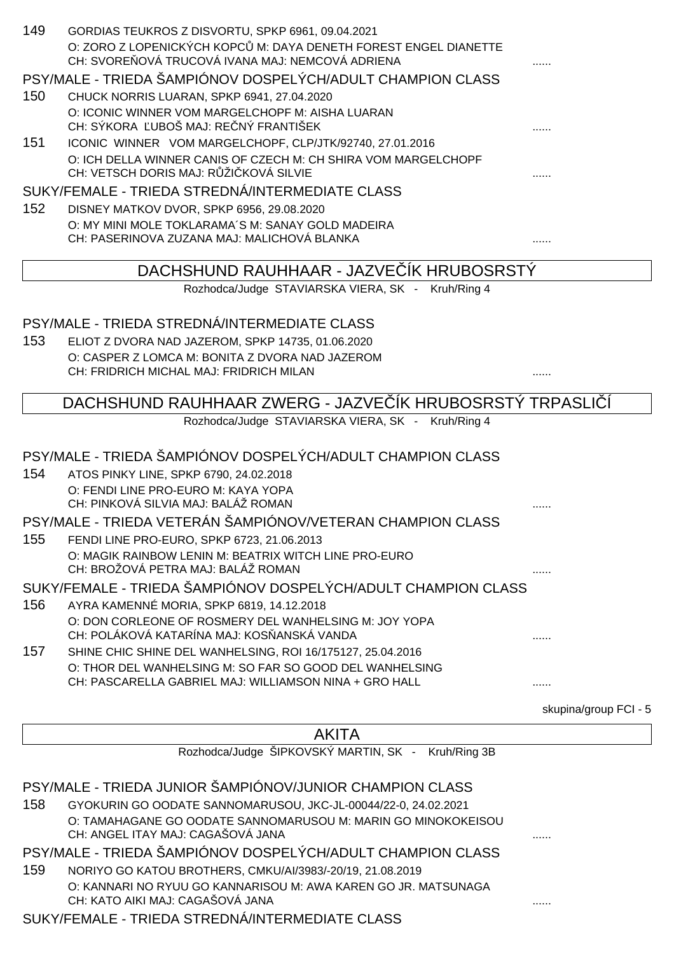| 149 | GORDIAS TEUKROS Z DISVORTU, SPKP 6961, 09.04.2021<br>O: ZORO Z LOPENICKÝCH KOPC M: DAYA DENETH FOREST ENGEL DIANETTE<br>CH: SVORE OVÁ TRUCOVÁ IVANA MAJ: NEMCOVÁ ADRIENA |                       |
|-----|--------------------------------------------------------------------------------------------------------------------------------------------------------------------------|-----------------------|
|     | PSY/MALE - TRIEDA ŠAMPIÓNOV DOSPELÝCH/ADULT CHAMPION CLASS                                                                                                               |                       |
| 150 | CHUCK NORRIS LUARAN, SPKP 6941, 27.04.2020                                                                                                                               |                       |
|     | O: ICONIC WINNER VOM MARGELCHOPF M: AISHA LUARAN                                                                                                                         |                       |
|     | CH: SÝKORA UBOŠ MAJ: RE NÝ FRANTIŠEK                                                                                                                                     |                       |
| 151 | ICONIC WINNER VOM MARGELCHOPF, CLP/JTK/92740, 27.01.2016                                                                                                                 |                       |
|     | O: ICH DELLA WINNER CANIS OF CZECH M: CH SHIRA VOM MARGELCHOPF<br>CH: VETSCH DORIS MAJ: R ŽI KOVÁ SILVIE                                                                 |                       |
|     | SUKY/FEMALE - TRIEDA STREDNÁ/INTERMEDIATE CLASS                                                                                                                          |                       |
| 152 | DISNEY MATKOV DVOR, SPKP 6956, 29.08.2020                                                                                                                                |                       |
|     | O: MY MINI MOLE TOKLARAMA'S M: SANAY GOLD MADEIRA                                                                                                                        |                       |
|     | CH: PASERINOVA ZUZANA MAJ: MALICHOVÁ BLANKA                                                                                                                              |                       |
|     | DACHSHUND RAUHHAAR - JAZVE IK HRUBOSRSTÝ                                                                                                                                 |                       |
|     | Rozhodca/Judge STAVIARSKA VIERA, SK - Kruh/Ring 4                                                                                                                        |                       |
|     |                                                                                                                                                                          |                       |
|     | PSY/MALE - TRIEDA STREDNÁ/INTERMEDIATE CLASS                                                                                                                             |                       |
| 153 | ELIOT Z DVORA NAD JAZEROM, SPKP 14735, 01.06.2020                                                                                                                        |                       |
|     | O: CASPER Z LOMCA M: BONITA Z DVORA NAD JAZEROM                                                                                                                          |                       |
|     | CH: FRIDRICH MICHAL MAJ: FRIDRICH MILAN                                                                                                                                  | .                     |
|     | DACHSHUND RAUHHAAR ZWERG - JAZVE IK HRUBOSRSTÝ TRPASLI                                                                                                                   |                       |
|     | Rozhodca/Judge STAVIARSKA VIERA, SK - Kruh/Ring 4                                                                                                                        |                       |
|     |                                                                                                                                                                          |                       |
|     | PSY/MALE - TRIEDA ŠAMPIÓNOV DOSPELÝCH/ADULT CHAMPION CLASS                                                                                                               |                       |
| 154 | ATOS PINKY LINE, SPKP 6790, 24.02.2018                                                                                                                                   |                       |
|     | O: FENDI LINE PRO-EURO M: KAYA YOPA                                                                                                                                      |                       |
|     | CH: PINKOVÁ SILVIA MAJ: BALÁŽ ROMAN                                                                                                                                      |                       |
|     | PSY/MALE - TRIEDA VETERÁN ŠAMPIÓNOV/VETERAN CHAMPION CLASS                                                                                                               |                       |
| 155 | FENDI LINE PRO-EURO, SPKP 6723, 21.06.2013                                                                                                                               |                       |
|     | O: MAGIK RAINBOW LENIN M: BEATRIX WITCH LINE PRO-EURO<br>CH: BROŽOVÁ PETRA MAJ: BALÁŽ ROMAN                                                                              |                       |
|     | SUKY/FEMALE - TRIEDA ŠAMPIÓNOV DOSPELÝCH/ADULT CHAMPION CLASS                                                                                                            |                       |
| 156 | AYRA KAMENNÉ MORIA, SPKP 6819, 14.12.2018                                                                                                                                |                       |
|     | O: DON CORLEONE OF ROSMERY DEL WANHELSING M: JOY YOPA<br>CH: POLÁKOVÁ KATARÍNA MAJ: KOS ANSKÁ VANDA                                                                      |                       |
| 157 | SHINE CHIC SHINE DEL WANHELSING, ROI 16/175127, 25.04.2016                                                                                                               |                       |
|     | O: THOR DEL WANHELSING M: SO FAR SO GOOD DEL WANHELSING                                                                                                                  |                       |
|     | CH: PASCARELLA GABRIEL MAJ: WILLIAMSON NINA + GRO HALL                                                                                                                   |                       |
|     |                                                                                                                                                                          |                       |
|     |                                                                                                                                                                          | skupina/group FCI - 5 |
|     | <b>AKITA</b>                                                                                                                                                             |                       |
|     | Rozhodca/Judge ŠIPKOVSKÝ MARTIN, SK - Kruh/Ring 3B                                                                                                                       |                       |
|     |                                                                                                                                                                          |                       |
|     | PSY/MALE - TRIEDA JUNIOR ŠAMPIÓNOV/JUNIOR CHAMPION CLASS                                                                                                                 |                       |
| 158 | GYOKURIN GO OODATE SANNOMARUSOU, JKC-JL-00044/22-0, 24.02.2021                                                                                                           |                       |
|     | O: TAMAHAGANE GO OODATE SANNOMARUSOU M: MARIN GO MINOKOKEISOU<br>CH: ANGEL ITAY MAJ: CAGAŠOVÁ JANA                                                                       |                       |
|     | PSY/MALE - TRIEDA ŠAMPIÓNOV DOSPELÝCH/ADULT CHAMPION CLASS                                                                                                               |                       |
| 159 | NORIYO GO KATOU BROTHERS, CMKU/AI/3983/-20/19, 21.08.2019                                                                                                                |                       |
|     |                                                                                                                                                                          |                       |

#### SUKY/FEMALE - TRIEDA STREDNÁ/INTERMEDIATE CLASS

O: KANNARI NO RYUU GO KANNARISOU M: AWA KAREN GO JR. MATSUNAGA

CH: KATO AIKI MAJ: CAGAŠOVÁ JANA ......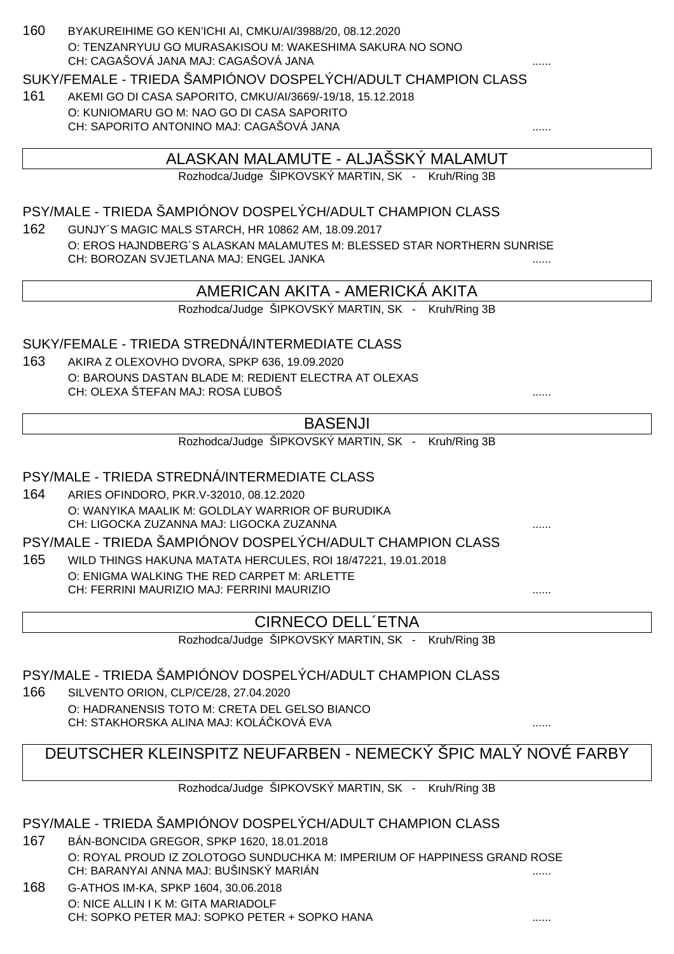#### 160 BYAKUREIHIME GO KEN'ICHI AI, CMKU/AI/3988/20, 08.12.2020 O: TENZANRYUU GO MURASAKISOU M: WAKESHIMA SAKURA NO SONO CH: CAGAŠOVÁ JANA MAJ: CAGAŠOVÁ JANA

#### SUKY/FEMALE - TRIEDA ŠAMPIÓNOV DOSPELÝCH/ADULT CHAMPION CLASS

161 AKEMI GO DI CASA SAPORITO, CMKU/AI/3669/-19/18, 15.12.2018 O: KUNIOMARU GO M: NAO GO DI CASA SAPORITO CH: SAPORITO ANTONINO MAJ: CAGAŠOVÁ JANA ......

## ALASKAN MALAMUTE - ALJAŠSKÝ MALAMUT

Rozhodca/Judge ŠIPKOVSKÝ MARTIN, SK - Kruh/Ring 3B

### PSY/MALE - TRIEDA ŠAMPIÓNOV DOSPELÝCH/ADULT CHAMPION CLASS

162 GUNJY´S MAGIC MALS STARCH, HR 10862 AM, 18.09.2017 O: EROS HAJNDBERG´S ALASKAN MALAMUTES M: BLESSED STAR NORTHERN SUNRISE CH: BOROZAN SVJETLANA MAJ: ENGEL JANKA

## AMERICAN AKITA - AMERICKÁ AKITA

Rozhodca/Judge ŠIPKOVSKÝ MARTIN, SK - Kruh/Ring 3B

#### SUKY/FEMALE - TRIEDA STREDNÁ/INTERMEDIATE CLASS

163 AKIRA Z OLEXOVHO DVORA, SPKP 636, 19.09.2020 O: BAROUNS DASTAN BLADE M: REDIENT ELECTRA AT OLEXAS CH: OLEXA ŠTEFAN MAJ: ROSA UBOŠ

### BASENJI

Rozhodca/Judge ŠIPKOVSKÝ MARTIN, SK - Kruh/Ring 3B

#### PSY/MALE - TRIEDA STREDNÁ/INTERMEDIATE CLASS

164 ARIES OFINDORO, PKR.V-32010, 08.12.2020 O: WANYIKA MAALIK M: GOLDLAY WARRIOR OF BURUDIKA CH: LIGOCKA ZUZANNA MAJ: LIGOCKA ZUZANNA ......

PSY/MALE - TRIEDA ŠAMPIÓNOV DOSPELÝCH/ADULT CHAMPION CLASS

165 WILD THINGS HAKUNA MATATA HERCULES, ROI 18/47221, 19.01.2018 O: ENIGMA WALKING THE RED CARPET M: ARLETTE CH: FERRINI MAURIZIO MAJ: FERRINI MAURIZIO ......

#### CIRNECO DELL´ETNA

Rozhodca/Judge ŠIPKOVSKÝ MARTIN, SK - Kruh/Ring 3B

PSY/MALE - TRIEDA ŠAMPIÓNOV DOSPELÝCH/ADULT CHAMPION CLASS

166 SILVENTO ORION, CLP/CE/28, 27.04.2020 O: HADRANENSIS TOTO M: CRETA DEL GELSO BIANCO CH: STAKHORSKA ALINA MAJ: KOLÁ KOVÁ EVA

# DEUTSCHER KLEINSPITZ NEUFARBEN - NEMECKÝ ŠPIC MALÝ NOVÉ FARBY

Rozhodca/Judge ŠIPKOVSKÝ MARTIN, SK - Kruh/Ring 3B

#### PSY/MALE - TRIEDA ŠAMPIÓNOV DOSPELÝCH/ADULT CHAMPION CLASS

- 167 BÁN-BONCIDA GREGOR, SPKP 1620, 18.01.2018 O: ROYAL PROUD IZ ZOLOTOGO SUNDUCHKA M: IMPERIUM OF HAPPINESS GRAND ROSE CH: BARANYAI ANNA MAJ: BUŠINSKÝ MARIÁN ......
- 168 G-ATHOS IM-KA, SPKP 1604, 30.06.2018 O: NICE ALLIN I K M: GITA MARIADOLF CH: SOPKO PETER MAJ: SOPKO PETER + SOPKO HANA ......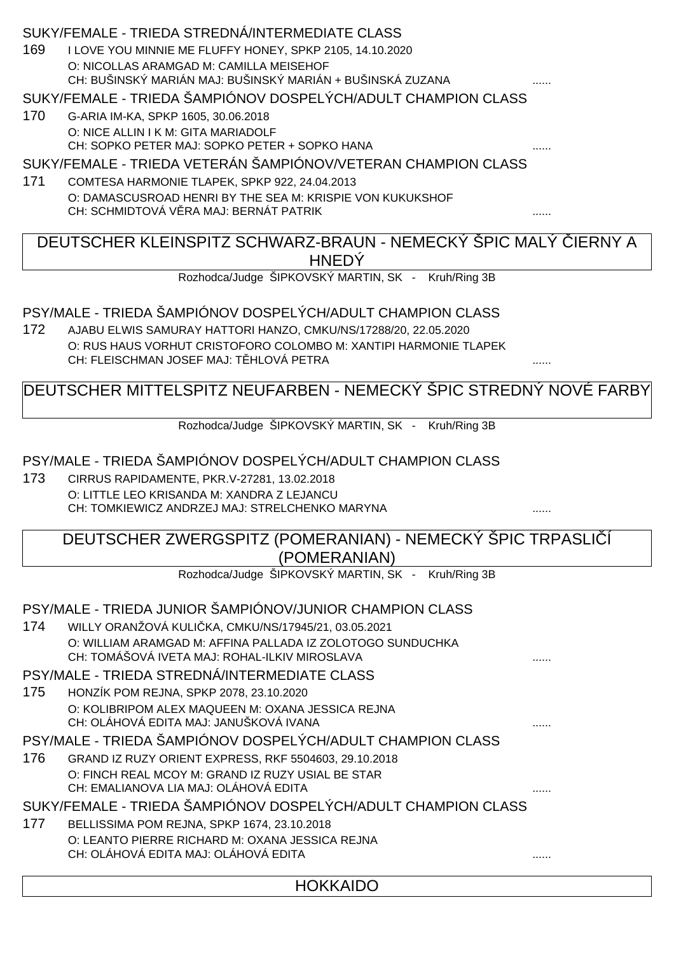|     | SUKY/FEMALE - TRIEDA STREDNÁ/INTERMEDIATE CLASS                                                            |   |  |
|-----|------------------------------------------------------------------------------------------------------------|---|--|
| 169 | I LOVE YOU MINNIE ME FLUFFY HONEY, SPKP 2105, 14.10.2020                                                   |   |  |
|     | O: NICOLLAS ARAMGAD M: CAMILLA MEISEHOF                                                                    |   |  |
|     | CH: BUŠINSKÝ MARIÁN MAJ: BUŠINSKÝ MARIÁN + BUŠINSKÁ ZUZANA                                                 |   |  |
|     | SUKY/FEMALE - TRIEDA ŠAMPIÓNOV DOSPELÝCH/ADULT CHAMPION CLASS                                              |   |  |
| 170 | G-ARIA IM-KA, SPKP 1605, 30.06.2018                                                                        |   |  |
|     | O: NICE ALLIN I K M: GITA MARIADOLF                                                                        |   |  |
|     | CH: SOPKO PETER MAJ: SOPKO PETER + SOPKO HANA                                                              |   |  |
|     | SUKY/FEMALE - TRIEDA VETERÁN ŠAMPIÓNOV/VETERAN CHAMPION CLASS                                              |   |  |
| 171 | COMTESA HARMONIE TLAPEK, SPKP 922, 24.04.2013                                                              |   |  |
|     | O: DAMASCUSROAD HENRI BY THE SEA M: KRISPIE VON KUKUKSHOF<br>CH: SCHMIDTOVÁ V RA MAJ: BERNÁT PATRIK        |   |  |
|     |                                                                                                            |   |  |
|     | DEUTSCHER KLEINSPITZ SCHWARZ-BRAUN - NEMECKÝ ŠPIC MALÝ IERNY A                                             |   |  |
|     | <b>HNEDY</b>                                                                                               |   |  |
|     | Rozhodca/Judge ŠIPKOVSKÝ MARTIN, SK - Kruh/Ring 3B                                                         |   |  |
|     |                                                                                                            |   |  |
|     | PSY/MALE - TRIEDA ŠAMPIÓNOV DOSPELÝCH/ADULT CHAMPION CLASS                                                 |   |  |
| 172 | AJABU ELWIS SAMURAY HATTORI HANZO, CMKU/NS/17288/20, 22.05.2020                                            |   |  |
|     | O: RUS HAUS VORHUT CRISTOFORO COLOMBO M: XANTIPI HARMONIE TLAPEK                                           |   |  |
|     | CH: FLEISCHMAN JOSEF MAJ: T HLOVÁ PETRA                                                                    | . |  |
|     | DEUTSCHER MITTELSPITZ NEUFARBEN - NEMECKÝ ŠPIC STREDNÝ NOVÉ FARBY                                          |   |  |
|     |                                                                                                            |   |  |
|     | Rozhodca/Judge ŠIPKOVSKÝ MARTIN, SK - Kruh/Ring 3B                                                         |   |  |
|     |                                                                                                            |   |  |
|     | PSY/MALE - TRIEDA ŠAMPIÓNOV DOSPELÝCH/ADULT CHAMPION CLASS                                                 |   |  |
| 173 | CIRRUS RAPIDAMENTE, PKR.V-27281, 13.02.2018                                                                |   |  |
|     | O: LITTLE LEO KRISANDA M: XANDRA Z LEJANCU                                                                 |   |  |
|     | CH: TOMKIEWICZ ANDRZEJ MAJ: STRELCHENKO MARYNA                                                             |   |  |
|     | DEUTSCHER ZWERGSPITZ (POMERANIAN) - NEMECKÝ ŠPIC TRPASLI                                                   |   |  |
|     | (POMERANIAN)                                                                                               |   |  |
|     | Rozhodca/Judge ŠIPKOVSKÝ MARTIN, SK - Kruh/Ring 3B                                                         |   |  |
|     |                                                                                                            |   |  |
|     | PSY/MALE - TRIEDA JUNIOR ŠAMPIÓNOV/JUNIOR CHAMPION CLASS                                                   |   |  |
| 174 | WILLY ORANŽOVÁ KULI KA, CMKU/NS/17945/21, 03.05.2021                                                       |   |  |
|     | O: WILLIAM ARAMGAD M: AFFINA PALLADA IZ ZOLOTOGO SUNDUCHKA                                                 |   |  |
|     | CH: TOMÁŠOVÁ IVETA MAJ: ROHAL-ILKIV MIROSLAVA                                                              |   |  |
|     | PSY/MALE - TRIEDA STREDNÁ/INTERMEDIATE CLASS                                                               |   |  |
| 175 | HONZÍK POM REJNA, SPKP 2078, 23.10.2020                                                                    |   |  |
|     | O: KOLIBRIPOM ALEX MAQUEEN M: OXANA JESSICA REJNA<br>CH: OLÁHOVÁ EDITA MAJ: JANUŠKOVÁ IVANA                |   |  |
|     | PSY/MALE - TRIEDA ŠAMPIÓNOV DOSPELÝCH/ADULT CHAMPION CLASS                                                 |   |  |
|     |                                                                                                            |   |  |
| 176 | GRAND IZ RUZY ORIENT EXPRESS, RKF 5504603, 29.10.2018<br>O: FINCH REAL MCOY M: GRAND IZ RUZY USIAL BE STAR |   |  |
|     | CH: EMALIANOVA LIA MAJ: OLÁHOVÁ EDITA                                                                      |   |  |
|     | SUKY/FEMALE - TRIEDA ŠAMPIÓNOV DOSPELÝCH/ADULT CHAMPION CLASS                                              |   |  |
| 177 | BELLISSIMA POM REJNA, SPKP 1674, 23.10.2018                                                                |   |  |
|     | O: LEANTO PIERRE RICHARD M: OXANA JESSICA REJNA                                                            |   |  |
|     | CH: OLÁHOVÁ EDITA MAJ: OLÁHOVÁ EDITA                                                                       |   |  |
|     |                                                                                                            |   |  |
|     | <b>HOKKAIDO</b>                                                                                            |   |  |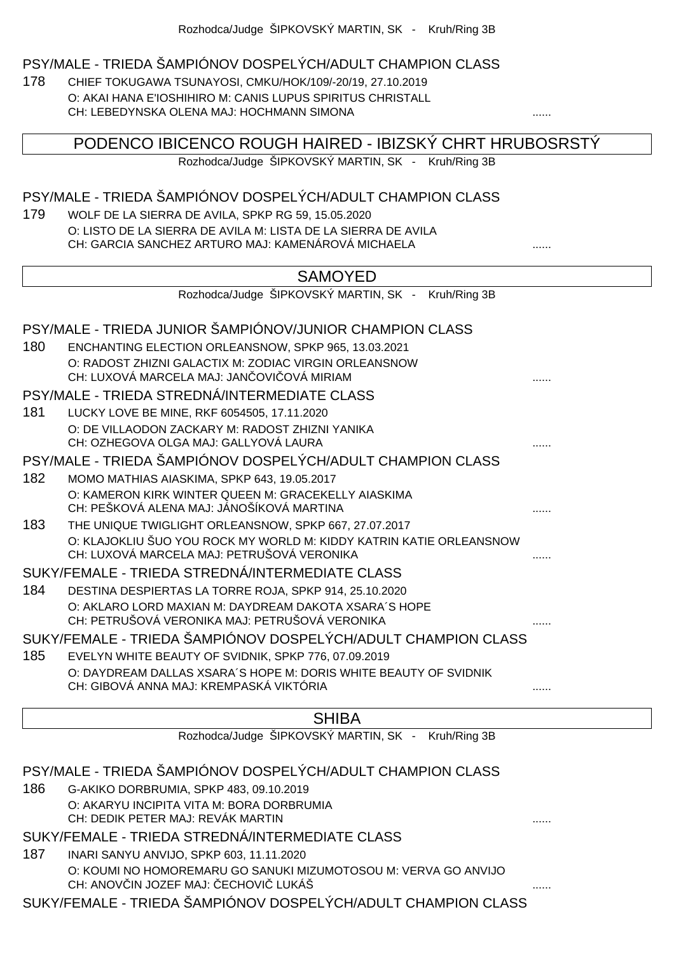#### PSY/MALE - TRIEDA ŠAMPIÓNOV DOSPELÝCH/ADULT CHAMPION CLASS

178 CHIEF TOKUGAWA TSUNAYOSI, CMKU/HOK/109/-20/19, 27.10.2019 O: AKAI HANA E'IOSHIHIRO M: CANIS LUPUS SPIRITUS CHRISTALL CH: LEBEDYNSKA OLENA MAJ: HOCHMANN SIMONA

PODENCO IBICENCO ROUGH HAIRED - IBIZSKÝ CHRT HRUBOSRSTÝ

Rozhodca/Judge ŠIPKOVSKÝ MARTIN, SK - Kruh/Ring 3B

#### PSY/MALE - TRIEDA ŠAMPIÓNOV DOSPELÝCH/ADULT CHAMPION CLASS

179 WOLF DE LA SIERRA DE AVILA, SPKP RG 59, 15.05.2020 O: LISTO DE LA SIERRA DE AVILA M: LISTA DE LA SIERRA DE AVILA CH: GARCIA SANCHEZ ARTURO MAJ: KAMENÁROVÁ MICHAELA ......

|     | <b>SAMOYED</b>                                                                                                    |  |
|-----|-------------------------------------------------------------------------------------------------------------------|--|
|     | Rozhodca/Judge ŠIPKOVSKÝ MARTIN, SK - Kruh/Ring 3B                                                                |  |
|     | PSY/MALE - TRIEDA JUNIOR ŠAMPIÓNOV/JUNIOR CHAMPION CLASS                                                          |  |
| 180 | ENCHANTING ELECTION ORLEANSNOW, SPKP 965, 13.03.2021                                                              |  |
|     | O: RADOST ZHIZNI GALACTIX M: ZODIAC VIRGIN ORLEANSNOW<br>CH: LUXOVÁ MARCELA MAJ: JAN OVI OVÁ MIRIAM               |  |
|     | PSY/MALE - TRIEDA STREDNÁ/INTERMEDIATE CLASS                                                                      |  |
| 181 | LUCKY LOVE BE MINE, RKF 6054505, 17.11.2020                                                                       |  |
|     | O: DE VILLAODON ZACKARY M: RADOST ZHIZNI YANIKA<br>CH: OZHEGOVA OLGA MAJ: GALLYOVÁ LAURA                          |  |
|     | PSY/MALE - TRIEDA ŠAMPIÓNOV DOSPELÝCH/ADULT CHAMPION CLASS                                                        |  |
| 182 | MOMO MATHIAS AIASKIMA, SPKP 643, 19.05.2017                                                                       |  |
|     | O: KAMERON KIRK WINTER QUEEN M: GRACEKELLY AIASKIMA<br>CH: PEŠKOVÁ ALENA MAJ: JÁNOŠÍKOVÁ MARTINA                  |  |
| 183 | THE UNIQUE TWIGLIGHT ORLEANSNOW, SPKP 667, 27.07.2017                                                             |  |
|     | O: KLAJOKLIU ŠUO YOU ROCK MY WORLD M: KIDDY KATRIN KATIE ORLEANSNOW<br>CH: LUXOVÁ MARCELA MAJ: PETRUŠOVÁ VERONIKA |  |
|     | SUKY/FEMALE - TRIEDA STREDNÁ/INTERMEDIATE CLASS                                                                   |  |
| 184 | DESTINA DESPIERTAS LA TORRE ROJA, SPKP 914, 25.10.2020                                                            |  |
|     | O: AKLARO LORD MAXIAN M: DAYDREAM DAKOTA XSARA'S HOPE<br>CH: PETRUŠOVÁ VERONIKA MAJ: PETRUŠOVÁ VERONIKA           |  |
|     | SUKY/FEMALE - TRIEDA ŠAMPIÓNOV DOSPELÝCH/ADULT CHAMPION CLASS                                                     |  |
| 185 | EVELYN WHITE BEAUTY OF SVIDNIK, SPKP 776, 07.09.2019                                                              |  |
|     | O: DAYDREAM DALLAS XSARA'S HOPE M: DORIS WHITE BEAUTY OF SVIDNIK<br>CH: GIBOVÁ ANNA MAJ: KREMPASKÁ VIKTÓRIA       |  |
|     |                                                                                                                   |  |

### **SHIBA**

Rozhodca/Judge ŠIPKOVSKÝ MARTIN, SK - Kruh/Ring 3B

## PSY/MALE - TRIEDA ŠAMPIÓNOV DOSPELÝCH/ADULT CHAMPION CLASS 186 G-AKIKO DORBRUMIA, SPKP 483, 09.10.2019 O: AKARYU INCIPITA VITA M: BORA DORBRUMIA CH: DEDIK PETER MAJ: REVÁK MARTIN ...... SUKY/FEMALE - TRIEDA STREDNÁ/INTERMEDIATE CLASS 187 INARI SANYU ANVIJO, SPKP 603, 11.11.2020 O: KOUMI NO HOMOREMARU GO SANUKI MIZUMOTOSOU M: VERVA GO ANVIJO CH: ANOV IN JOZEF MAJ: ECHOVI LUKÁŠ SUKY/FEMALE - TRIEDA ŠAMPIÓNOV DOSPELÝCH/ADULT CHAMPION CLASS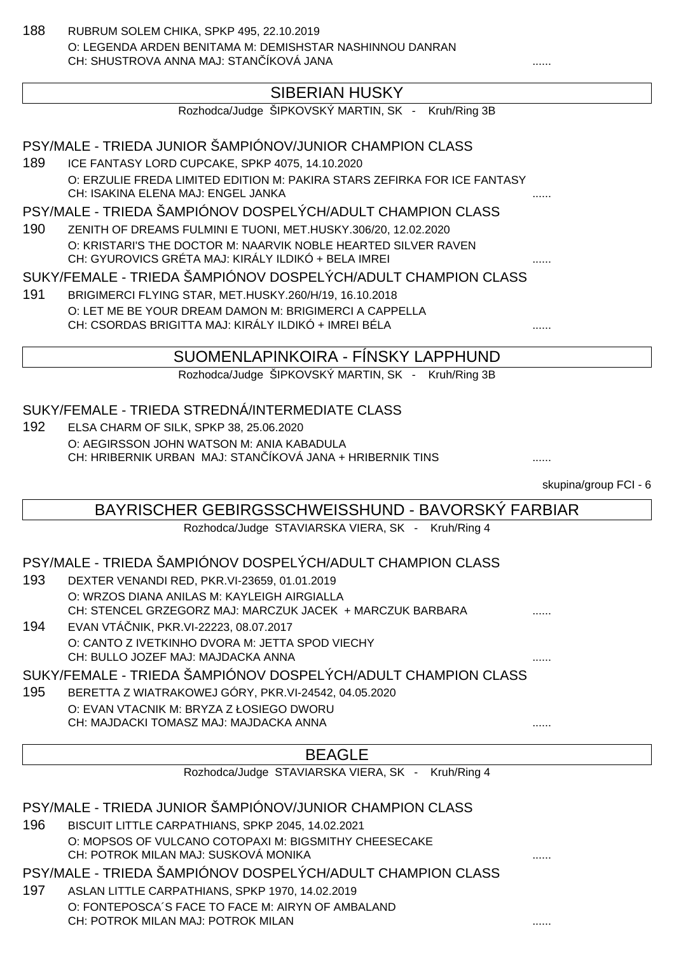188 RUBRUM SOLEM CHIKA, SPKP 495, 22.10.2019 O: LEGENDA ARDEN BENITAMA M: DEMISHSTAR NASHINNOU DANRAN CH: SHUSTROVA ANNA MAJ: STAN ÍKOVÁ JANA

## SIBERIAN HUSKY

|     | Rozhodca/Judge ŠIPKOVSKÝ MARTIN, SK - Kruh/Ring 3B                       |   |
|-----|--------------------------------------------------------------------------|---|
|     | PSY/MALE - TRIEDA JUNIOR ŠAMPIÓNOV/JUNIOR CHAMPION CLASS                 |   |
| 189 | ICE FANTASY LORD CUPCAKE, SPKP 4075, 14.10.2020                          |   |
|     | O: ERZULIE FREDA LIMITED EDITION M: PAKIRA STARS ZEFIRKA FOR ICE FANTASY |   |
|     | CH: ISAKINA ELENA MAJ: ENGEL JANKA                                       | . |

PSY/MALE - TRIEDA ŠAMPIÓNOV DOSPELÝCH/ADULT CHAMPION CLASS

190 ZENITH OF DREAMS FULMINI E TUONI, MET.HUSKY.306/20, 12.02.2020 O: KRISTARI'S THE DOCTOR M: NAARVIK NOBLE HEARTED SILVER RAVEN CH: GYUROVICS GRÉTA MAJ: KIRÁLY ILDIKÓ + BELA IMREI

#### SUKY/FEMALE - TRIEDA ŠAMPIÓNOV DOSPELÝCH/ADULT CHAMPION CLASS

191 BRIGIMERCI FLYING STAR, MET.HUSKY.260/H/19, 16.10.2018 O: LET ME BE YOUR DREAM DAMON M: BRIGIMERCI A CAPPELLA CH: CSORDAS BRIGITTA MAJ: KIRÁLY ILDIKÓ + IMREI BÉLA

### SUOMENLAPINKOIRA - FÍNSKY LAPPHUND

Rozhodca/Judge ŠIPKOVSKÝ MARTIN, SK - Kruh/Ring 3B

#### SUKY/FEMALE - TRIEDA STREDNÁ/INTERMEDIATE CLASS

192 ELSA CHARM OF SILK, SPKP 38, 25.06.2020 O: AEGIRSSON JOHN WATSON M: ANIA KABADULA CH: HRIBERNIK URBAN MAJ: STAN ÍKOVÁ JANA + HRIBERNIK TINS .......................

skupina/group FCI - 6

#### BAYRISCHER GEBIRGSSCHWEISSHUND - BAVORSKÝ FARBIAR

Rozhodca/Judge STAVIARSKA VIERA, SK - Kruh/Ring 4

#### PSY/MALE - TRIEDA ŠAMPIÓNOV DOSPELÝCH/ADULT CHAMPION CLASS

- 193 DEXTER VENANDI RED, PKR.VI-23659, 01.01.2019 O: WRZOS DIANA ANILAS M: KAYLEIGH AIRGIALLA CH: STENCEL GRZEGORZ MAJ: MARCZUK JACEK + MARCZUK BARBARA
- 194 EVAN VTÁČNIK, PKR.VI-22223, 08.07.2017 O: CANTO Z IVETKINHO DVORA M: JETTA SPOD VIECHY CH: BULLO JOZEF MAJ: MAJDACKA ANNA

#### SUKY/FEMALE - TRIEDA ŠAMPIÓNOV DOSPELÝCH/ADULT CHAMPION CLASS

- 195 BERETTA Z WIATRAKOWEJ GÓRY, PKR.VI-24542, 04.05.2020
	- O: EVAN VTACNIK M: BRYZA Z ŁOSIEGO DWORU CH: MAJDACKI TOMASZ MAJ: MAJDACKA ANNA

## BEAGLE

Rozhodca/Judge STAVIARSKA VIERA, SK - Kruh/Ring 4

#### PSY/MALE - TRIEDA JUNIOR ŠAMPIÓNOV/JUNIOR CHAMPION CLASS

- 196 BISCUIT LITTLE CARPATHIANS, SPKP 2045, 14.02.2021 O: MOPSOS OF VULCANO COTOPAXI M: BIGSMITHY CHEESECAKE CH: POTROK MILAN MAJ: SUSKOVÁ MONIKA
- PSY/MALE TRIEDA ŠAMPIÓNOV DOSPELÝCH/ADULT CHAMPION CLASS
- 197 ASLAN LITTLE CARPATHIANS, SPKP 1970, 14.02.2019 O: FONTEPOSCA´S FACE TO FACE M: AIRYN OF AMBALAND CH: POTROK MILAN MAJ: POTROK MILAN ......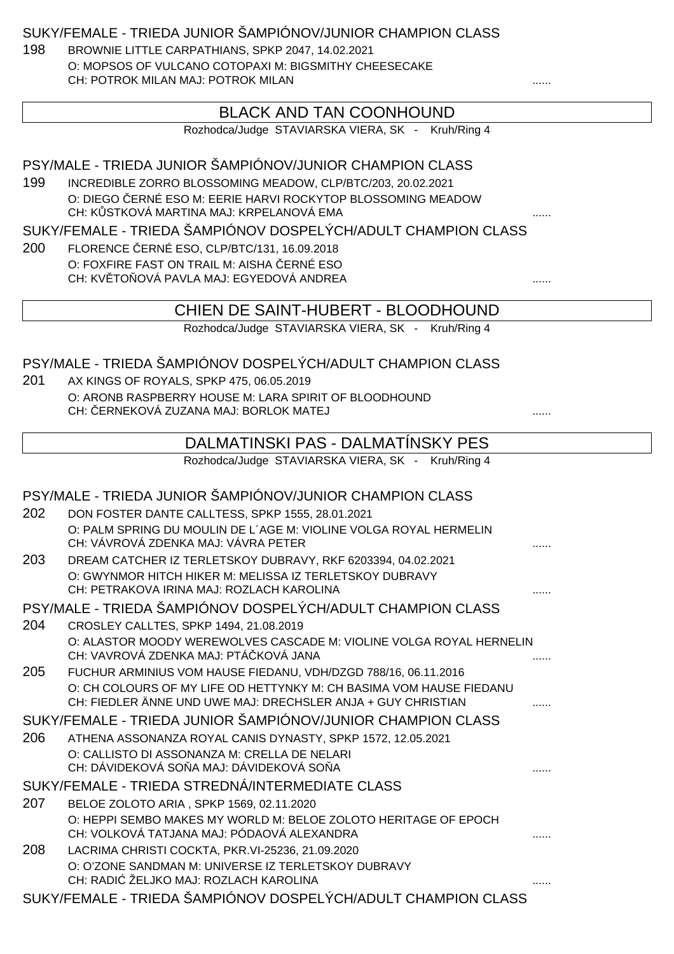SUKY/FEMALE - TRIEDA JUNIOR ŠAMPIÓNOV/JUNIOR CHAMPION CLASS

198 BROWNIE LITTLE CARPATHIANS, SPKP 2047, 14.02.2021 O: MOPSOS OF VULCANO COTOPAXI M: BIGSMITHY CHEESECAKE CH: POTROK MILAN MAJ: POTROK MILAN

#### BLACK AND TAN COONHOUND

Rozhodca/Judge STAVIARSKA VIERA, SK - Kruh/Ring 4

#### PSY/MALE - TRIEDA JUNIOR ŠAMPIÓNOV/JUNIOR CHAMPION CLASS

199 INCREDIBLE ZORRO BLOSSOMING MEADOW, CLP/BTC/203, 20.02.2021 O: DIEGO ERNÉ ESO M: EERIE HARVI ROCKYTOP BLOSSOMING MEADOW CH: K STKOVÁ MARTINA MAJ: KRPELANOVÁ EMA

#### SUKY/FEMALE - TRIEDA ŠAMPIÓNOV DOSPELÝCH/ADULT CHAMPION CLASS

200 FLORENCE ERNÉ ESO, CLP/BTC/131, 16.09.2018 O: FOXFIRE FAST ON TRAIL M: AISHA ERNÉ ESO CH: KVĚTOŇOVÁ PAVLA MAJ: EGYEDOVÁ ANDREA ......

#### CHIEN DE SAINT-HUBERT - BLOODHOUND

Rozhodca/Judge STAVIARSKA VIERA, SK - Kruh/Ring 4

#### PSY/MALE - TRIEDA ŠAMPIÓNOV DOSPELÝCH/ADULT CHAMPION CLASS

201 AX KINGS OF ROYALS, SPKP 475, 06.05.2019 O: ARONB RASPBERRY HOUSE M: LARA SPIRIT OF BLOODHOUND CH: ČERNEKOVÁ ZUZANA MAJ: BORLOK MATEJ ......

### DALMATINSKI PAS - DALMATÍNSKY PES

Rozhodca/Judge STAVIARSKA VIERA, SK - Kruh/Ring 4

#### PSY/MALE - TRIEDA JUNIOR ŠAMPIÓNOV/JUNIOR CHAMPION CLASS 202 DON FOSTER DANTE CALLTESS, SPKP 1555, 28.01.2021 O: PALM SPRING DU MOULIN DE L´AGE M: VIOLINE VOLGA ROYAL HERMELIN CH: VÁVROVÁ ZDENKA MAJ: VÁVRA PETER 203 DREAM CATCHER IZ TERLETSKOY DUBRAVY, RKF 6203394, 04.02.2021 O: GWYNMOR HITCH HIKER M: MELISSA IZ TERLETSKOY DUBRAVY CH: PETRAKOVA IRINA MAJ: ROZLACH KAROLINA ...... PSY/MALE - TRIEDA ŠAMPIÓNOV DOSPELÝCH/ADULT CHAMPION CLASS 204 CROSLEY CALLTES, SPKP 1494, 21.08.2019 O: ALASTOR MOODY WEREWOLVES CASCADE M: VIOLINE VOLGA ROYAL HERNELIN CH: VAVROVÁ ZDENKA MAJ: PTÁ KOVÁ JANA 205 FUCHUR ARMINIUS VOM HAUSE FIEDANU, VDH/DZGD 788/16, 06.11.2016 O: CH COLOURS OF MY LIFE OD HETTYNKY M: CH BASIMA VOM HAUSE FIEDANU CH: FIEDLER ÄNNE UND UWE MAJ: DRECHSLER ANJA + GUY CHRISTIAN ...... SUKY/FEMALE - TRIEDA JUNIOR ŠAMPIÓNOV/JUNIOR CHAMPION CLASS 206 ATHENA ASSONANZA ROYAL CANIS DYNASTY, SPKP 1572, 12.05.2021 O: CALLISTO DI ASSONANZA M: CRELLA DE NELARI CH: DÁVIDEKOVÁ SOŇA MAJ: DÁVIDEKOVÁ SOŇA ...... SUKY/FEMALE - TRIEDA STREDNÁ/INTERMEDIATE CLASS 207 BELOE ZOLOTO ARIA , SPKP 1569, 02.11.2020 O: HEPPI SEMBO MAKES MY WORLD M: BELOE ZOLOTO HERITAGE OF EPOCH CH: VOLKOVÁ TATJANA MAJ: PÓDAOVÁ ALEXANDRA 208 LACRIMA CHRISTI COCKTA, PKR.VI-25236, 21.09.2020 O: O'ZONE SANDMAN M: UNIVERSE IZ TERLETSKOY DUBRAVY CH: RADIĆ ŽELJKO MAJ: ROZLACH KAROLINA ...... SUKY/FEMALE - TRIEDA ŠAMPIÓNOV DOSPELÝCH/ADULT CHAMPION CLASS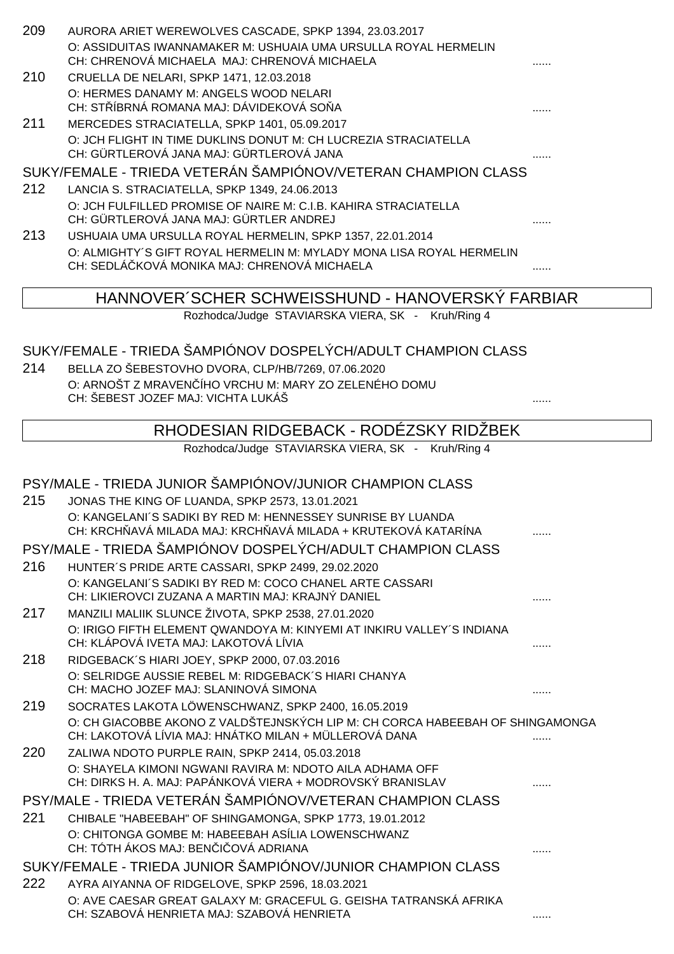| 209 | AURORA ARIET WEREWOLVES CASCADE, SPKP 1394, 23.03.2017<br>O: ASSIDUITAS IWANNAMAKER M: USHUAIA UMA URSULLA ROYAL HERMELIN<br>CH: CHRENOVÁ MICHAELA MAJ: CHRENOVÁ MICHAELA |   |
|-----|---------------------------------------------------------------------------------------------------------------------------------------------------------------------------|---|
| 210 | CRUELLA DE NELARI, SPKP 1471, 12.03.2018<br>O: HERMES DANAMY M: ANGELS WOOD NELARI<br>CH: STÍBRNÁ ROMANA MAJ: DÁVIDEKOVÁ SO A                                             |   |
| 211 | MERCEDES STRACIATELLA, SPKP 1401, 05.09.2017<br>O: JCH FLIGHT IN TIME DUKLINS DONUT M: CH LUCREZIA STRACIATELLA<br>CH: GÜRTLEROVÁ JANA MAJ: GÜRTLEROVÁ JANA               |   |
|     | SUKY/FEMALE - TRIEDA VETERÁN ŠAMPIÓNOV/VETERAN CHAMPION CLASS                                                                                                             |   |
| 212 | LANCIA S. STRACIATELLA, SPKP 1349, 24.06.2013                                                                                                                             |   |
|     | O: JCH FULFILLED PROMISE OF NAIRE M: C.I.B. KAHIRA STRACIATELLA<br>CH: GÜRTLEROVÁ JANA MAJ: GÜRTLER ANDREJ                                                                |   |
| 213 | USHUAIA UMA URSULLA ROYAL HERMELIN, SPKP 1357, 22.01.2014                                                                                                                 |   |
|     | O: ALMIGHTY'S GIFT ROYAL HERMELIN M: MYLADY MONA LISA ROYAL HERMELIN<br>CH: SEDLÁ KOVÁ MONIKA MAJ: CHRENOVÁ MICHAELA                                                      |   |
|     | HANNOVER SCHER SCHWEISSHUND - HANOVERSKÝ FARBIAR                                                                                                                          |   |
|     | Rozhodca/Judge STAVIARSKA VIERA, SK - Kruh/Ring 4                                                                                                                         |   |
|     |                                                                                                                                                                           |   |
|     | SUKY/FEMALE - TRIEDA ŠAMPIÓNOV DOSPELÝCH/ADULT CHAMPION CLASS                                                                                                             |   |
| 214 | BELLA ZO ŠEBESTOVHO DVORA, CLP/HB/7269, 07.06.2020                                                                                                                        |   |
|     | O: ARNOŠT Z MRAVEN ÍHO VRCHU M: MARY ZO ZELENÉHO DOMU                                                                                                                     |   |
|     | CH: ŠEBEST JOZEF MAJ: VICHTA LUKÁŠ                                                                                                                                        |   |
|     | RHODESIAN RIDGEBACK - RODÉZSKY RIDŽBEK                                                                                                                                    |   |
|     | Rozhodca/Judge STAVIARSKA VIERA, SK - Kruh/Ring 4                                                                                                                         |   |
|     |                                                                                                                                                                           |   |
|     | PSY/MALE - TRIEDA JUNIOR ŠAMPIÓNOV/JUNIOR CHAMPION CLASS                                                                                                                  |   |
| 215 | JONAS THE KING OF LUANDA, SPKP 2573, 13.01.2021                                                                                                                           |   |
|     | O: KANGELANI'S SADIKI BY RED M: HENNESSEY SUNRISE BY LUANDA<br>CH: KRCH AVÁ MILADA MAJ: KRCH AVÁ MILADA + KRUTEKOVÁ KATARÍNA                                              |   |
|     | PSY/MALE - TRIEDA ŠAMPIÓNOV DOSPELÝCH/ADULT CHAMPION CLASS                                                                                                                |   |
| 216 | HUNTER'S PRIDE ARTE CASSARI, SPKP 2499, 29.02.2020<br>O: KANGELANI'S SADIKI BY RED M: COCO CHANEL ARTE CASSARI<br>CH: LIKIEROVCI ZUZANA A MARTIN MAJ: KRAJNÝ DANIEL       |   |
| 217 | MANZILI MALIIK SLUNCE ŽIVOTA, SPKP 2538, 27.01.2020                                                                                                                       |   |
|     | O: IRIGO FIFTH ELEMENT QWANDOYA M: KINYEMI AT INKIRU VALLEY'S INDIANA<br>CH: KLÁPOVÁ IVETA MAJ: LAKOTOVÁ LÍVIA                                                            |   |
| 218 | RIDGEBACK'S HIARI JOEY, SPKP 2000, 07.03.2016                                                                                                                             |   |
|     | O: SELRIDGE AUSSIE REBEL M: RIDGEBACK'S HIARI CHANYA<br>CH: MACHO JOZEF MAJ: SLANINOVÁ SIMONA                                                                             |   |
| 219 | SOCRATES LAKOTA LÖWENSCHWANZ, SPKP 2400, 16.05.2019                                                                                                                       | . |
|     | O: CH GIACOBBE AKONO Z VALDŠTEJNSKÝCH LIP M: CH CORCA HABEEBAH OF SHINGAMONGA<br>CH: LAKOTOVÁ LÍVIA MAJ: HNÁTKO MILAN + MÜLLEROVÁ DANA                                    |   |
| 220 | ZALIWA NDOTO PURPLE RAIN, SPKP 2414, 05.03.2018                                                                                                                           |   |
|     | O: SHAYELA KIMONI NGWANI RAVIRA M: NDOTO AILA ADHAMA OFF<br>CH: DIRKS H. A. MAJ: PAPÁNKOVÁ VIERA + MODROVSKÝ BRANISLAV                                                    |   |
|     | PSY/MALE - TRIEDA VETERÁN ŠAMPIÓNOV/VETERAN CHAMPION CLASS                                                                                                                |   |
| 221 | CHIBALE "HABEEBAH" OF SHINGAMONGA, SPKP 1773, 19.01.2012                                                                                                                  |   |
|     | O: CHITONGA GOMBE M: HABEEBAH ASÍLIA LOWENSCHWANZ<br>CH: TÓTH ÁKOS MAJ: BEN I OVÁ ADRIANA                                                                                 |   |
|     | SUKY/FEMALE - TRIEDA JUNIOR ŠAMPIÓNOV/JUNIOR CHAMPION CLASS                                                                                                               |   |
| 222 | AYRA AIYANNA OF RIDGELOVE, SPKP 2596, 18.03.2021                                                                                                                          |   |
|     | O: AVE CAESAR GREAT GALAXY M: GRACEFUL G. GEISHA TATRANSKÁ AFRIKA<br>CH: SZABOVÁ HENRIETA MAJ: SZABOVÁ HENRIETA                                                           |   |
|     |                                                                                                                                                                           |   |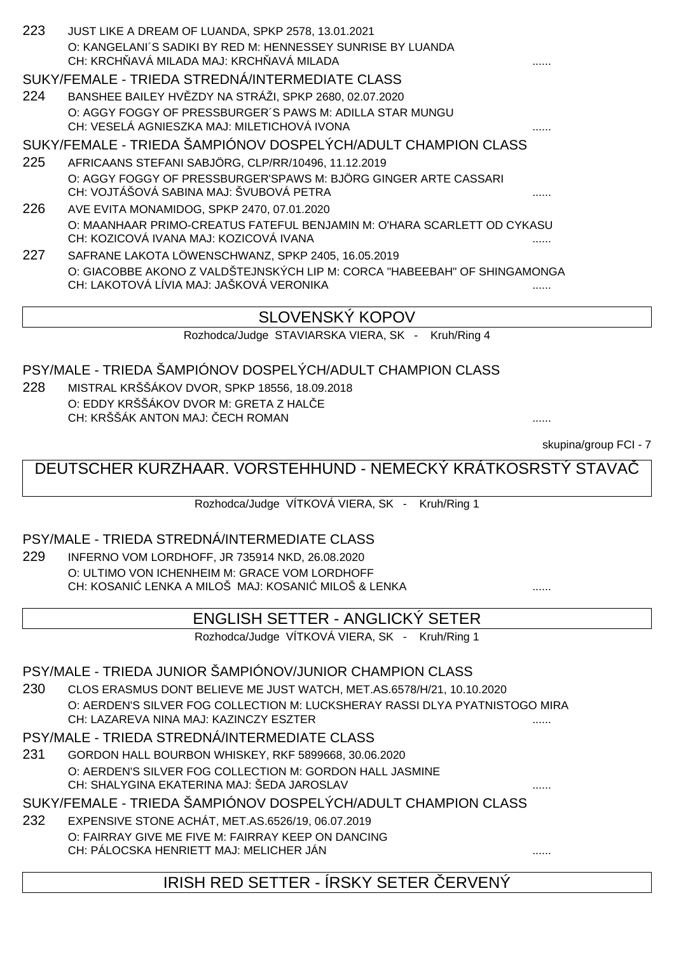| 223 | JUST LIKE A DREAM OF LUANDA, SPKP 2578, 13.01.2021<br>O: KANGELANI'S SADIKI BY RED M: HENNESSEY SUNRISE BY LUANDA<br>CH: KRCH AVÁ MILADA MAJ: KRCH AVÁ MILADA |  |
|-----|---------------------------------------------------------------------------------------------------------------------------------------------------------------|--|
|     | SUKY/FEMALE - TRIEDA STREDNÁ/INTERMEDIATE CLASS                                                                                                               |  |
| 224 | BANSHEE BAILEY HV ZDY NA STRÁŽI, SPKP 2680, 02.07.2020                                                                                                        |  |
|     | O: AGGY FOGGY OF PRESSBURGER'S PAWS M: ADILLA STAR MUNGU                                                                                                      |  |
|     | CH: VESELÁ AGNIESZKA MAJ: MILETICHOVÁ IVONA                                                                                                                   |  |
|     | SUKY/FEMALE - TRIEDA ŠAMPIÓNOV DOSPELÝCH/ADULT CHAMPION CLASS                                                                                                 |  |
| 225 | AFRICAANS STEFANI SABJÖRG, CLP/RR/10496, 11.12.2019                                                                                                           |  |
|     | O: AGGY FOGGY OF PRESSBURGER'SPAWS M: BJÖRG GINGER ARTE CASSARI                                                                                               |  |
|     | CH: VOJTÁŠOVÁ SABINA MAJ: ŠVUBOVÁ PETRA                                                                                                                       |  |
| 226 | AVE EVITA MONAMIDOG, SPKP 2470, 07.01.2020                                                                                                                    |  |
|     | O: MAANHAAR PRIMO-CREATUS FATEFUL BENJAMIN M: O'HARA SCARLETT OD CYKASU                                                                                       |  |
|     | CH: KOZICOVÁ IVANA MAJ: KOZICOVÁ IVANA                                                                                                                        |  |
| 227 | SAFRANE LAKOTA LÖWENSCHWANZ, SPKP 2405, 16.05.2019                                                                                                            |  |
|     | O: GIACOBBE AKONO Z VALDŠTEJNSKÝCH LIP M: CORCA "HABEEBAH" OF SHINGAMONGA                                                                                     |  |
|     | CH: LAKOTOVÁ LÍVIA MAJ: JAŠKOVÁ VERONIKA                                                                                                                      |  |
|     |                                                                                                                                                               |  |

## SLOVENSKÝ KOPOV

Rozhodca/Judge STAVIARSKA VIERA, SK - Kruh/Ring 4

#### PSY/MALE - TRIEDA ŠAMPIÓNOV DOSPELÝCH/ADULT CHAMPION CLASS

228 MISTRAL KRŠŠÁKOV DVOR, SPKP 18556, 18.09.2018 O: EDDY KRŠŠÁKOV DVOR M: GRETA Z HAL E CH: KRŠŠÁK ANTON MAJ: ČECH ROMAN ......

skupina/group FCI - 7

## DEUTSCHER KURZHAAR. VORSTEHHUND - NEMECKÝ KRÁTKOSRSTÝ STAVAČ

Rozhodca/Judge VÍTKOVÁ VIERA, SK - Kruh/Ring 1

#### PSY/MALE - TRIEDA STREDNÁ/INTERMEDIATE CLASS

229 INFERNO VOM LORDHOFF, JR 735914 NKD, 26.08.2020 O: ULTIMO VON ICHENHEIM M: GRACE VOM LORDHOFF CH: KOSANI LENKA A MILOŠ MAJ: KOSANI MILOŠ & LENKA ..............................

#### ENGLISH SETTER - ANGLICKÝ SETER

Rozhodca/Judge VÍTKOVÁ VIERA, SK - Kruh/Ring 1

#### PSY/MALE - TRIEDA JUNIOR ŠAMPIÓNOV/JUNIOR CHAMPION CLASS

230 CLOS ERASMUS DONT BELIEVE ME JUST WATCH, MET.AS.6578/H/21, 10.10.2020 O: AERDEN'S SILVER FOG COLLECTION M: LUCKSHERAY RASSI DLYA PYATNISTOGO MIRA CH: LAZAREVA NINA MAJ: KAZINCZY ESZTER ......

#### PSY/MALE - TRIEDA STREDNÁ/INTERMEDIATE CLASS

231 GORDON HALL BOURBON WHISKEY, RKF 5899668, 30.06.2020 O: AERDEN'S SILVER FOG COLLECTION M: GORDON HALL JASMINE CH: SHALYGINA EKATERINA MAJ: ŠEDA JAROSLAV

SUKY/FEMALE - TRIEDA ŠAMPIÓNOV DOSPELÝCH/ADULT CHAMPION CLASS

232 EXPENSIVE STONE ACHÁT, MET.AS.6526/19, 06.07.2019 O: FAIRRAY GIVE ME FIVE M: FAIRRAY KEEP ON DANCING CH: PÁLOCSKA HENRIETT MAJ: MELICHER JÁN ......

## IRISH RED SETTER - ÍRSKY SETER ČERVENÝ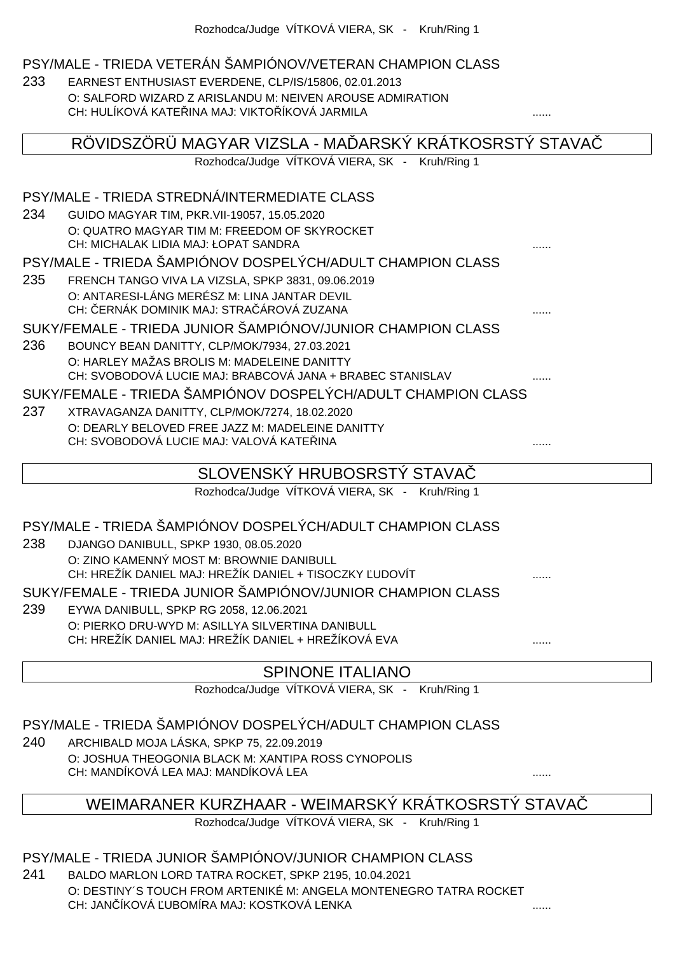#### PSY/MALE - TRIEDA VETERÁN ŠAMPIÓNOV/VETERAN CHAMPION CLASS

233 EARNEST ENTHUSIAST EVERDENE, CLP/IS/15806, 02.01.2013 O: SALFORD WIZARD Z ARISLANDU M: NEIVEN AROUSE ADMIRATION CH: HULÍKOVÁ KATELINA MAJ: VIKTOLÍKOVÁ JARMILA

|     | RÖVIDSZÖRÜ MAGYAR VIZSLA - MA ARSKÝ KRÁTKOSRSTÝ STAVA                                                    |  |
|-----|----------------------------------------------------------------------------------------------------------|--|
|     | Rozhodca/Judge VÍTKOVÁ VIERA, SK - Kruh/Ring 1                                                           |  |
|     | PSY/MALE - TRIEDA STREDNÁ/INTERMEDIATE CLASS                                                             |  |
| 234 | GUIDO MAGYAR TIM, PKR. VII-19057, 15.05.2020                                                             |  |
|     | O: QUATRO MAGYAR TIM M: FREEDOM OF SKYROCKET<br>CH: MICHALAK LIDIA MAJ: ŁOPAT SANDRA                     |  |
|     | PSY/MALE - TRIEDA ŠAMPIÓNOV DOSPELÝCH/ADULT CHAMPION CLASS                                               |  |
| 235 | FRENCH TANGO VIVA LA VIZSLA, SPKP 3831, 09.06.2019                                                       |  |
|     | O: ANTARESI-LÁNG MERÉSZ M: LINA JANTAR DEVIL<br>CH: ERNÁK DOMINIK MAJ: STRA ÁROVÁ ZUZANA                 |  |
|     | SUKY/FEMALE - TRIEDA JUNIOR ŠAMPIÓNOV/JUNIOR CHAMPION CLASS                                              |  |
| 236 | BOUNCY BEAN DANITTY, CLP/MOK/7934, 27.03.2021                                                            |  |
|     | O: HARLEY MAŽAS BROLIS M: MADELEINE DANITTY                                                              |  |
|     | CH: SVOBODOVÁ LUCIE MAJ: BRABCOVÁ JANA + BRABEC STANISLAV                                                |  |
|     | SUKY/FEMALE - TRIEDA ŠAMPIÓNOV DOSPELÝCH/ADULT CHAMPION CLASS                                            |  |
| 237 | XTRAVAGANZA DANITTY, CLP/MOK/7274, 18.02.2020                                                            |  |
|     | O: DEARLY BELOVED FREE JAZZ M: MADELEINE DANITTY                                                         |  |
|     | CH: SVOBODOVÁ LUCIE MAJ: VALOVÁ KATE INA                                                                 |  |
|     | SLOVENSKÝ HRUBOSRSTÝ STAVA                                                                               |  |
|     | Rozhodca/Judge VÍTKOVÁ VIERA, SK - Kruh/Ring 1                                                           |  |
|     | PSY/MALE - TRIEDA ŠAMPIÓNOV DOSPELÝCH/ADULT CHAMPION CLASS                                               |  |
| 238 | DJANGO DANIBULL, SPKP 1930, 08.05.2020                                                                   |  |
|     | O: ZINO KAMENNÝ MOST M: BROWNIE DANIBULL                                                                 |  |
|     | CH: HREŽÍK DANIEL MAJ: HREŽÍK DANIEL + TISOCZKY UDOVÍT                                                   |  |
|     | SUKY/FEMALE - TRIEDA JUNIOR ŠAMPIÓNOV/JUNIOR CHAMPION CLASS                                              |  |
| 239 | EYWA DANIBULL, SPKP RG 2058, 12.06.2021                                                                  |  |
|     | O: PIERKO DRU-WYD M: ASILLYA SILVERTINA DANIBULL<br>CH: HREŽÍK DANIEL MAJ: HREŽÍK DANIEL + HREŽÍKOVÁ EVA |  |
|     |                                                                                                          |  |
|     | <b>SPINONE ITALIANO</b>                                                                                  |  |

Rozhodca/Judge VÍTKOVÁ VIERA, SK - Kruh/Ring 1

PSY/MALE - TRIEDA ŠAMPIÓNOV DOSPELÝCH/ADULT CHAMPION CLASS

240 ARCHIBALD MOJA LÁSKA, SPKP 75, 22.09.2019 O: JOSHUA THEOGONIA BLACK M: XANTIPA ROSS CYNOPOLIS CH: MANDÍKOVÁ LEA MAJ: MANDÍKOVÁ LEA ......

### WEIMARANER KURZHAAR - WEIMARSKÝ KRÁTKOSRSTÝ STAVAČ

Rozhodca/Judge VÍTKOVÁ VIERA, SK - Kruh/Ring 1

PSY/MALE - TRIEDA JUNIOR ŠAMPIÓNOV/JUNIOR CHAMPION CLASS

241 BALDO MARLON LORD TATRA ROCKET, SPKP 2195, 10.04.2021 O: DESTINY´S TOUCH FROM ARTENIKÉ M: ANGELA MONTENEGRO TATRA ROCKET CH: JANČÍKOVÁ ĽUBOMÍRA MAJ: KOSTKOVÁ LENKA ......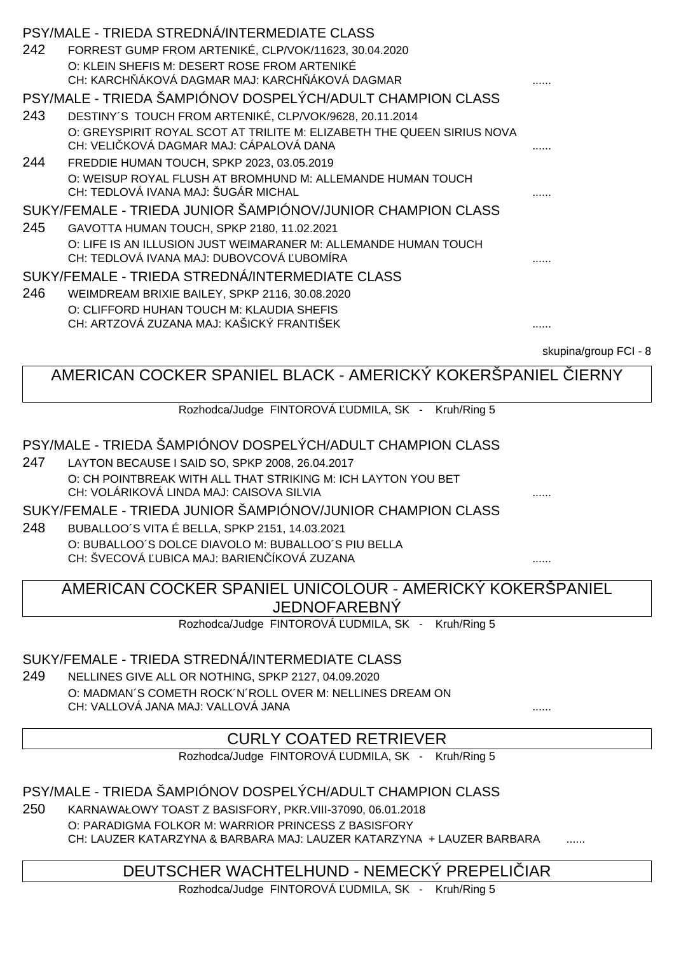| PSY/MALE - TRIEDA STREDNA/INTERMEDIATE CLASS                                                                      |                  |
|-------------------------------------------------------------------------------------------------------------------|------------------|
| FORREST GUMP FROM ARTENIKÉ, CLP/VOK/11623, 30.04.2020<br>242                                                      |                  |
| O: KLEIN SHEFIS M: DESERT ROSE FROM ARTENIKÉ                                                                      |                  |
| CH: KARCH ÁKOVÁ DAGMAR MAJ: KARCH ÁKOVÁ DAGMAR                                                                    |                  |
| PSY/MALE - TRIEDA ŠAMPIÓNOV DOSPELÝCH/ADULT CHAMPION CLASS                                                        |                  |
| DESTINY'S TOUCH FROM ARTENIKÉ, CLP/VOK/9628, 20.11.2014<br>243                                                    |                  |
| O: GREYSPIRIT ROYAL SCOT AT TRILITE M: ELIZABETH THE QUEEN SIRIUS NOVA<br>CH: VELI KOVÁ DAGMAR MAJ: CÁPALOVÁ DANA | .                |
| 244<br>FREDDIE HUMAN TOUCH, SPKP 2023, 03.05.2019                                                                 |                  |
| O: WEISUP ROYAL FLUSH AT BROMHUND M: ALLEMANDE HUMAN TOUCH                                                        |                  |
| CH: TEDLOVÁ IVANA MAJ: ŠUGÁR MICHAL                                                                               |                  |
| SUKY/FEMALE - TRIEDA JUNIOR ŠAMPIÓNOV/JUNIOR CHAMPION CLASS                                                       |                  |
| 245<br>GAVOTTA HUMAN TOUCH, SPKP 2180, 11.02.2021                                                                 |                  |
| O: LIFE IS AN ILLUSION JUST WEIMARANER M: ALLEMANDE HUMAN TOUCH                                                   |                  |
| CH: TEDLOVÁ IVANA MAJ: DUBOVCOVÁ UBOMÍRA                                                                          |                  |
| SUKY/FEMALE - TRIEDA STREDNÁ/INTERMEDIATE CLASS                                                                   |                  |
| 246<br>WEIMDREAM BRIXIE BAILEY, SPKP 2116, 30.08.2020                                                             |                  |
| O: CLIFFORD HUHAN TOUCH M: KLAUDIA SHEFIS                                                                         |                  |
| CH: ARTZOVÁ ZUZANA MAJ: KAŠICKÝ FRANTIŠEK                                                                         | .                |
|                                                                                                                   | okuning/aroun EC |

skupina/group FCI - 8

AMERICAN COCKER SPANIEL BLACK - AMERICKÝ KOKERŠPANIEL LERNY

Rozhodca/Judge FINTOROVÁ UDMILA, SK - Kruh/Ring 5

#### PSY/MALE - TRIEDA ŠAMPIÓNOV DOSPELÝCH/ADULT CHAMPION CLASS

247 LAYTON BECAUSE I SAID SO, SPKP 2008, 26.04.2017 O: CH POINTBREAK WITH ALL THAT STRIKING M: ICH LAYTON YOU BET CH: VOLÁRIKOVÁ LINDA MAJ: CAISOVA SILVIA

SUKY/FEMALE - TRIEDA JUNIOR ŠAMPIÓNOV/JUNIOR CHAMPION CLASS

248 BUBALLOO´S VITA É BELLA, SPKP 2151, 14.03.2021 O: BUBALLOO´S DOLCE DIAVOLO M: BUBALLOO´S PIU BELLA CH: ŠVECOVÁ ĽUBICA MAJ: BARIENČÍKOVÁ ZUZANA ......

AMERICAN COCKER SPANIEL UNICOLOUR - AMERICKÝ KOKERŠPANIEL JEDNOFAREBNÝ

Rozhodca/Judge FINTOROVÁ UDMILA, SK - Kruh/Ring 5

#### SUKY/FEMALE - TRIEDA STREDNÁ/INTERMEDIATE CLASS

249 NELLINES GIVE ALL OR NOTHING, SPKP 2127, 04.09.2020 O: MADMAN´S COMETH ROCK´N´ROLL OVER M: NELLINES DREAM ON CH: VALLOVÁ JANA MAJ: VALLOVÁ JANA

#### CURLY COATED RETRIEVER

Rozhodca/Judge FINTOROVÁ UDMILA, SK - Kruh/Ring 5

PSY/MALE - TRIEDA ŠAMPIÓNOV DOSPELÝCH/ADULT CHAMPION CLASS

250 KARNAWAŁOWY TOAST Z BASISFORY, PKR.VIII-37090, 06.01.2018 O: PARADIGMA FOLKOR M: WARRIOR PRINCESS Z BASISFORY CH: LAUZER KATARZYNA & BARBARA MAJ: LAUZER KATARZYNA + LAUZER BARBARA

## DEUTSCHER WACHTELHUND - NEMECKÝ PREPELIČIAR

Rozhodca/Judge FINTOROVÁ UDMILA, SK - Kruh/Ring 5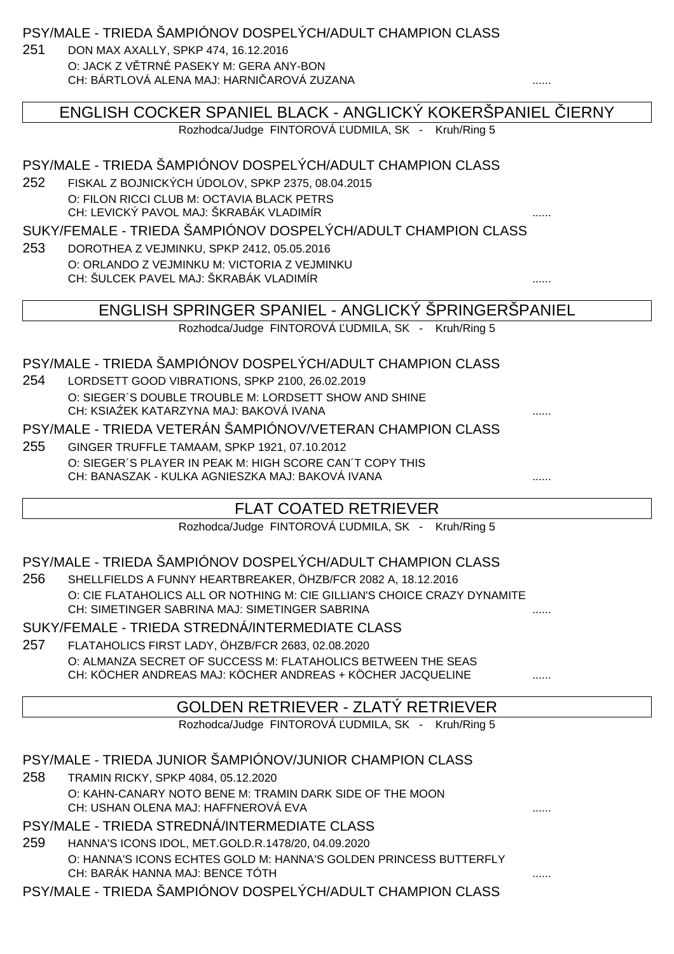PSY/MALE - TRIEDA ŠAMPIÓNOV DOSPELÝCH/ADULT CHAMPION CLASS

251 DON MAX AXALLY, SPKP 474, 16.12.2016 O: JACK Z V TRNÉ PASEKY M: GERA ANY-BON CH: BÁRTLOVÁ ALENA MAJ: HARNIČAROVÁ ZUZANA ......

|     | ENGLISH COCKER SPANIEL BLACK - ANGLICKÝ KOKERŠPANIEL                                                                       | <b>IERNY</b> |
|-----|----------------------------------------------------------------------------------------------------------------------------|--------------|
|     | Rozhodca/Judge FINTOROVÁ UDMILA, SK - Kruh/Ring 5                                                                          |              |
|     |                                                                                                                            |              |
|     | PSY/MALE - TRIEDA ŠAMPIÓNOV DOSPELÝCH/ADULT CHAMPION CLASS                                                                 |              |
| 252 | FISKAL Z BOJNICKÝCH ÚDOLOV, SPKP 2375, 08.04.2015                                                                          |              |
|     | O: FILON RICCI CLUB M: OCTAVIA BLACK PETRS<br>CH: LEVICKÝ PAVOL MAJ: ŠKRABÁK VLADIMÍR                                      |              |
|     | SUKY/FEMALE - TRIEDA ŠAMPIÓNOV DOSPELÝCH/ADULT CHAMPION CLASS                                                              |              |
| 253 | DOROTHEA Z VEJMINKU, SPKP 2412, 05.05.2016                                                                                 |              |
|     | O: ORLANDO Z VEJMINKU M: VICTORIA Z VEJMINKU                                                                               |              |
|     | CH: ŠULCEK PAVEL MAJ: ŠKRABÁK VLADIMÍR                                                                                     |              |
|     |                                                                                                                            |              |
|     | ENGLISH SPRINGER SPANIEL - ANGLICKÝ SPRINGERSPANIEL                                                                        |              |
|     | Rozhodca/Judge FINTOROVÁ UDMILA, SK - Kruh/Ring 5                                                                          |              |
|     | PSY/MALE - TRIEDA ŠAMPIÓNOV DOSPELÝCH/ADULT CHAMPION CLASS                                                                 |              |
| 254 | LORDSETT GOOD VIBRATIONS, SPKP 2100, 26.02.2019                                                                            |              |
|     | O: SIEGER'S DOUBLE TROUBLE M: LORDSETT SHOW AND SHINE                                                                      |              |
|     | CH: KSIA EK KATARZYNA MAJ: BAKOVÁ IVANA                                                                                    |              |
|     | PSY/MALE - TRIEDA VETERÁN ŠAMPIÓNOV/VETERAN CHAMPION CLASS                                                                 |              |
| 255 | GINGER TRUFFLE TAMAAM, SPKP 1921, 07.10.2012                                                                               |              |
|     | O: SIEGER'S PLAYER IN PEAK M: HIGH SCORE CAN'T COPY THIS                                                                   |              |
|     | CH: BANASZAK - KULKA AGNIESZKA MAJ: BAKOVÁ IVANA                                                                           |              |
|     | <b>FLAT COATED RETRIEVER</b>                                                                                               |              |
|     | Rozhodca/Judge FINTOROVÁ UDMILA, SK - Kruh/Ring 5                                                                          |              |
|     |                                                                                                                            |              |
|     | PSY/MALE - TRIEDA ŠAMPIÓNOV DOSPELÝCH/ADULT CHAMPION CLASS                                                                 |              |
| 256 | SHELLFIELDS A FUNNY HEARTBREAKER, ÖHZB/FCR 2082 A, 18.12.2016                                                              |              |
|     | O: CIE FLATAHOLICS ALL OR NOTHING M: CIE GILLIAN'S CHOICE CRAZY DYNAMITE<br>CH: SIMETINGER SABRINA MAJ: SIMETINGER SABRINA |              |
|     | SUKY/FEMALE - TRIEDA STREDNÁ/INTERMEDIATE CLASS                                                                            |              |
| 257 | FLATAHOLICS FIRST LADY, ÖHZB/FCR 2683, 02.08.2020                                                                          |              |
|     | O: ALMANZA SECRET OF SUCCESS M: FLATAHOLICS BETWEEN THE SEAS                                                               |              |
|     | CH: KÖCHER ANDREAS MAJ: KÖCHER ANDREAS + KÖCHER JACQUELINE                                                                 |              |
|     |                                                                                                                            |              |
|     | GOLDEN RETRIEVER - ZLATÝ RETRIEVER                                                                                         |              |
|     | Rozhodca/Judge FINTOROVÁ UDMILA, SK - Kruh/Ring 5                                                                          |              |
|     | PSY/MALE - TRIEDA JUNIOR ŠAMPIÓNOV/JUNIOR CHAMPION CLASS                                                                   |              |
| 258 | TRAMIN RICKY, SPKP 4084, 05.12.2020                                                                                        |              |
|     | O: KAHN-CANARY NOTO BENE M: TRAMIN DARK SIDE OF THE MOON                                                                   |              |
|     | CH: USHAN OLENA MAJ: HAFFNEROVÁ EVA                                                                                        |              |
|     | PSY/MALE - TRIEDA STREDNÁ/INTERMEDIATE CLASS                                                                               |              |
| 259 | HANNA'S ICONS IDOL, MET.GOLD.R.1478/20, 04.09.2020                                                                         |              |
|     | O: HANNA'S ICONS ECHTES GOLD M: HANNA'S GOLDEN PRINCESS BUTTERFLY<br>CH: BARÁK HANNA MAJ: BENCE TÓTH                       |              |
|     | PSY/MALE - TRIEDA ŠAMPIÓNOV DOSPELÝCH/ADULT CHAMPION CLASS                                                                 |              |
|     |                                                                                                                            |              |
|     |                                                                                                                            |              |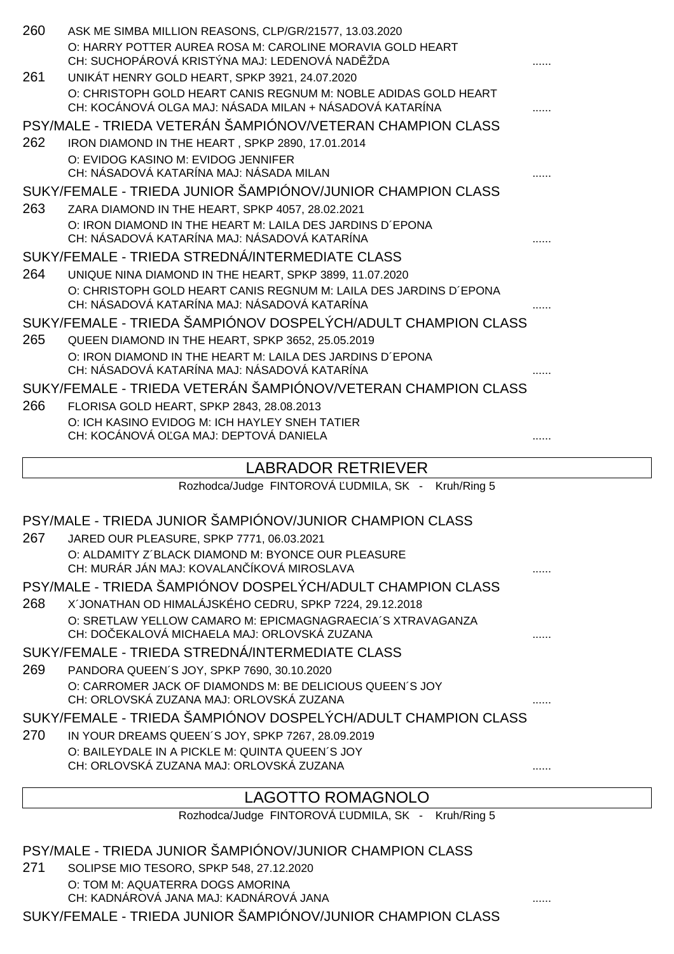| 260 | ASK ME SIMBA MILLION REASONS, CLP/GR/21577, 13.03.2020                                                      |   |
|-----|-------------------------------------------------------------------------------------------------------------|---|
|     | O: HARRY POTTER AUREA ROSA M: CAROLINE MORAVIA GOLD HEART<br>CH: SUCHOPÁROVÁ KRISTÝNA MAJ: LEDENOVÁ NAD ŽDA |   |
| 261 | UNIKÁT HENRY GOLD HEART, SPKP 3921, 24.07.2020                                                              |   |
|     | O: CHRISTOPH GOLD HEART CANIS REGNUM M: NOBLE ADIDAS GOLD HEART                                             |   |
|     | CH: KOCÁNOVÁ OLGA MAJ: NÁSADA MILAN + NÁSADOVÁ KATARÍNA                                                     |   |
|     | PSY/MALE - TRIEDA VETERÁN ŠAMPIÓNOV/VETERAN CHAMPION CLASS                                                  |   |
| 262 | IRON DIAMOND IN THE HEART, SPKP 2890, 17.01.2014                                                            |   |
|     | O: EVIDOG KASINO M: EVIDOG JENNIFER                                                                         |   |
|     | CH: NÁSADOVÁ KATARÍNA MAJ: NÁSADA MILAN                                                                     |   |
|     | SUKY/FEMALE - TRIEDA JUNIOR ŠAMPIÓNOV/JUNIOR CHAMPION CLASS                                                 |   |
| 263 | ZARA DIAMOND IN THE HEART, SPKP 4057, 28.02.2021                                                            |   |
|     | O: IRON DIAMOND IN THE HEART M: LAILA DES JARDINS D'EPONA<br>CH: NÁSADOVÁ KATARÍNA MAJ: NÁSADOVÁ KATARÍNA   |   |
|     | SUKY/FEMALE - TRIEDA STREDNÁ/INTERMEDIATE CLASS                                                             |   |
| 264 | UNIQUE NINA DIAMOND IN THE HEART, SPKP 3899, 11.07.2020                                                     |   |
|     | O: CHRISTOPH GOLD HEART CANIS REGNUM M: LAILA DES JARDINS D'EPONA                                           |   |
|     | CH: NÁSADOVÁ KATARÍNA MAJ: NÁSADOVÁ KATARÍNA                                                                |   |
|     | SUKY/FEMALE - TRIEDA ŠAMPIÓNOV DOSPELÝCH/ADULT CHAMPION CLASS                                               |   |
| 265 | QUEEN DIAMOND IN THE HEART, SPKP 3652, 25.05.2019                                                           |   |
|     | O: IRON DIAMOND IN THE HEART M: LAILA DES JARDINS D'EPONA<br>CH: NÁSADOVÁ KATARÍNA MAJ: NÁSADOVÁ KATARÍNA   |   |
|     | SUKY/FEMALE - TRIEDA VETERÁN ŠAMPIÓNOV/VETERAN CHAMPION CLASS                                               |   |
|     |                                                                                                             |   |
| 266 | FLORISA GOLD HEART, SPKP 2843, 28.08.2013<br>O: ICH KASINO EVIDOG M: ICH HAYLEY SNEH TATIER                 |   |
|     | CH: KOCÁNOVÁ O GA MAJ: DEPTOVÁ DANIELA                                                                      |   |
|     |                                                                                                             |   |
|     | <b>LABRADOR RETRIEVER</b>                                                                                   |   |
|     | Rozhodca/Judge FINTOROVÁ UDMILA, SK - Kruh/Ring 5                                                           |   |
|     |                                                                                                             |   |
|     | PSY/MALE - TRIEDA JUNIOR ŠAMPIÓNOV/JUNIOR CHAMPION CLASS                                                    |   |
| 267 | JARED OUR PLEASURE, SPKP 7771, 06.03.2021                                                                   |   |
|     | O: ALDAMITY Z'BLACK DIAMOND M: BYONCE OUR PLEASURE<br>CH: MURÁR JÁN MAJ: KOVALAN ÍKOVÁ MIROSLAVA            |   |
|     | PSY/MALE - TRIEDA ŠAMPIÓNOV DOSPELÝCH/ADULT CHAMPION CLASS                                                  |   |
| 268 | X'JONATHAN OD HIMALÁJSKÉHO CEDRU, SPKP 7224, 29.12.2018                                                     |   |
|     | O: SRETLAW YELLOW CAMARO M: EPICMAGNAGRAECIA'S XTRAVAGANZA                                                  |   |
|     | CH: DO EKALOVÁ MICHAELA MAJ: ORLOVSKÁ ZUZANA                                                                |   |
|     | SUKY/FEMALE - TRIEDA STREDNÁ/INTERMEDIATE CLASS                                                             |   |
| 269 | PANDORA QUEEN'S JOY, SPKP 7690, 30.10.2020                                                                  |   |
|     | O: CARROMER JACK OF DIAMONDS M: BE DELICIOUS QUEEN'S JOY                                                    |   |
|     | CH: ORLOVSKÁ ZUZANA MAJ: ORLOVSKÁ ZUZANA                                                                    |   |
|     | SUKY/FEMALE - TRIEDA ŠAMPIÓNOV DOSPELÝCH/ADULT CHAMPION CLASS                                               |   |
| 270 | IN YOUR DREAMS QUEEN'S JOY, SPKP 7267, 28.09.2019                                                           |   |
|     | O: BAILEYDALE IN A PICKLE M: QUINTA QUEEN'S JOY<br>CH: ORLOVSKÁ ZUZANA MAJ: ORLOVSKÁ ZUZANA                 |   |
|     |                                                                                                             | . |

# LAGOTTO ROMAGNOLO

Rozhodca/Judge FINTOROVÁ UDMILA, SK - Kruh/Ring 5

# PSY/MALE - TRIEDA JUNIOR ŠAMPIÓNOV/JUNIOR CHAMPION CLASS

271 SOLIPSE MIO TESORO, SPKP 548, 27.12.2020 O: TOM M: AQUATERRA DOGS AMORINA CH: KADNÁROVÁ JANA MAJ: KADNÁROVÁ JANA ......

SUKY/FEMALE - TRIEDA JUNIOR ŠAMPIÓNOV/JUNIOR CHAMPION CLASS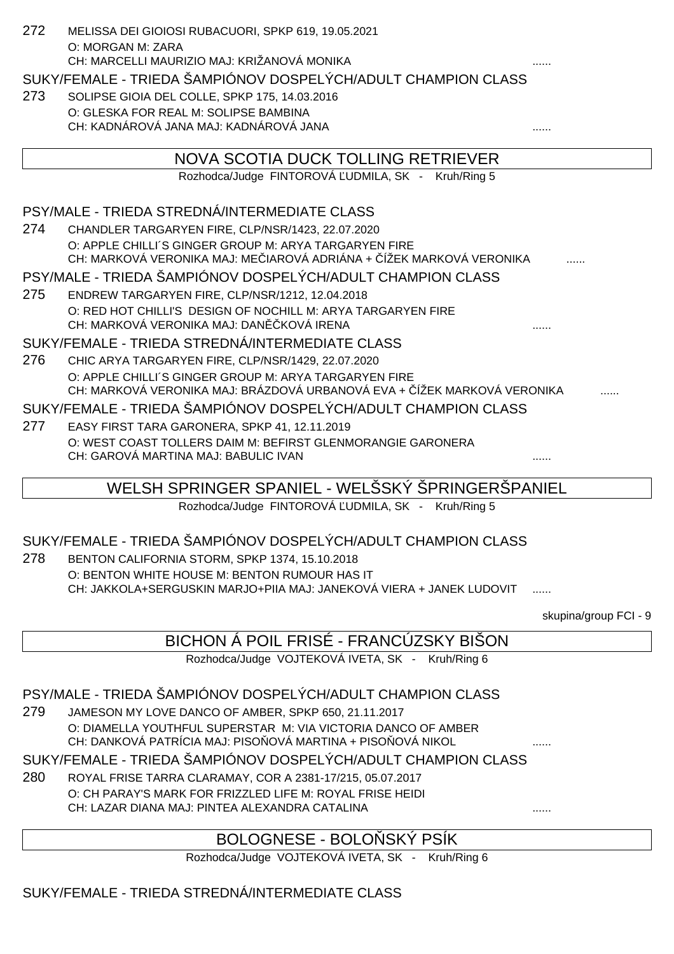| 272 | MELISSA DEI GIOIOSI RUBACUORI, SPKP 619, 19.05.2021                                                                              |
|-----|----------------------------------------------------------------------------------------------------------------------------------|
|     | O: MORGAN M: ZARA                                                                                                                |
|     | CH: MARCELLI MAURIZIO MAJ: KRIŽANOVÁ MONIKA                                                                                      |
|     | SUKY/FEMALE - TRIEDA ŠAMPIÓNOV DOSPELÝCH/ADULT CHAMPION CLASS                                                                    |
| 273 | SOLIPSE GIOIA DEL COLLE, SPKP 175, 14.03.2016                                                                                    |
|     | O: GLESKA FOR REAL M: SOLIPSE BAMBINA                                                                                            |
|     | CH: KADNÁROVÁ JANA MAJ: KADNÁROVÁ JANA                                                                                           |
|     | NOVA SCOTIA DUCK TOLLING RETRIEVER                                                                                               |
|     | Rozhodca/Judge FINTOROVÁ UDMILA, SK - Kruh/Ring 5                                                                                |
|     |                                                                                                                                  |
|     | PSY/MALE - TRIEDA STREDNÁ/INTERMEDIATE CLASS                                                                                     |
| 274 | CHANDLER TARGARYEN FIRE, CLP/NSR/1423, 22.07.2020                                                                                |
|     | O: APPLE CHILLI'S GINGER GROUP M: ARYA TARGARYEN FIRE<br>CH: MARKOVÁ VERONIKA MAJ: ME IAROVÁ ADRIÁNA + ÍŽEK MARKOVÁ VERONIKA     |
|     |                                                                                                                                  |
|     | PSY/MALE - TRIEDA ŠAMPIÓNOV DOSPELÝCH/ADULT CHAMPION CLASS                                                                       |
| 275 | ENDREW TARGARYEN FIRE, CLP/NSR/1212, 12.04.2018                                                                                  |
|     | O: RED HOT CHILLI'S DESIGN OF NOCHILL M: ARYA TARGARYEN FIRE<br>CH: MARKOVÁ VERONIKA MAJ: DAN KOVÁ IRENA                         |
|     | SUKY/FEMALE - TRIEDA STREDNÁ/INTERMEDIATE CLASS                                                                                  |
|     |                                                                                                                                  |
| 276 | CHIC ARYA TARGARYEN FIRE, CLP/NSR/1429, 22.07.2020                                                                               |
|     | O: APPLE CHILLI'S GINGER GROUP M: ARYA TARGARYEN FIRE<br>CH: MARKOVÁ VERONIKA MAJ: BRÁZDOVÁ URBANOVÁ EVA + ÍŽEK MARKOVÁ VERONIKA |
|     | SUKY/FEMALE - TRIEDA ŠAMPIÓNOV DOSPELÝCH/ADULT CHAMPION CLASS                                                                    |
| 277 | EASY FIRST TARA GARONERA, SPKP 41, 12.11.2019                                                                                    |
|     | O: WEST COAST TOLLERS DAIM M: BEFIRST GLENMORANGIE GARONERA                                                                      |
|     | CH: GAROVÁ MARTINA MAJ: BABULIC IVAN                                                                                             |
|     |                                                                                                                                  |
|     | WELSH SPRINGER SPANIEL - WELŠSKÝ ŠPRINGERŠPANIEL                                                                                 |
|     | Rozhodca/Judge FINTOROVÁ UDMILA, SK - Kruh/Ring 5                                                                                |
|     | SUKY/FEMALE - TRIEDA ŠAMPIÓNOV DOSPELÝCH/ADULT CHAMPION CLASS                                                                    |
|     |                                                                                                                                  |
| 278 | BENTON CALIFORNIA STORM, SPKP 1374, 15.10.2018                                                                                   |
|     | O: BENTON WHITE HOUSE M: BENTON RUMOUR HAS IT<br>CH: JAKKOLA+SERGUSKIN MARJO+PIIA MAJ: JANEKOVÁ VIERA + JANEK LUDOVIT            |
|     |                                                                                                                                  |

skupina/group FCI - 9

| BICHON Á POIL FRISÉ - FRANCÚZSKY BIŠON |  |  |
|----------------------------------------|--|--|
|                                        |  |  |
|                                        |  |  |
|                                        |  |  |

Rozhodca/Judge VOJTEKOVÁ IVETA, SK - Kruh/Ring 6

## PSY/MALE - TRIEDA ŠAMPIÓNOV DOSPELÝCH/ADULT CHAMPION CLASS

279 JAMESON MY LOVE DANCO OF AMBER, SPKP 650, 21.11.2017 O: DIAMELLA YOUTHFUL SUPERSTAR M: VIA VICTORIA DANCO OF AMBER CH: DANKOVÁ PATRÍCIA MAJ: PISO OVÁ MARTINA + PISO OVÁ NIKOL

SUKY/FEMALE - TRIEDA ŠAMPIÓNOV DOSPELÝCH/ADULT CHAMPION CLASS

280 ROYAL FRISE TARRA CLARAMAY, COR A 2381-17/215, 05.07.2017 O: CH PARAY'S MARK FOR FRIZZLED LIFE M: ROYAL FRISE HEIDI CH: LAZAR DIANA MAJ: PINTEA ALEXANDRA CATALINA

## BOLOGNESE - BOLO SKÝ PSÍK

Rozhodca/Judge VOJTEKOVÁ IVETA, SK - Kruh/Ring 6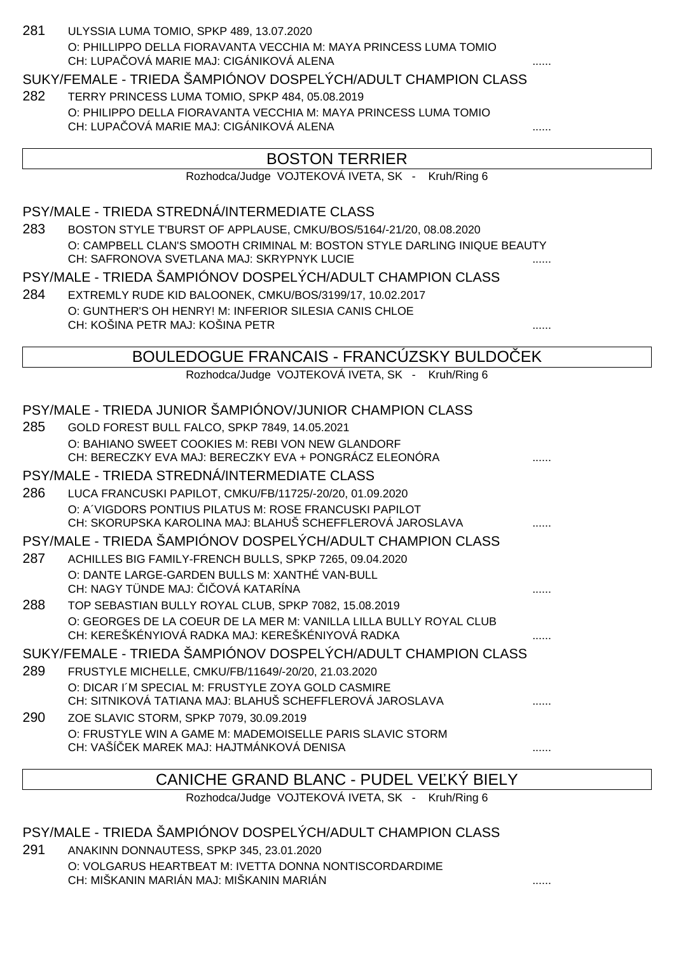| 281 | ULYSSIA LUMA TOMIO, SPKP 489, 13.07.2020                                                                               |  |
|-----|------------------------------------------------------------------------------------------------------------------------|--|
|     | O: PHILLIPPO DELLA FIORAVANTA VECCHIA M: MAYA PRINCESS LUMA TOMIO                                                      |  |
|     | CH: LUPA OVÁ MARIE MAJ: CIGÁNIKOVÁ ALENA                                                                               |  |
|     | SUKY/FEMALE - TRIEDA ŠAMPIÓNOV DOSPELÝCH/ADULT CHAMPION CLASS                                                          |  |
| 282 | TERRY PRINCESS LUMA TOMIO, SPKP 484, 05.08.2019                                                                        |  |
|     | O: PHILIPPO DELLA FIORAVANTA VECCHIA M: MAYA PRINCESS LUMA TOMIO<br>CH: LUPA OVÁ MARIE MAJ: CIGÁNIKOVÁ ALENA           |  |
|     |                                                                                                                        |  |
|     | <b>BOSTON TERRIER</b>                                                                                                  |  |
|     | Rozhodca/Judge VOJTEKOVÁ IVETA, SK - Kruh/Ring 6                                                                       |  |
|     |                                                                                                                        |  |
|     | PSY/MALE - TRIEDA STREDNÁ/INTERMEDIATE CLASS                                                                           |  |
| 283 | BOSTON STYLE T'BURST OF APPLAUSE, CMKU/BOS/5164/-21/20, 08.08.2020                                                     |  |
|     | O: CAMPBELL CLAN'S SMOOTH CRIMINAL M: BOSTON STYLE DARLING INIQUE BEAUTY                                               |  |
|     | CH: SAFRONOVA SVETLANA MAJ: SKRYPNYK LUCIE                                                                             |  |
|     | PSY/MALE - TRIEDA ŠAMPIÓNOV DOSPELÝCH/ADULT CHAMPION CLASS                                                             |  |
| 284 | EXTREMLY RUDE KID BALOONEK, CMKU/BOS/3199/17, 10.02.2017                                                               |  |
|     | O: GUNTHER'S OH HENRY! M: INFERIOR SILESIA CANIS CHLOE<br>CH: KOŠINA PETR MAJ: KOŠINA PETR                             |  |
|     |                                                                                                                        |  |
|     | BOULEDOGUE FRANCAIS - FRANCÚZSKY BULDO EK                                                                              |  |
|     | Rozhodca/Judge VOJTEKOVÁ IVETA, SK - Kruh/Ring 6                                                                       |  |
|     |                                                                                                                        |  |
|     | PSY/MALE - TRIEDA JUNIOR ŠAMPIÓNOV/JUNIOR CHAMPION CLASS                                                               |  |
| 285 | GOLD FOREST BULL FALCO, SPKP 7849, 14.05.2021                                                                          |  |
|     | O: BAHIANO SWEET COOKIES M: REBI VON NEW GLANDORF                                                                      |  |
|     | CH: BERECZKY EVA MAJ: BERECZKY EVA + PONGRÁCZ ELEONÓRA                                                                 |  |
|     | PSY/MALE - TRIEDA STREDNÁ/INTERMEDIATE CLASS                                                                           |  |
| 286 | LUCA FRANCUSKI PAPILOT, CMKU/FB/11725/-20/20, 01.09.2020                                                               |  |
|     | O: A VIGDORS PONTIUS PILATUS M: ROSE FRANCUSKI PAPILOT<br>CH: SKORUPSKA KAROLINA MAJ: BLAHUŠ SCHEFFLEROVÁ JAROSLAVA    |  |
|     | PSY/MALE - TRIEDA ŠAMPIÓNOV DOSPELÝCH/ADULT CHAMPION CLASS                                                             |  |
| 287 | ACHILLES BIG FAMILY-FRENCH BULLS, SPKP 7265, 09.04.2020                                                                |  |
|     | O: DANTE LARGE-GARDEN BULLS M: XANTHÉ VAN-BULL                                                                         |  |
|     | CH: NAGY TÜNDE MAJ: 1 OVÁ KATARÍNA                                                                                     |  |
| 288 | TOP SEBASTIAN BULLY ROYAL CLUB, SPKP 7082, 15.08.2019                                                                  |  |
|     | O: GEORGES DE LA COEUR DE LA MER M: VANILLA LILLA BULLY ROYAL CLUB<br>CH: KEREŠKÉNYIOVÁ RADKA MAJ: KEREŠKÉNIYOVÁ RADKA |  |
|     | SUKY/FEMALE - TRIEDA ŠAMPIÓNOV DOSPELÝCH/ADULT CHAMPION CLASS                                                          |  |
| 289 | FRUSTYLE MICHELLE, CMKU/FB/11649/-20/20, 21.03.2020                                                                    |  |
|     | O: DICAR I'M SPECIAL M: FRUSTYLE ZOYA GOLD CASMIRE                                                                     |  |
|     | CH: SITNIKOVÁ TATIANA MAJ: BLAHUŠ SCHEFFLEROVÁ JAROSLAVA                                                               |  |
| 290 | ZOE SLAVIC STORM, SPKP 7079, 30.09.2019                                                                                |  |
|     | O: FRUSTYLE WIN A GAME M: MADEMOISELLE PARIS SLAVIC STORM                                                              |  |
|     | CH: VAŠÍ EK MAREK MAJ: HAJTMÁNKOVÁ DENISA                                                                              |  |
|     | CANICHE GRAND BLANC - PLIDEL VE KÝ BIELY                                                                               |  |

CANICHE GRAND BLANC - PUDEL VEĽKÝ BIELY

Rozhodca/Judge VOJTEKOVÁ IVETA, SK - Kruh/Ring 6

PSY/MALE - TRIEDA ŠAMPIÓNOV DOSPELÝCH/ADULT CHAMPION CLASS

291 ANAKINN DONNAUTESS, SPKP 345, 23.01.2020 O: VOLGARUS HEARTBEAT M: IVETTA DONNA NONTISCORDARDIME CH: MIŠKANIN MARIÁN MAJ: MIŠKANIN MARIÁN ......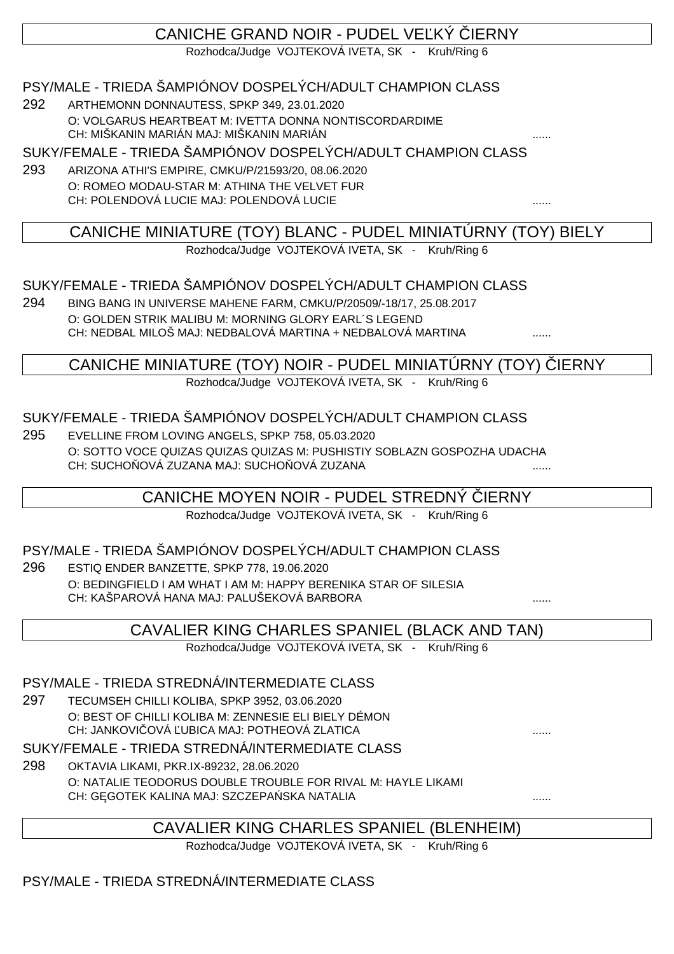# CANICHE GRAND NOIR - PUDEL VE KÝ LERNY

Rozhodca/Judge VOJTEKOVÁ IVETA, SK - Kruh/Ring 6

## PSY/MALE - TRIEDA ŠAMPIÓNOV DOSPELÝCH/ADULT CHAMPION CLASS

292 ARTHEMONN DONNAUTESS, SPKP 349, 23.01.2020 O: VOLGARUS HEARTBEAT M: IVETTA DONNA NONTISCORDARDIME CH: MIŠKANIN MARIÁN MAJ: MIŠKANIN MARIÁN

SUKY/FEMALE - TRIEDA ŠAMPIÓNOV DOSPELÝCH/ADULT CHAMPION CLASS

293 ARIZONA ATHI'S EMPIRE, CMKU/P/21593/20, 08.06.2020 O: ROMEO MODAU-STAR M: ATHINA THE VELVET FUR CH: POLENDOVÁ LUCIE MAJ: POLENDOVÁ LUCIE ......

## CANICHE MINIATURE (TOY) BLANC - PUDEL MINIATÚRNY (TOY) BIELY

Rozhodca/Judge VOJTEKOVÁ IVETA, SK - Kruh/Ring 6

### SUKY/FEMALE - TRIEDA ŠAMPIÓNOV DOSPELÝCH/ADULT CHAMPION CLASS

294 BING BANG IN UNIVERSE MAHENE FARM, CMKU/P/20509/-18/17, 25.08.2017 O: GOLDEN STRIK MALIBU M: MORNING GLORY EARL´S LEGEND CH: NEDBAL MILOŠ MAJ: NEDBALOVÁ MARTINA + NEDBALOVÁ MARTINA

### CANICHE MINIATURE (TOY) NOIR - PUDEL MINIATÚRNY (TOY) ČIERNY

Rozhodca/Judge VOJTEKOVÁ IVETA, SK - Kruh/Ring 6

### SUKY/FEMALE - TRIEDA ŠAMPIÓNOV DOSPELÝCH/ADULT CHAMPION CLASS

295 EVELLINE FROM LOVING ANGELS, SPKP 758, 05.03.2020 O: SOTTO VOCE QUIZAS QUIZAS QUIZAS M: PUSHISTIY SOBLAZN GOSPOZHA UDACHA CH: SUCHO OVÁ ZUZANA MAJ: SUCHO OVÁ ZUZANA

## CANICHE MOYEN NOIR - PUDEL STREDNY IERNY

Rozhodca/Judge VOJTEKOVÁ IVETA, SK - Kruh/Ring 6

#### PSY/MALE - TRIEDA ŠAMPIÓNOV DOSPELÝCH/ADULT CHAMPION CLASS

296 ESTIQ ENDER BANZETTE, SPKP 778, 19.06.2020 O: BEDINGFIELD I AM WHAT I AM M: HAPPY BERENIKA STAR OF SILESIA CH: KAŠPAROVÁ HANA MAJ: PALUŠEKOVÁ BARBORA ......

## CAVALIER KING CHARLES SPANIEL (BLACK AND TAN)

Rozhodca/Judge VOJTEKOVÁ IVETA, SK - Kruh/Ring 6

#### PSY/MALE - TRIEDA STREDNÁ/INTERMEDIATE CLASS

297 TECUMSEH CHILLI KOLIBA, SPKP 3952, 03.06.2020 O: BEST OF CHILLI KOLIBA M: ZENNESIE ELI BIELY DÉMON CH: JANKOVI OVÁ UBICA MAJ: POTHEOVÁ ZLATICA

SUKY/FEMALE - TRIEDA STREDNÁ/INTERMEDIATE CLASS

298 OKTAVIA LIKAMI, PKR.IX-89232, 28.06.2020 O: NATALIE TEODORUS DOUBLE TROUBLE FOR RIVAL M: HAYLE LIKAMI CH: GĘGOTEK KALINA MAJ: SZCZEPAŃSKA NATALIA ......

## CAVALIER KING CHARLES SPANIEL (BLENHEIM)

Rozhodca/Judge VOJTEKOVÁ IVETA, SK - Kruh/Ring 6

## PSY/MALE - TRIEDA STREDNÁ/INTERMEDIATE CLASS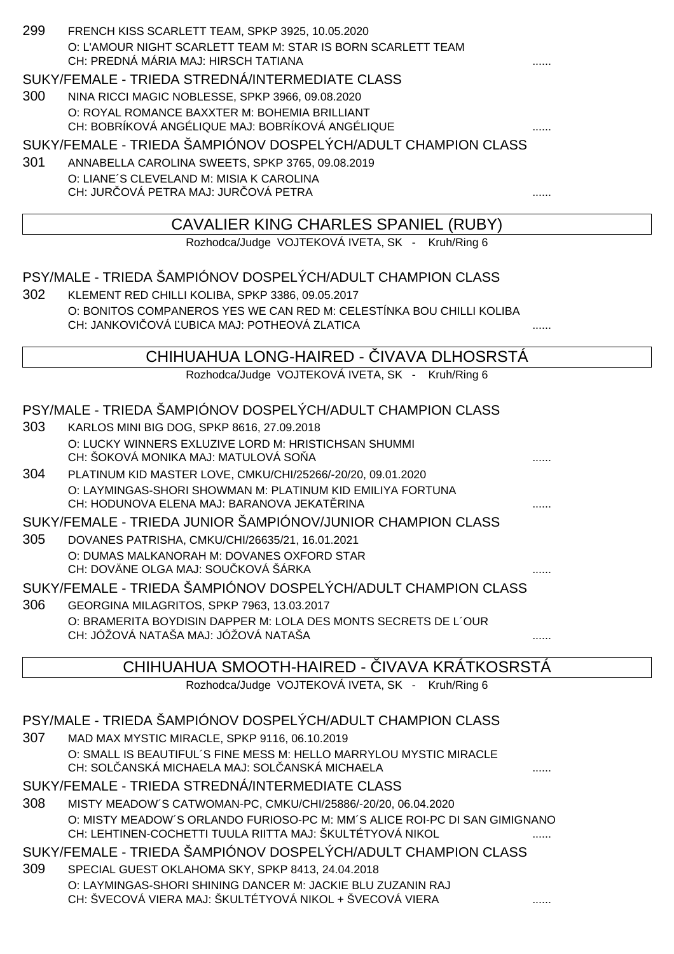| 299 | FRENCH KISS SCARLETT TEAM, SPKP 3925, 10.05.2020                                                                 |  |
|-----|------------------------------------------------------------------------------------------------------------------|--|
|     | O: L'AMOUR NIGHT SCARLETT TEAM M: STAR IS BORN SCARLETT TEAM<br>CH: PREDNÁ MÁRIA MAJ: HIRSCH TATIANA             |  |
|     | SUKY/FEMALE - TRIEDA STREDNÁ/INTERMEDIATE CLASS                                                                  |  |
| 300 | NINA RICCI MAGIC NOBLESSE, SPKP 3966, 09.08.2020                                                                 |  |
|     | O: ROYAL ROMANCE BAXXTER M: BOHEMIA BRILLIANT                                                                    |  |
|     | CH: BOBRÍKOVÁ ANGÉLIQUE MAJ: BOBRÍKOVÁ ANGÉLIQUE                                                                 |  |
|     | SUKY/FEMALE - TRIEDA ŠAMPIÓNOV DOSPELÝCH/ADULT CHAMPION CLASS                                                    |  |
| 301 | ANNABELLA CAROLINA SWEETS, SPKP 3765, 09.08.2019                                                                 |  |
|     | O: LIANE'S CLEVELAND M: MISIA K CAROLINA<br>CH: JUR OVÁ PETRA MAJ: JUR OVÁ PETRA                                 |  |
|     |                                                                                                                  |  |
|     | CAVALIER KING CHARLES SPANIEL (RUBY)                                                                             |  |
|     | Rozhodca/Judge VOJTEKOVÁ IVETA, SK - Kruh/Ring 6                                                                 |  |
|     |                                                                                                                  |  |
|     | PSY/MALE - TRIEDA ŠAMPIÓNOV DOSPELÝCH/ADULT CHAMPION CLASS                                                       |  |
| 302 | KLEMENT RED CHILLI KOLIBA, SPKP 3386, 09.05.2017                                                                 |  |
|     | O: BONITOS COMPANEROS YES WE CAN RED M: CELESTÍNKA BOU CHILLI KOLIBA                                             |  |
|     | CH: JANKOVI OVÁ UBICA MAJ: POTHEOVÁ ZLATICA                                                                      |  |
|     | CHIHUAHUA LONG-HAIRED - IVAVA DLHOSRSTA                                                                          |  |
|     | Rozhodca/Judge VOJTEKOVÁ IVETA, SK - Kruh/Ring 6                                                                 |  |
|     |                                                                                                                  |  |
|     | PSY/MALE - TRIEDA ŠAMPIÓNOV DOSPELÝCH/ADULT CHAMPION CLASS                                                       |  |
| 303 | KARLOS MINI BIG DOG, SPKP 8616, 27.09.2018                                                                       |  |
|     | O: LUCKY WINNERS EXLUZIVE LORD M: HRISTICHSAN SHUMMI<br>CH: ŠOKOVÁ MONIKA MAJ: MATULOVÁ SO A                     |  |
| 304 | PLATINUM KID MASTER LOVE, CMKU/CHI/25266/-20/20, 09.01.2020                                                      |  |
|     | O: LAYMINGAS-SHORI SHOWMAN M: PLATINUM KID EMILIYA FORTUNA                                                       |  |
|     | CH: HODUNOVA ELENA MAJ: BARANOVA JEKAT RINA                                                                      |  |
|     | SUKY/FEMALE - TRIEDA JUNIOR ŠAMPIÓNOV/JUNIOR CHAMPION CLASS                                                      |  |
| 305 | DOVANES PATRISHA, CMKU/CHI/26635/21, 16.01.2021                                                                  |  |
|     | O: DUMAS MALKANORAH M: DOVANES OXFORD STAR<br>CH: DOVÄNE OLGA MAJ: SOU KOVÁ ŠÁRKA                                |  |
|     | SUKY/FEMALE - TRIEDA ŠAMPIÓNOV DOSPELÝCH/ADULT CHAMPION CLASS                                                    |  |
| 306 | GEORGINA MILAGRITOS, SPKP 7963, 13.03.2017                                                                       |  |
|     | O: BRAMERITA BOYDISIN DAPPER M: LOLA DES MONTS SECRETS DE L'OUR                                                  |  |
|     | CH: JÓŽOVÁ NATAŠA MAJ: JÓŽOVÁ NATAŠA                                                                             |  |
|     |                                                                                                                  |  |
|     | CHIHUAHUA SMOOTH-HAIRED - IVAVA KRATKOSRSTÄ                                                                      |  |
|     | Rozhodca/Judge VOJTEKOVÁ IVETA, SK - Kruh/Ring 6                                                                 |  |
|     | PSY/MALE - TRIEDA ŠAMPIÓNOV DOSPELÝCH/ADULT CHAMPION CLASS                                                       |  |
| 307 | MAD MAX MYSTIC MIRACLE, SPKP 9116, 06.10.2019                                                                    |  |
|     | O: SMALL IS BEAUTIFUL'S FINE MESS M: HELLO MARRYLOU MYSTIC MIRACLE                                               |  |
|     | CH: SOL ANSKÁ MICHAELA MAJ: SOL ANSKÁ MICHAELA                                                                   |  |
|     | SUKY/FEMALE - TRIEDA STREDNÁ/INTERMEDIATE CLASS                                                                  |  |
| 308 | MISTY MEADOW'S CATWOMAN-PC, CMKU/CHI/25886/-20/20, 06.04.2020                                                    |  |
|     | O: MISTY MEADOW'S ORLANDO FURIOSO-PC M: MM'S ALICE ROI-PC DI SAN GIMIGNANO                                       |  |
|     | CH: LEHTINEN-COCHETTI TUULA RIITTA MAJ: ŠKULTÉTYOVÁ NIKOL                                                        |  |
|     | SUKY/FEMALE - TRIEDA ŠAMPIÓNOV DOSPELÝCH/ADULT CHAMPION CLASS                                                    |  |
| 309 | SPECIAL GUEST OKLAHOMA SKY, SPKP 8413, 24.04.2018<br>O: LAYMINGAS-SHORI SHINING DANCER M: JACKIE BLU ZUZANIN RAJ |  |
|     |                                                                                                                  |  |

CH: ŠVECOVÁ VIERA MAJ: ŠKULTÉTYOVÁ NIKOL + ŠVECOVÁ VIERA ......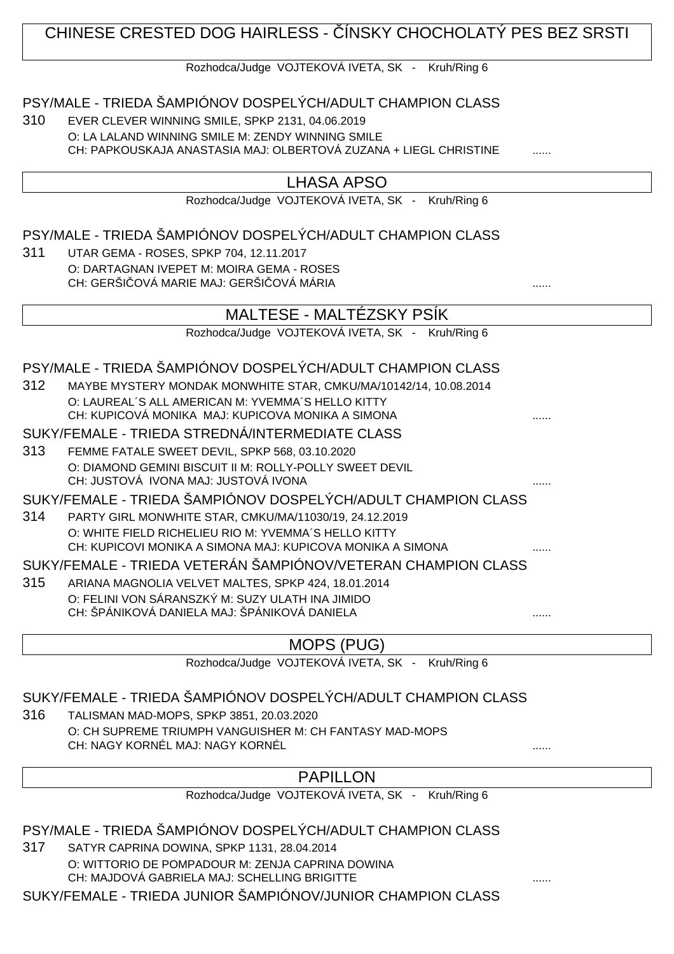# CHINESE CRESTED DOG HAIRLESS - ÍNSKY CHOCHOLATÝ PES BEZ SRSTI

Rozhodca/Judge VOJTEKOVÁ IVETA, SK - Kruh/Ring 6

### PSY/MALE - TRIEDA ŠAMPIÓNOV DOSPELÝCH/ADULT CHAMPION CLASS

310 EVER CLEVER WINNING SMILE, SPKP 2131, 04.06.2019 O: LA LALAND WINNING SMILE M: ZENDY WINNING SMILE CH: PAPKOUSKAJA ANASTASIA MAJ: OLBERTOVÁ ZUZANA + LIEGL CHRISTINE

#### LHASA APSO

Rozhodca/Judge VOJTEKOVÁ IVETA, SK - Kruh/Ring 6

#### PSY/MALE - TRIEDA ŠAMPIÓNOV DOSPELÝCH/ADULT CHAMPION CLASS

311 UTAR GEMA - ROSES, SPKP 704, 12.11.2017 O: DARTAGNAN IVEPET M: MOIRA GEMA - ROSES CH: GERŠI QVÁ MARIE MAJ: GERŠI QVÁ MÁRIA

|     | MALTESE - MALTÉZSKY PSÍK                                                                         |   |
|-----|--------------------------------------------------------------------------------------------------|---|
|     | Rozhodca/Judge VOJTEKOVÁ IVETA, SK - Kruh/Ring 6                                                 |   |
|     |                                                                                                  |   |
|     | PSY/MALE - TRIEDA ŠAMPIÓNOV DOSPELÝCH/ADULT CHAMPION CLASS                                       |   |
| 312 | MAYBE MYSTERY MONDAK MONWHITE STAR, CMKU/MA/10142/14, 10.08.2014                                 |   |
|     | O: LAUREAL'S ALL AMERICAN M: YVEMMA'S HELLO KITTY                                                |   |
|     | CH: KUPICOVÁ MONIKA MAJ: KUPICOVA MONIKA A SIMONA                                                |   |
|     | SUKY/FEMALE - TRIEDA STREDNÁ/INTERMEDIATE CLASS                                                  |   |
| 313 | FEMME FATALE SWEET DEVIL, SPKP 568, 03.10.2020                                                   |   |
|     | O: DIAMOND GEMINI BISCUIT II M: ROLLY-POLLY SWEET DEVIL                                          |   |
|     | CH: JUSTOVÁ IVONA MAJ: JUSTOVÁ IVONA                                                             |   |
|     | SUKY/FEMALE - TRIEDA ŠAMPIÓNOV DOSPELÝCH/ADULT CHAMPION CLASS                                    |   |
| 314 | PARTY GIRL MONWHITE STAR, CMKU/MA/11030/19, 24.12.2019                                           |   |
|     | O: WHITE FIELD RICHELIEU RIO M: YVEMMA'S HELLO KITTY                                             |   |
|     | CH: KUPICOVI MONIKA A SIMONA MAJ: KUPICOVA MONIKA A SIMONA                                       |   |
|     | SUKY/FEMALE - TRIEDA VETERÁN ŠAMPIÓNOV/VETERAN CHAMPION CLASS                                    |   |
| 315 | ARIANA MAGNOLIA VELVET MALTES, SPKP 424, 18.01.2014                                              |   |
|     | O: FELINI VON SÁRANSZKÝ M: SUZY ULATH INA JIMIDO<br>CH: ŠPÁNIKOVÁ DANIELA MAJ: ŠPÁNIKOVÁ DANIELA |   |
|     |                                                                                                  | . |

MOPS (PUG)

Rozhodca/Judge VOJTEKOVÁ IVETA, SK - Kruh/Ring 6

#### SUKY/FEMALE - TRIEDA ŠAMPIÓNOV DOSPELÝCH/ADULT CHAMPION CLASS

316 TALISMAN MAD-MOPS, SPKP 3851, 20.03.2020 O: CH SUPREME TRIUMPH VANGUISHER M: CH FANTASY MAD-MOPS CH: NAGY KORNÉL MAJ: NAGY KORNÉL

## PAPILLON

Rozhodca/Judge VOJTEKOVÁ IVETA, SK - Kruh/Ring 6

#### PSY/MALE - TRIEDA ŠAMPIÓNOV DOSPELÝCH/ADULT CHAMPION CLASS

317 SATYR CAPRINA DOWINA, SPKP 1131, 28.04.2014 O: WITTORIO DE POMPADOUR M: ZENJA CAPRINA DOWINA CH: MAJDOVÁ GABRIELA MAJ: SCHELLING BRIGITTE

SUKY/FEMALE - TRIEDA JUNIOR ŠAMPIÓNOV/JUNIOR CHAMPION CLASS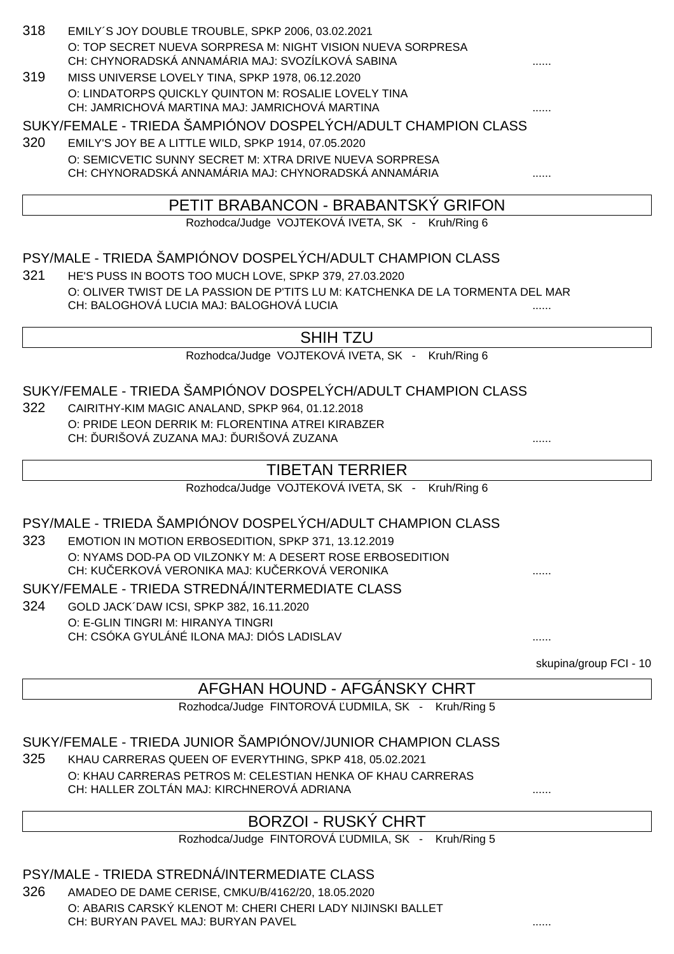| 318 | EMILY'S JOY DOUBLE TROUBLE, SPKP 2006, 03.02.2021<br>O: TOP SECRET NUEVA SORPRESA M: NIGHT VISION NUEVA SORPRESA<br>CH: CHYNORADSKÁ ANNAMÁRIA MAJ: SVOZÍLKOVÁ SABINA |                        |
|-----|----------------------------------------------------------------------------------------------------------------------------------------------------------------------|------------------------|
| 319 | MISS UNIVERSE LOVELY TINA, SPKP 1978, 06.12.2020                                                                                                                     |                        |
|     | O: LINDATORPS QUICKLY QUINTON M: ROSALIE LOVELY TINA<br>CH: JAMRICHOVÁ MARTINA MAJ: JAMRICHOVÁ MARTINA                                                               |                        |
|     | SUKY/FEMALE - TRIEDA ŠAMPIÓNOV DOSPELÝCH/ADULT CHAMPION CLASS                                                                                                        |                        |
| 320 | EMILY'S JOY BE A LITTLE WILD, SPKP 1914, 07.05.2020                                                                                                                  |                        |
|     | O: SEMICVETIC SUNNY SECRET M: XTRA DRIVE NUEVA SORPRESA<br>CH: CHYNORADSKÁ ANNAMÁRIA MAJ: CHYNORADSKÁ ANNAMÁRIA                                                      |                        |
|     | PETIT BRABANCON - BRABANTSKÝ GRIFON                                                                                                                                  |                        |
|     | Rozhodca/Judge VOJTEKOVÁ IVETA, SK - Kruh/Ring 6                                                                                                                     |                        |
|     |                                                                                                                                                                      |                        |
|     | PSY/MALE - TRIEDA ŠAMPIÓNOV DOSPELÝCH/ADULT CHAMPION CLASS                                                                                                           |                        |
| 321 | HE'S PUSS IN BOOTS TOO MUCH LOVE, SPKP 379, 27.03.2020                                                                                                               |                        |
|     | O: OLIVER TWIST DE LA PASSION DE P'TITS LU M: KATCHENKA DE LA TORMENTA DEL MAR<br>CH: BALOGHOVÁ LUCIA MAJ: BALOGHOVÁ LUCIA                                           |                        |
|     |                                                                                                                                                                      |                        |
|     | <b>SHIH TZU</b>                                                                                                                                                      |                        |
|     | Rozhodca/Judge VOJTEKOVÁ IVETA, SK - Kruh/Ring 6                                                                                                                     |                        |
|     | SUKY/FEMALE - TRIEDA ŠAMPIÓNOV DOSPELÝCH/ADULT CHAMPION CLASS                                                                                                        |                        |
| 322 | CAIRITHY-KIM MAGIC ANALAND, SPKP 964, 01.12.2018                                                                                                                     |                        |
|     | O: PRIDE LEON DERRIK M: FLORENTINA ATREI KIRABZER<br>CH: URIŠOVÁ ZUZANA MAJ: URIŠOVÁ ZUZANA                                                                          |                        |
|     | <b>TIBETAN TERRIER</b>                                                                                                                                               |                        |
|     | Rozhodca/Judge VOJTEKOVÁ IVETA, SK -<br>Kruh/Ring 6                                                                                                                  |                        |
|     | PSY/MALE - TRIEDA ŠAMPIÓNOV DOSPELÝCH/ADULT CHAMPION CLASS                                                                                                           |                        |
| 323 | EMOTION IN MOTION ERBOSEDITION, SPKP 371, 13.12.2019                                                                                                                 |                        |
|     | O: NYAMS DOD-PA OD VILZONKY M: A DESERT ROSE ERBOSEDITION<br>CH: KU ERKOVÁ VERONIKA MAJ: KU ERKOVÁ VERONIKA                                                          |                        |
|     | SUKY/FEMALE - TRIEDA STREDNÁ/INTERMEDIATE CLASS                                                                                                                      |                        |
| 324 | GOLD JACK DAW ICSI, SPKP 382, 16.11.2020                                                                                                                             |                        |
|     | O: E-GLIN TINGRI M: HIRANYA TINGRI                                                                                                                                   |                        |
|     | CH: CSÓKA GYULÁNÉ ILONA MAJ: DIÓS LADISLAV                                                                                                                           |                        |
|     |                                                                                                                                                                      | skupina/group FCI - 10 |
|     | AFGHAN HOUND - AFGANSKY CHRT                                                                                                                                         |                        |
|     | Rozhodca/Judge FINTOROVÁ UDMILA, SK - Kruh/Ring 5                                                                                                                    |                        |
|     | SUKY/FEMALE - TRIEDA JUNIOR ŠAMPIÓNOV/JUNIOR CHAMPION CLASS                                                                                                          |                        |
| 325 | KHAU CARRERAS QUEEN OF EVERYTHING, SPKP 418, 05.02.2021                                                                                                              |                        |
|     | O: KHAU CARRERAS PETROS M: CELESTIAN HENKA OF KHAU CARRERAS<br>CH: HALLER ZOLTÁN MAJ: KIRCHNEROVÁ ADRIANA                                                            |                        |
|     | <b>BORZOI - RUSKÝ CHRT</b>                                                                                                                                           |                        |

#### Rozhodca/Judge FINTOROVÁ UDMILA, SK - Kruh/Ring 5

## PSY/MALE - TRIEDA STREDNÁ/INTERMEDIATE CLASS

326 AMADEO DE DAME CERISE, CMKU/B/4162/20, 18.05.2020 O: ABARIS CARSKÝ KLENOT M: CHERI CHERI LADY NIJINSKI BALLET CH: BURYAN PAVEL MAJ: BURYAN PAVEL **Example 2018** 2022 2023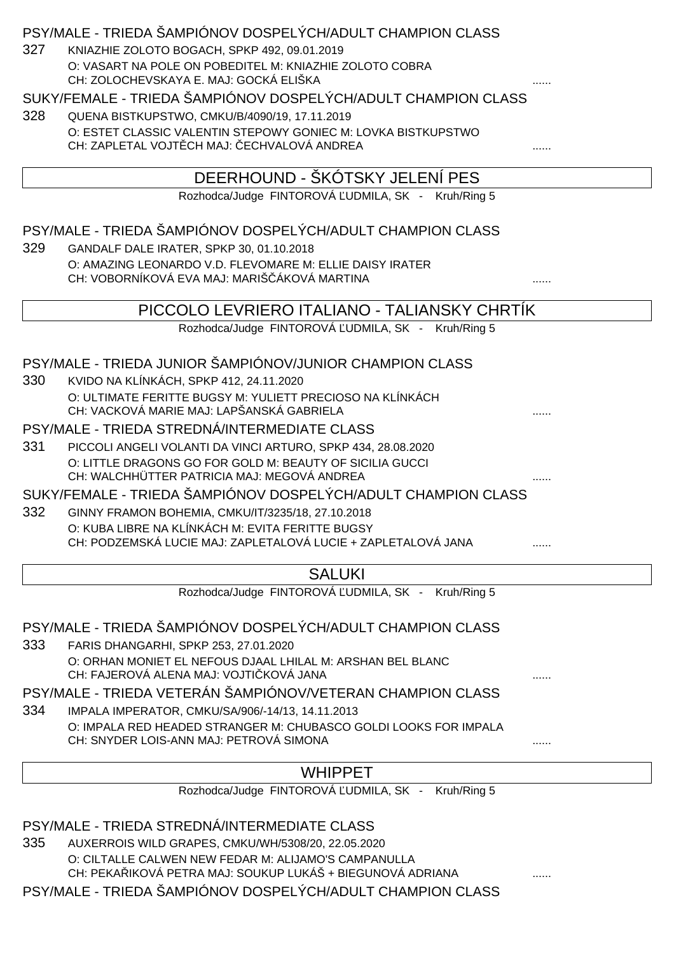| 327 | PSY/MALE - TRIEDA ŠAMPIÓNOV DOSPELÝCH/ADULT CHAMPION CLASS<br>KNIAZHIE ZOLOTO BOGACH, SPKP 492, 09.01.2019        |   |  |  |
|-----|-------------------------------------------------------------------------------------------------------------------|---|--|--|
|     | O: VASART NA POLE ON POBEDITEL M: KNIAZHIE ZOLOTO COBRA<br>CH: ZOLOCHEVSKAYA E. MAJ: GOCKÁ ELIŠKA                 |   |  |  |
|     | SUKY/FEMALE - TRIEDA ŠAMPIÓNOV DOSPELÝCH/ADULT CHAMPION CLASS                                                     |   |  |  |
| 328 | QUENA BISTKUPSTWO, CMKU/B/4090/19, 17.11.2019                                                                     |   |  |  |
|     | O: ESTET CLASSIC VALENTIN STEPOWY GONIEC M: LOVKA BISTKUPSTWO                                                     |   |  |  |
|     | CH: ZAPLETAL VOJT CH MAJ: ECHVALOVÁ ANDREA                                                                        |   |  |  |
|     | DEERHOUND - ŠKÓTSKY JELENÍ PES                                                                                    |   |  |  |
|     | Rozhodca/Judge FINTOROVÁ UDMILA, SK - Kruh/Ring 5                                                                 |   |  |  |
|     | PSY/MALE - TRIEDA ŠAMPIÓNOV DOSPELÝCH/ADULT CHAMPION CLASS                                                        |   |  |  |
| 329 | GANDALF DALE IRATER, SPKP 30, 01.10.2018                                                                          |   |  |  |
|     | O: AMAZING LEONARDO V.D. FLEVOMARE M: ELLIE DAISY IRATER                                                          |   |  |  |
|     | CH: VOBORNÍKOVÁ EVA MAJ: MARIŠ ÁKOVÁ MARTINA                                                                      |   |  |  |
|     | PICCOLO LEVRIERO ITALIANO - TALIANSKY CHRTIK                                                                      |   |  |  |
|     | Rozhodca/Judge FINTOROVÁ UDMILA, SK - Kruh/Ring 5                                                                 |   |  |  |
|     | PSY/MALE - TRIEDA JUNIOR ŠAMPIÓNOV/JUNIOR CHAMPION CLASS                                                          |   |  |  |
| 330 | KVIDO NA KLÍNKÁCH, SPKP 412, 24.11.2020                                                                           |   |  |  |
|     | O: ULTIMATE FERITTE BUGSY M: YULIETT PRECIOSO NA KLÍNKÁCH                                                         |   |  |  |
|     | CH: VACKOVÁ MARIE MAJ: LAPŠANSKÁ GABRIELA                                                                         |   |  |  |
|     | PSY/MALE - TRIEDA STREDNÁ/INTERMEDIATE CLASS                                                                      |   |  |  |
| 331 | PICCOLI ANGELI VOLANTI DA VINCI ARTURO, SPKP 434, 28.08.2020                                                      |   |  |  |
|     | O: LITTLE DRAGONS GO FOR GOLD M: BEAUTY OF SICILIA GUCCI<br>CH: WALCHHÜTTER PATRICIA MAJ: MEGOVÁ ANDREA           |   |  |  |
|     | SUKY/FEMALE - TRIEDA ŠAMPIÓNOV DOSPELÝCH/ADULT CHAMPION CLASS                                                     |   |  |  |
| 332 | GINNY FRAMON BOHEMIA, CMKU/IT/3235/18, 27.10.2018                                                                 |   |  |  |
|     | O: KUBA LIBRE NA KLÍNKÁCH M: EVITA FERITTE BUGSY<br>CH: PODZEMSKÁ LUCIE MAJ: ZAPLETALOVÁ LUCIE + ZAPLETALOVÁ JANA |   |  |  |
|     |                                                                                                                   |   |  |  |
|     | <b>SALUKI</b>                                                                                                     |   |  |  |
|     | Rozhodca/Judge FINTOROVÁ UDMILA, SK - Kruh/Ring 5                                                                 |   |  |  |
|     | PSY/MALE - TRIEDA ŠAMPIÓNOV DOSPELÝCH/ADULT CHAMPION CLASS                                                        |   |  |  |
| 333 | FARIS DHANGARHI, SPKP 253, 27.01.2020                                                                             |   |  |  |
|     | O: ORHAN MONIET EL NEFOUS DJAAL LHILAL M: ARSHAN BEL BLANC<br>CH: FAJEROVÁ ALENA MAJ: VOJTI KOVÁ JANA             |   |  |  |
|     | PSY/MALE - TRIEDA VETERÁN ŠAMPIÓNOV/VETERAN CHAMPION CLASS                                                        |   |  |  |
| 334 | IMPALA IMPERATOR, CMKU/SA/906/-14/13, 14.11.2013                                                                  |   |  |  |
|     | O: IMPALA RED HEADED STRANGER M: CHUBASCO GOLDI LOOKS FOR IMPALA                                                  |   |  |  |
|     | CH: SNYDER LOIS-ANN MAJ: PETROVÁ SIMONA                                                                           |   |  |  |
|     | <b>WHIPPET</b>                                                                                                    |   |  |  |
|     | Rozhodca/Judge FINTOROVÁ UDMILA, SK - Kruh/Ring 5                                                                 |   |  |  |
|     |                                                                                                                   |   |  |  |
|     | PSY/MALE - TRIEDA STREDNÁ/INTERMEDIATE CLASS                                                                      |   |  |  |
| 335 | AUXERROIS WILD GRAPES, CMKU/WH/5308/20, 22.05.2020<br>O: CILTALLE CALWEN NEW FEDAR M: ALIJAMO'S CAMPANULLA        |   |  |  |
|     | CH: PEKA IKOVÁ PETRA MAJ: SOUKUP LUKÁŠ + BIEGUNOVÁ ADRIANA                                                        | . |  |  |

PSY/MALE - TRIEDA ŠAMPIÓNOV DOSPELÝCH/ADULT CHAMPION CLASS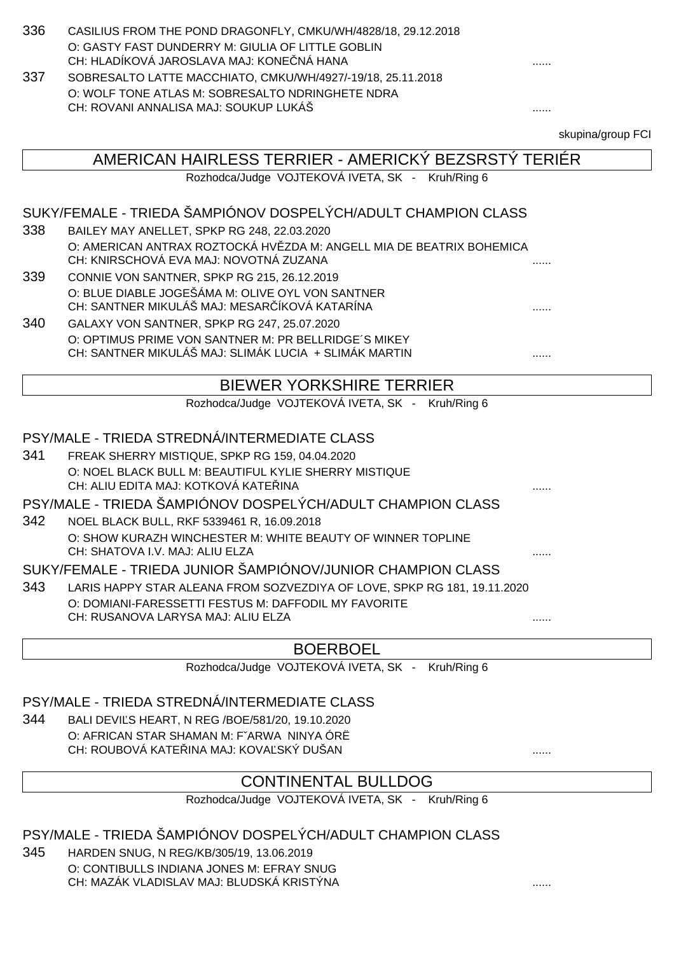| 336 | CASILIUS FROM THE POND DRAGONFLY, CMKU/WH/4828/18, 29.12.2018 |   |
|-----|---------------------------------------------------------------|---|
|     | O: GASTY FAST DUNDERRY M: GIULIA OF LITTLE GOBLIN             |   |
|     | CH: HLADÍKOVÁ JAROSLAVA MAJ: KONE NÁ HANA                     | . |
| 337 | SOBRESALTO LATTE MACCHIATO, CMKU/WH/4927/-19/18, 25.11.2018   |   |
|     | O: WOLF TONE ATLAS M: SOBRESALTO NDRINGHETE NDRA              |   |
|     | CH: ROVANI ANNALISA MAJ: SOUKUP LUKÁŠ                         | . |
|     |                                                               |   |

skupina/group FCI

| AMERICAN HAIRLESS TERRIER - AMERICKÝ BEZSRSTÝ TERIÉR        |                                                                                                                |   |  |  |  |
|-------------------------------------------------------------|----------------------------------------------------------------------------------------------------------------|---|--|--|--|
| Rozhodca/Judge VOJTEKOVÁ IVETA, SK - Kruh/Ring 6            |                                                                                                                |   |  |  |  |
|                                                             |                                                                                                                |   |  |  |  |
|                                                             | SUKY/FEMALE - TRIEDA ŠAMPIÓNOV DOSPELÝCH/ADULT CHAMPION CLASS                                                  |   |  |  |  |
| 338                                                         | BAILEY MAY ANELLET, SPKP RG 248, 22.03.2020                                                                    |   |  |  |  |
|                                                             | O: AMERICAN ANTRAX ROZTOCKÁ HV ZDA M: ANGELL MIA DE BEATRIX BOHEMICA<br>CH: KNIRSCHOVÁ EVA MAJ: NOVOTNÁ ZUZANA |   |  |  |  |
| 339                                                         | CONNIE VON SANTNER, SPKP RG 215, 26.12.2019                                                                    |   |  |  |  |
|                                                             | O: BLUE DIABLE JOGEŠÁMA M: OLIVE OYL VON SANTNER<br>CH: SANTNER MIKULÁŠ MAJ: MESAR ÍKOVÁ KATARÍNA              |   |  |  |  |
| 340                                                         | GALAXY VON SANTNER, SPKP RG 247, 25.07.2020                                                                    |   |  |  |  |
|                                                             | O: OPTIMUS PRIME VON SANTNER M: PR BELLRIDGE'S MIKEY                                                           |   |  |  |  |
|                                                             | CH: SANTNER MIKULÁŠ MAJ: SLIMÁK LUCIA + SLIMÁK MARTIN                                                          | . |  |  |  |
|                                                             | <b>BIEWER YORKSHIRE TERRIER</b>                                                                                |   |  |  |  |
| Rozhodca/Judge VOJTEKOVÁ IVETA, SK - Kruh/Ring 6            |                                                                                                                |   |  |  |  |
|                                                             |                                                                                                                |   |  |  |  |
| PSY/MALE - TRIEDA STREDNÁ/INTERMEDIATE CLASS                |                                                                                                                |   |  |  |  |
| 341                                                         | FREAK SHERRY MISTIQUE, SPKP RG 159, 04.04.2020                                                                 |   |  |  |  |
|                                                             | O: NOEL BLACK BULL M: BEAUTIFUL KYLIE SHERRY MISTIQUE<br>CH: ALIU EDITA MAJ: KOTKOVÁ KATE INA                  |   |  |  |  |
|                                                             | PSY/MALE - TRIEDA ŠAMPIÓNOV DOSPELÝCH/ADULT CHAMPION CLASS                                                     |   |  |  |  |
| 342                                                         | NOEL BLACK BULL, RKF 5339461 R, 16.09.2018                                                                     |   |  |  |  |
|                                                             | O: SHOW KURAZH WINCHESTER M: WHITE BEAUTY OF WINNER TOPLINE                                                    |   |  |  |  |
|                                                             | CH: SHATOVA I.V. MAJ: ALIU ELZA                                                                                |   |  |  |  |
| SUKY/FEMALE - TRIEDA JUNIOR ŠAMPIÓNOV/JUNIOR CHAMPION CLASS |                                                                                                                |   |  |  |  |
| 343                                                         | LARIS HAPPY STAR ALEANA FROM SOZVEZDIYA OF LOVE, SPKP RG 181, 19.11.2020                                       |   |  |  |  |
|                                                             | O: DOMIANI-FARESSETTI FESTUS M: DAFFODIL MY FAVORITE                                                           |   |  |  |  |
|                                                             | CH: RUSANOVA LARYSA MAJ: ALIU ELZA                                                                             |   |  |  |  |
| <b>BOERBOEL</b>                                             |                                                                                                                |   |  |  |  |
|                                                             |                                                                                                                |   |  |  |  |

Rozhodca/Judge VOJTEKOVÁ IVETA, SK - Kruh/Ring 6

#### PSY/MALE - TRIEDA STREDNÁ/INTERMEDIATE CLASS

344 BALI DEVI S HEART, N REG /BOE/581/20, 19.10.2020 O: AFRICAN STAR SHAMAN M: FˇARWA NINYA ÓRË CH: ROUBOVÁ KATEŘINA MAJ: KOVAĽSKÝ DUŠAN ......

## CONTINENTAL BULLDOG

Rozhodca/Judge VOJTEKOVÁ IVETA, SK - Kruh/Ring 6

PSY/MALE - TRIEDA ŠAMPIÓNOV DOSPELÝCH/ADULT CHAMPION CLASS

345 HARDEN SNUG, N REG/KB/305/19, 13.06.2019 O: CONTIBULLS INDIANA JONES M: EFRAY SNUG

CH: MAZÁK VLADISLAV MAJ: BLUDSKÁ KRISTÝNA  $\ldots$ .........